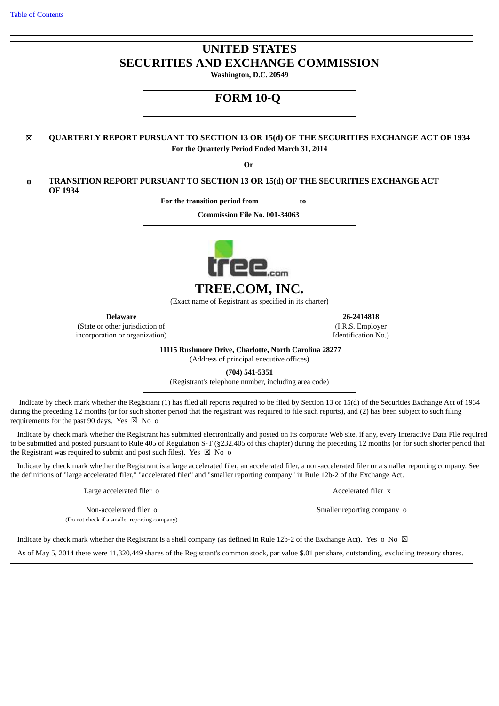# **UNITED STATES SECURITIES AND EXCHANGE COMMISSION**

**Washington, D.C. 20549**

# **FORM 10-Q**

# ☒ **QUARTERLY REPORT PURSUANT TO SECTION 13 OR 15(d) OF THE SECURITIES EXCHANGE ACT OF 1934 For the Quarterly Period Ended March 31, 2014**

**Or**

**o TRANSITION REPORT PURSUANT TO SECTION 13 OR 15(d) OF THE SECURITIES EXCHANGE ACT OF 1934**

**For the transition period from to**

**Commission File No. 001-34063**



**TREE.COM, INC.**

(Exact name of Registrant as specified in its charter)

**Delaware**

(State or other jurisdiction of incorporation or organization)

**26-2414818** (I.R.S. Employer Identification No.)

**11115 Rushmore Drive, Charlotte, North Carolina 28277**

(Address of principal executive offices)

**(704) 541-5351**

(Registrant's telephone number, including area code)

Indicate by check mark whether the Registrant (1) has filed all reports required to be filed by Section 13 or 15(d) of the Securities Exchange Act of 1934 during the preceding 12 months (or for such shorter period that the registrant was required to file such reports), and (2) has been subject to such filing requirements for the past 90 days. Yes  $\boxtimes$  No o

Indicate by check mark whether the Registrant has submitted electronically and posted on its corporate Web site, if any, every Interactive Data File required to be submitted and posted pursuant to Rule 405 of Regulation S-T (§232.405 of this chapter) during the preceding 12 months (or for such shorter period that the Registrant was required to submit and post such files). Yes  $\boxtimes$  No o

Indicate by check mark whether the Registrant is a large accelerated filer, an accelerated filer, a non-accelerated filer or a smaller reporting company. See the definitions of "large accelerated filer," "accelerated filer" and "smaller reporting company" in Rule 12b-2 of the Exchange Act.

Large accelerated filer o and a set of  $\alpha$  Accelerated filer x

Non-accelerated filer o Smaller reporting company o (Do not check if a smaller reporting company)

Indicate by check mark whether the Registrant is a shell company (as defined in Rule 12b-2 of the Exchange Act). Yes o No  $\boxtimes$ 

<span id="page-0-0"></span>As of May 5, 2014 there were 11,320,449 shares of the Registrant's common stock, par value \$.01 per share, outstanding, excluding treasury shares.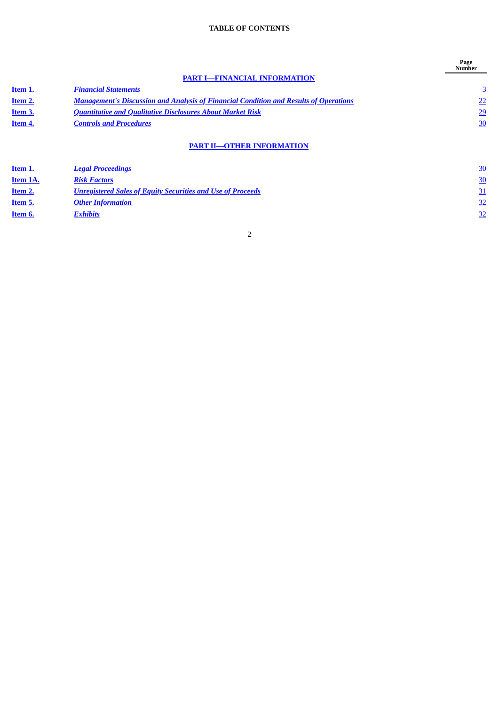# **TABLE OF CONTENTS**

<span id="page-1-0"></span>

|          |                                                                                              | Page<br>Number |
|----------|----------------------------------------------------------------------------------------------|----------------|
|          | <b>PART I-FINANCIAL INFORMATION</b>                                                          |                |
| Item 1.  | <b>Financial Statements</b>                                                                  | $\overline{3}$ |
| Item 2.  | <b>Management's Discussion and Analysis of Financial Condition and Results of Operations</b> | 22             |
| Item 3.  | <b>Quantitative and Qualitative Disclosures About Market Risk</b>                            | <u>29</u>      |
| Item 4.  | <b>Controls and Procedures</b>                                                               | <u>30</u>      |
|          | <b>PART II-OTHER INFORMATION</b>                                                             |                |
| Item 1.  | <b>Legal Proceedings</b>                                                                     | <u>30</u>      |
| Item 1A. | <b>Risk Factors</b>                                                                          | <u>30</u>      |
| Item 2.  | <b>Unregistered Sales of Equity Securities and Use of Proceeds</b>                           | <u>31</u>      |
| Item 5.  | <b>Other Information</b>                                                                     | <u>32</u>      |
| Item 6.  | <b>Exhibits</b>                                                                              | <u>32</u>      |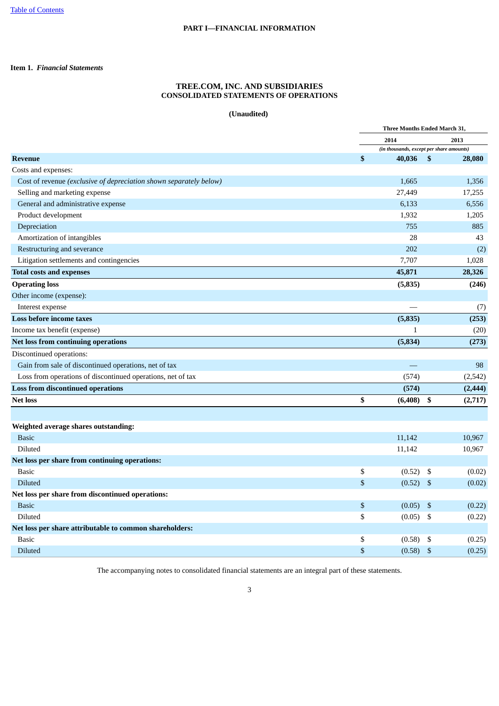# <span id="page-2-0"></span>**Item 1.** *Financial Statements*

# **TREE.COM, INC. AND SUBSIDIARIES CONSOLIDATED STATEMENTS OF OPERATIONS**

# **(Unaudited)**

|                                                                    |    | Three Months Ended March 31,             |                           |          |  |
|--------------------------------------------------------------------|----|------------------------------------------|---------------------------|----------|--|
|                                                                    |    | 2014                                     | 2013                      |          |  |
|                                                                    |    | (in thousands, except per share amounts) |                           |          |  |
| <b>Revenue</b>                                                     | \$ | 40,036                                   | - \$                      | 28,080   |  |
| Costs and expenses:                                                |    |                                          |                           |          |  |
| Cost of revenue (exclusive of depreciation shown separately below) |    | 1,665                                    |                           | 1,356    |  |
| Selling and marketing expense                                      |    | 27,449                                   |                           | 17,255   |  |
| General and administrative expense                                 |    | 6,133                                    |                           | 6,556    |  |
| Product development                                                |    | 1,932                                    |                           | 1,205    |  |
| Depreciation                                                       |    | 755                                      |                           | 885      |  |
| Amortization of intangibles                                        |    | 28                                       |                           | 43       |  |
| Restructuring and severance                                        |    | 202                                      |                           | (2)      |  |
| Litigation settlements and contingencies                           |    | 7,707                                    |                           | 1,028    |  |
| <b>Total costs and expenses</b>                                    |    | 45,871                                   |                           | 28,326   |  |
| <b>Operating loss</b>                                              |    | (5, 835)                                 |                           | (246)    |  |
| Other income (expense):                                            |    |                                          |                           |          |  |
| Interest expense                                                   |    |                                          |                           | (7)      |  |
| <b>Loss before income taxes</b>                                    |    | (5, 835)                                 |                           | (253)    |  |
| Income tax benefit (expense)                                       |    | $\mathbf{1}$                             |                           | (20)     |  |
| Net loss from continuing operations                                |    | (5, 834)                                 |                           | (273)    |  |
| Discontinued operations:                                           |    |                                          |                           |          |  |
| Gain from sale of discontinued operations, net of tax              |    |                                          |                           | 98       |  |
| Loss from operations of discontinued operations, net of tax        |    | (574)                                    |                           | (2, 542) |  |
| <b>Loss from discontinued operations</b>                           |    | (574)                                    |                           | (2, 444) |  |
| <b>Net loss</b>                                                    | \$ | (6, 408)                                 | $\boldsymbol{\mathsf{s}}$ | (2,717)  |  |
|                                                                    |    |                                          |                           |          |  |
| Weighted average shares outstanding:                               |    |                                          |                           |          |  |
| <b>Basic</b>                                                       |    | 11,142                                   |                           | 10,967   |  |
| <b>Diluted</b>                                                     |    | 11,142                                   |                           | 10,967   |  |
| Net loss per share from continuing operations:                     |    |                                          |                           |          |  |
| <b>Basic</b>                                                       | \$ | (0.52)                                   | - \$                      | (0.02)   |  |
| <b>Diluted</b>                                                     | \$ | $(0.52)$ \$                              |                           | (0.02)   |  |
| Net loss per share from discontinued operations:                   |    |                                          |                           |          |  |
| <b>Basic</b>                                                       | \$ | (0.05)                                   | - \$                      | (0.22)   |  |
| <b>Diluted</b>                                                     | \$ | (0.05)                                   | - \$                      | (0.22)   |  |
| Net loss per share attributable to common shareholders:            |    |                                          |                           |          |  |
| <b>Basic</b>                                                       | \$ | (0.58)                                   | - \$                      | (0.25)   |  |
| Diluted                                                            | \$ | (0.58)                                   | - \$                      | (0.25)   |  |

The accompanying notes to consolidated financial statements are an integral part of these statements.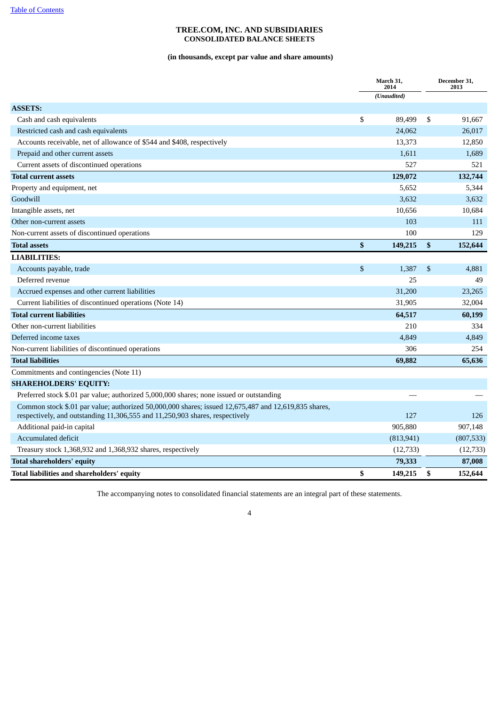# **TREE.COM, INC. AND SUBSIDIARIES CONSOLIDATED BALANCE SHEETS**

# **(in thousands, except par value and share amounts)**

|                                                                                                                                                                                      | March 31,<br>2014 |    | December 31,<br>2013 |
|--------------------------------------------------------------------------------------------------------------------------------------------------------------------------------------|-------------------|----|----------------------|
|                                                                                                                                                                                      | (Unaudited)       |    |                      |
| <b>ASSETS:</b>                                                                                                                                                                       |                   |    |                      |
| Cash and cash equivalents                                                                                                                                                            | \$<br>89,499      | \$ | 91,667               |
| Restricted cash and cash equivalents                                                                                                                                                 | 24,062            |    | 26,017               |
| Accounts receivable, net of allowance of \$544 and \$408, respectively                                                                                                               | 13,373            |    | 12,850               |
| Prepaid and other current assets                                                                                                                                                     | 1,611             |    | 1,689                |
| Current assets of discontinued operations                                                                                                                                            | 527               |    | 521                  |
| <b>Total current assets</b>                                                                                                                                                          | 129,072           |    | 132,744              |
| Property and equipment, net                                                                                                                                                          | 5,652             |    | 5,344                |
| Goodwill                                                                                                                                                                             | 3,632             |    | 3,632                |
| Intangible assets, net                                                                                                                                                               | 10,656            |    | 10,684               |
| Other non-current assets                                                                                                                                                             | 103               |    | 111                  |
| Non-current assets of discontinued operations                                                                                                                                        | 100               |    | 129                  |
| <b>Total assets</b>                                                                                                                                                                  | \$<br>149,215     | \$ | 152,644              |
| <b>LIABILITIES:</b>                                                                                                                                                                  |                   |    |                      |
| Accounts payable, trade                                                                                                                                                              | \$<br>1,387       | \$ | 4,881                |
| Deferred revenue                                                                                                                                                                     | 25                |    | 49                   |
| Accrued expenses and other current liabilities                                                                                                                                       | 31,200            |    | 23,265               |
| Current liabilities of discontinued operations (Note 14)                                                                                                                             | 31,905            |    | 32,004               |
| <b>Total current liabilities</b>                                                                                                                                                     | 64,517            |    | 60,199               |
| Other non-current liabilities                                                                                                                                                        | 210               |    | 334                  |
| Deferred income taxes                                                                                                                                                                | 4,849             |    | 4,849                |
| Non-current liabilities of discontinued operations                                                                                                                                   | 306               |    | 254                  |
| <b>Total liabilities</b>                                                                                                                                                             | 69,882            |    | 65,636               |
| Commitments and contingencies (Note 11)                                                                                                                                              |                   |    |                      |
| <b>SHAREHOLDERS' EQUITY:</b>                                                                                                                                                         |                   |    |                      |
| Preferred stock \$.01 par value; authorized 5,000,000 shares; none issued or outstanding                                                                                             |                   |    |                      |
| Common stock \$.01 par value; authorized 50,000,000 shares; issued 12,675,487 and 12,619,835 shares,<br>respectively, and outstanding 11,306,555 and 11,250,903 shares, respectively | 127               |    | 126                  |
| Additional paid-in capital                                                                                                                                                           | 905,880           |    | 907,148              |
| Accumulated deficit                                                                                                                                                                  | (813,941)         |    | (807, 533)           |
| Treasury stock 1,368,932 and 1,368,932 shares, respectively                                                                                                                          | (12, 733)         |    | (12, 733)            |
| <b>Total shareholders' equity</b>                                                                                                                                                    | 79,333            |    | 87,008               |
| Total liabilities and shareholders' equity                                                                                                                                           | \$<br>149,215     | \$ | 152,644              |

The accompanying notes to consolidated financial statements are an integral part of these statements.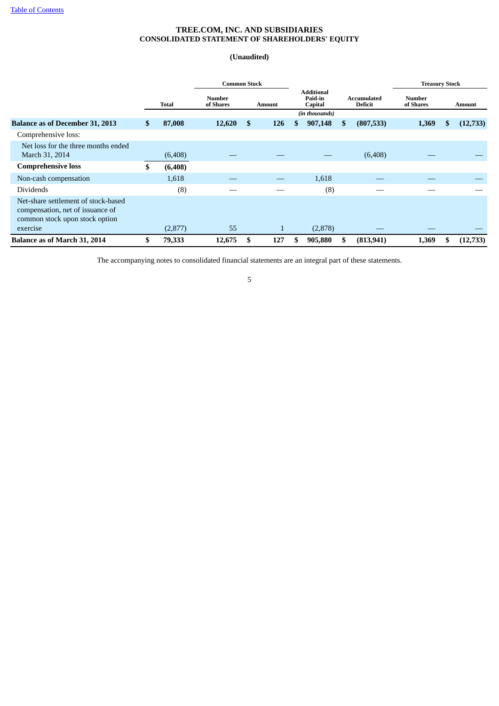# **TREE.COM, INC. AND SUBSIDIARIES CONSOLIDATED STATEMENT OF SHAREHOLDERS' EQUITY**

# **(Unaudited)**

|                                                                                                                       |     |              | <b>Common Stock</b>                  |               |              |    |                |    |            |       |          | <b>Treasury Stock</b> |  |  |                                         |  |                               |                     |  |        |
|-----------------------------------------------------------------------------------------------------------------------|-----|--------------|--------------------------------------|---------------|--------------|----|----------------|----|------------|-------|----------|-----------------------|--|--|-----------------------------------------|--|-------------------------------|---------------------|--|--------|
|                                                                                                                       |     | <b>Total</b> | <b>Number</b><br>of Shares<br>Amount |               |              |    |                |    |            |       |          |                       |  |  | <b>Additional</b><br>Paid-in<br>Capital |  | Accumulated<br><b>Deficit</b> | Number<br>of Shares |  | Amount |
|                                                                                                                       |     |              |                                      |               |              |    | (in thousands) |    |            |       |          |                       |  |  |                                         |  |                               |                     |  |        |
| <b>Balance as of December 31, 2013</b>                                                                                | \$. | 87,008       | 12,620                               | <sup>\$</sup> | 126          | \$ | 907,148        | \$ | (807, 533) | 1,369 | <b>S</b> | (12, 733)             |  |  |                                         |  |                               |                     |  |        |
| Comprehensive loss:                                                                                                   |     |              |                                      |               |              |    |                |    |            |       |          |                       |  |  |                                         |  |                               |                     |  |        |
| Net loss for the three months ended<br>March 31, 2014                                                                 |     | (6, 408)     |                                      |               |              |    |                |    | (6, 408)   |       |          |                       |  |  |                                         |  |                               |                     |  |        |
| <b>Comprehensive loss</b>                                                                                             | \$  | (6, 408)     |                                      |               |              |    |                |    |            |       |          |                       |  |  |                                         |  |                               |                     |  |        |
| Non-cash compensation                                                                                                 |     | 1,618        |                                      |               |              |    | 1,618          |    |            |       |          |                       |  |  |                                         |  |                               |                     |  |        |
| <b>Dividends</b>                                                                                                      |     | (8)          |                                      |               |              |    | (8)            |    |            |       |          |                       |  |  |                                         |  |                               |                     |  |        |
| Net-share settlement of stock-based<br>compensation, net of issuance of<br>common stock upon stock option<br>exercise |     | (2,877)      | 55                                   |               | $\mathbf{1}$ |    | (2,878)        |    |            |       |          |                       |  |  |                                         |  |                               |                     |  |        |
| Balance as of March 31, 2014                                                                                          |     | 79,333       | 12,675                               | \$            | 127          | \$ | 905,880        | \$ | (813, 941) | 1,369 |          | (12,733)              |  |  |                                         |  |                               |                     |  |        |

The accompanying notes to consolidated financial statements are an integral part of these statements.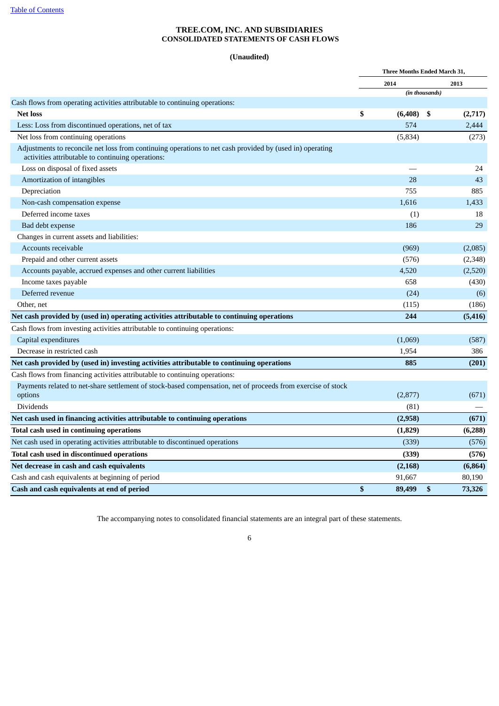# **TREE.COM, INC. AND SUBSIDIARIES CONSOLIDATED STATEMENTS OF CASH FLOWS**

# **(Unaudited)**

|                                                                                                                                                               | <b>Three Months Ended March 31,</b> |          |                |          |
|---------------------------------------------------------------------------------------------------------------------------------------------------------------|-------------------------------------|----------|----------------|----------|
|                                                                                                                                                               |                                     | 2014     |                | 2013     |
|                                                                                                                                                               |                                     |          | (in thousands) |          |
| Cash flows from operating activities attributable to continuing operations:                                                                                   |                                     |          |                |          |
| <b>Net loss</b>                                                                                                                                               | \$                                  | (6, 408) | \$             | (2,717)  |
| Less: Loss from discontinued operations, net of tax                                                                                                           |                                     | 574      |                | 2,444    |
| Net loss from continuing operations                                                                                                                           |                                     | (5, 834) |                | (273)    |
| Adjustments to reconcile net loss from continuing operations to net cash provided by (used in) operating<br>activities attributable to continuing operations: |                                     |          |                |          |
| Loss on disposal of fixed assets                                                                                                                              |                                     |          |                | 24       |
| Amortization of intangibles                                                                                                                                   |                                     | 28       |                | 43       |
| Depreciation                                                                                                                                                  |                                     | 755      |                | 885      |
| Non-cash compensation expense                                                                                                                                 |                                     | 1,616    |                | 1,433    |
| Deferred income taxes                                                                                                                                         |                                     | (1)      |                | 18       |
| Bad debt expense                                                                                                                                              |                                     | 186      |                | 29       |
| Changes in current assets and liabilities:                                                                                                                    |                                     |          |                |          |
| Accounts receivable                                                                                                                                           |                                     | (969)    |                | (2,085)  |
| Prepaid and other current assets                                                                                                                              |                                     | (576)    |                | (2,348)  |
| Accounts payable, accrued expenses and other current liabilities                                                                                              |                                     | 4,520    |                | (2,520)  |
| Income taxes payable                                                                                                                                          |                                     | 658      |                | (430)    |
| Deferred revenue                                                                                                                                              |                                     | (24)     |                | (6)      |
| Other, net                                                                                                                                                    |                                     | (115)    |                | (186)    |
| Net cash provided by (used in) operating activities attributable to continuing operations                                                                     |                                     | 244      |                | (5, 416) |
| Cash flows from investing activities attributable to continuing operations:                                                                                   |                                     |          |                |          |
| Capital expenditures                                                                                                                                          |                                     | (1,069)  |                | (587)    |
| Decrease in restricted cash                                                                                                                                   |                                     | 1,954    |                | 386      |
| Net cash provided by (used in) investing activities attributable to continuing operations                                                                     |                                     | 885      |                | (201)    |
| Cash flows from financing activities attributable to continuing operations:                                                                                   |                                     |          |                |          |
| Payments related to net-share settlement of stock-based compensation, net of proceeds from exercise of stock<br>options                                       |                                     | (2,877)  |                | (671)    |
| Dividends                                                                                                                                                     |                                     | (81)     |                |          |
| Net cash used in financing activities attributable to continuing operations                                                                                   |                                     | (2,958)  |                | (671)    |
| Total cash used in continuing operations                                                                                                                      |                                     | (1,829)  |                | (6, 288) |
| Net cash used in operating activities attributable to discontinued operations                                                                                 |                                     | (339)    |                | (576)    |
| Total cash used in discontinued operations                                                                                                                    |                                     | (339)    |                | (576)    |
| Net decrease in cash and cash equivalents                                                                                                                     |                                     | (2, 168) |                | (6, 864) |
| Cash and cash equivalents at beginning of period                                                                                                              |                                     | 91,667   |                | 80,190   |
| Cash and cash equivalents at end of period                                                                                                                    | \$                                  | 89,499   | \$             | 73,326   |

The accompanying notes to consolidated financial statements are an integral part of these statements.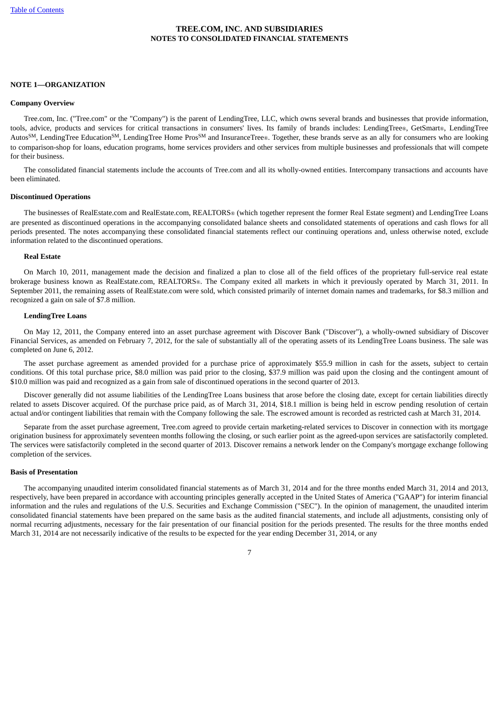#### **NOTE 1—ORGANIZATION**

#### **Company Overview**

Tree.com, Inc. ("Tree.com" or the "Company") is the parent of LendingTree, LLC, which owns several brands and businesses that provide information, tools, advice, products and services for critical transactions in consumers' lives. Its family of brands includes: LendingTree®, GetSmart®, LendingTree Autos<sup>SM</sup>, LendingTree Education<sup>SM</sup>, LendingTree Home Pros<sup>SM</sup> and InsuranceTree®. Together, these brands serve as an ally for consumers who are looking to comparison-shop for loans, education programs, home services providers and other services from multiple businesses and professionals that will compete for their business.

The consolidated financial statements include the accounts of Tree.com and all its wholly-owned entities. Intercompany transactions and accounts have been eliminated.

#### **Discontinued Operations**

The businesses of RealEstate.com and RealEstate.com, REALTORS® (which together represent the former Real Estate segment) and LendingTree Loans are presented as discontinued operations in the accompanying consolidated balance sheets and consolidated statements of operations and cash flows for all periods presented. The notes accompanying these consolidated financial statements reflect our continuing operations and, unless otherwise noted, exclude information related to the discontinued operations.

#### **Real Estate**

On March 10, 2011, management made the decision and finalized a plan to close all of the field offices of the proprietary full-service real estate brokerage business known as RealEstate.com, REALTORS®. The Company exited all markets in which it previously operated by March 31, 2011. In September 2011, the remaining assets of RealEstate.com were sold, which consisted primarily of internet domain names and trademarks, for \$8.3 million and recognized a gain on sale of \$7.8 million.

#### **LendingTree Loans**

On May 12, 2011, the Company entered into an asset purchase agreement with Discover Bank ("Discover"), a wholly-owned subsidiary of Discover Financial Services, as amended on February 7, 2012, for the sale of substantially all of the operating assets of its LendingTree Loans business. The sale was completed on June 6, 2012.

The asset purchase agreement as amended provided for a purchase price of approximately \$55.9 million in cash for the assets, subject to certain conditions. Of this total purchase price, \$8.0 million was paid prior to the closing, \$37.9 million was paid upon the closing and the contingent amount of \$10.0 million was paid and recognized as a gain from sale of discontinued operations in the second quarter of 2013.

Discover generally did not assume liabilities of the LendingTree Loans business that arose before the closing date, except for certain liabilities directly related to assets Discover acquired. Of the purchase price paid, as of March 31, 2014, \$18.1 million is being held in escrow pending resolution of certain actual and/or contingent liabilities that remain with the Company following the sale. The escrowed amount is recorded as restricted cash at March 31, 2014.

Separate from the asset purchase agreement, Tree.com agreed to provide certain marketing-related services to Discover in connection with its mortgage origination business for approximately seventeen months following the closing, or such earlier point as the agreed-upon services are satisfactorily completed. The services were satisfactorily completed in the second quarter of 2013. Discover remains a network lender on the Company's mortgage exchange following completion of the services.

#### **Basis of Presentation**

The accompanying unaudited interim consolidated financial statements as of March 31, 2014 and for the three months ended March 31, 2014 and 2013, respectively, have been prepared in accordance with accounting principles generally accepted in the United States of America ("GAAP") for interim financial information and the rules and regulations of the U.S. Securities and Exchange Commission ("SEC"). In the opinion of management, the unaudited interim consolidated financial statements have been prepared on the same basis as the audited financial statements, and include all adjustments, consisting only of normal recurring adjustments, necessary for the fair presentation of our financial position for the periods presented. The results for the three months ended March 31, 2014 are not necessarily indicative of the results to be expected for the year ending December 31, 2014, or any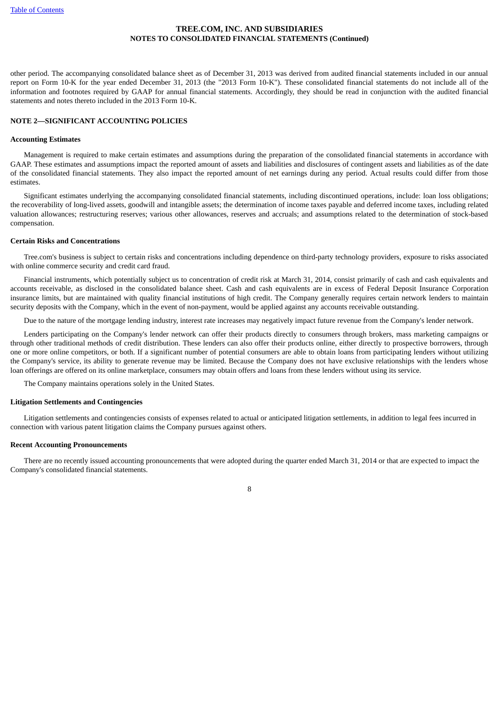other period. The accompanying consolidated balance sheet as of December 31, 2013 was derived from audited financial statements included in our annual report on Form 10-K for the year ended December 31, 2013 (the "2013 Form 10-K"). These consolidated financial statements do not include all of the information and footnotes required by GAAP for annual financial statements. Accordingly, they should be read in conjunction with the audited financial statements and notes thereto included in the 2013 Form 10-K.

# **NOTE 2—SIGNIFICANT ACCOUNTING POLICIES**

#### **Accounting Estimates**

Management is required to make certain estimates and assumptions during the preparation of the consolidated financial statements in accordance with GAAP. These estimates and assumptions impact the reported amount of assets and liabilities and disclosures of contingent assets and liabilities as of the date of the consolidated financial statements. They also impact the reported amount of net earnings during any period. Actual results could differ from those estimates.

Significant estimates underlying the accompanying consolidated financial statements, including discontinued operations, include: loan loss obligations; the recoverability of long-lived assets, goodwill and intangible assets; the determination of income taxes payable and deferred income taxes, including related valuation allowances; restructuring reserves; various other allowances, reserves and accruals; and assumptions related to the determination of stock-based compensation.

#### **Certain Risks and Concentrations**

Tree.com's business is subject to certain risks and concentrations including dependence on third-party technology providers, exposure to risks associated with online commerce security and credit card fraud.

Financial instruments, which potentially subject us to concentration of credit risk at March 31, 2014, consist primarily of cash and cash equivalents and accounts receivable, as disclosed in the consolidated balance sheet. Cash and cash equivalents are in excess of Federal Deposit Insurance Corporation insurance limits, but are maintained with quality financial institutions of high credit. The Company generally requires certain network lenders to maintain security deposits with the Company, which in the event of non-payment, would be applied against any accounts receivable outstanding.

Due to the nature of the mortgage lending industry, interest rate increases may negatively impact future revenue from the Company's lender network.

Lenders participating on the Company's lender network can offer their products directly to consumers through brokers, mass marketing campaigns or through other traditional methods of credit distribution. These lenders can also offer their products online, either directly to prospective borrowers, through one or more online competitors, or both. If a significant number of potential consumers are able to obtain loans from participating lenders without utilizing the Company's service, its ability to generate revenue may be limited. Because the Company does not have exclusive relationships with the lenders whose loan offerings are offered on its online marketplace, consumers may obtain offers and loans from these lenders without using its service.

The Company maintains operations solely in the United States.

#### **Litigation Settlements and Contingencies**

Litigation settlements and contingencies consists of expenses related to actual or anticipated litigation settlements, in addition to legal fees incurred in connection with various patent litigation claims the Company pursues against others.

### **Recent Accounting Pronouncements**

There are no recently issued accounting pronouncements that were adopted during the quarter ended March 31, 2014 or that are expected to impact the Company's consolidated financial statements.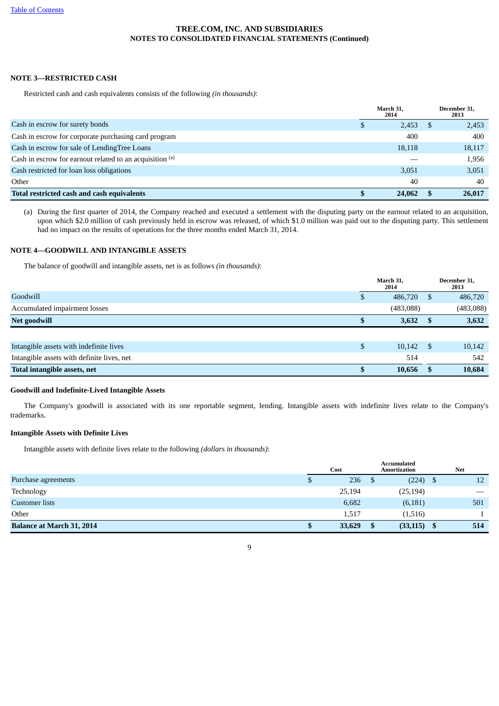# **NOTE 3—RESTRICTED CASH**

Restricted cash and cash equivalents consists of the following *(in thousands)*:

|                                                          | March 31.<br>2014 |     | December 31,<br>2013 |
|----------------------------------------------------------|-------------------|-----|----------------------|
| Cash in escrow for surety bonds                          | 2,453             | - S | 2,453                |
| Cash in escrow for corporate purchasing card program     | 400               |     | 400                  |
| Cash in escrow for sale of LendingTree Loans             | 18,118            |     | 18,117               |
| Cash in escrow for earnout related to an acquisition (a) |                   |     | 1,956                |
| Cash restricted for loan loss obligations                | 3,051             |     | 3,051                |
| Other                                                    | 40                |     | 40                   |
| Total restricted cash and cash equivalents               | 24,062            |     | 26,017               |

(a) During the first quarter of 2014, the Company reached and executed a settlement with the disputing party on the earnout related to an acquisition, upon which \$2.0 million of cash previously held in escrow was released, of which \$1.0 million was paid out to the disputing party. This settlement had no impact on the results of operations for the three months ended March 31, 2014.

### **NOTE 4—GOODWILL AND INTANGIBLE ASSETS**

The balance of goodwill and intangible assets, net is as follows *(in thousands)*:

|                                            | March 31,<br>2014 |              | December 31,<br>2013 |
|--------------------------------------------|-------------------|--------------|----------------------|
| Goodwill                                   | 486,720           | -S           | 486,720              |
| Accumulated impairment losses              | (483,088)         |              | (483,088)            |
| Net goodwill                               | 3,632             | $\mathbf{s}$ | 3,632                |
|                                            |                   |              |                      |
| Intangible assets with indefinite lives    | 10,142            | - \$         | 10,142               |
| Intangible assets with definite lives, net | 514               |              | 542                  |
| Total intangible assets, net               | 10,656            | -S           | 10,684               |

### **Goodwill and Indefinite-Lived Intangible Assets**

The Company's goodwill is associated with its one reportable segment, lending. Intangible assets with indefinite lives relate to the Company's trademarks.

### **Intangible Assets with Definite Lives**

Intangible assets with definite lives relate to the following *(dollars in thousands)*:

|                                  |   | <b>Accumulated</b><br>Cost<br><b>Amortization</b> |  |           | <b>Net</b> |     |  |
|----------------------------------|---|---------------------------------------------------|--|-----------|------------|-----|--|
| Purchase agreements              | D | 236                                               |  | (224)     | <b>S</b>   | 12  |  |
| Technology                       |   | 25,194                                            |  | (25, 194) |            |     |  |
| <b>Customer lists</b>            |   | 6,682                                             |  | (6, 181)  |            | 501 |  |
| Other                            |   | 1,517                                             |  | (1,516)   |            |     |  |
| <b>Balance at March 31, 2014</b> |   | 33,629                                            |  | (33, 115) |            | 514 |  |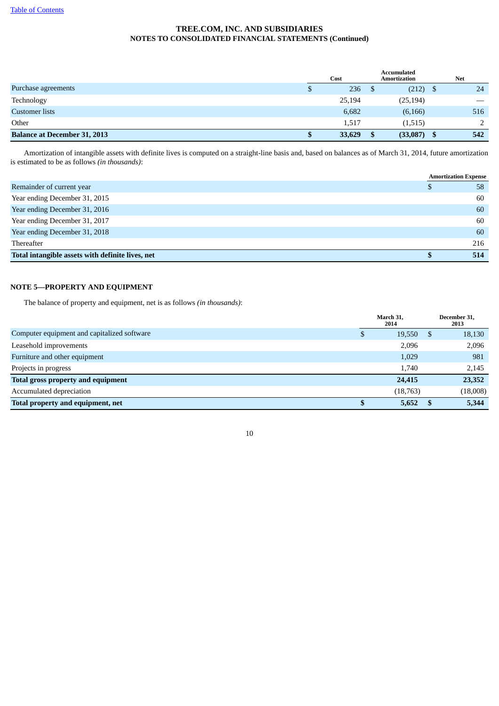|                                     | <b>Accumulated</b><br>Cost<br>Amortization |        |  |           | <b>Net</b> |               |
|-------------------------------------|--------------------------------------------|--------|--|-----------|------------|---------------|
| Purchase agreements                 |                                            | 236    |  | (212)     | - \$       | 24            |
| Technology                          |                                            | 25,194 |  | (25, 194) |            |               |
| <b>Customer lists</b>               |                                            | 6,682  |  | (6, 166)  |            | 516           |
| Other                               |                                            | 1,517  |  | (1,515)   |            | $\mathcal{D}$ |
| <b>Balance at December 31, 2013</b> |                                            | 33,629 |  | (33,087)  |            | 542           |

Amortization of intangible assets with definite lives is computed on a straight-line basis and, based on balances as of March 31, 2014, future amortization is estimated to be as follows *(in thousands)*:

|                                                  |   | <b>Amortization Expense</b> |
|--------------------------------------------------|---|-----------------------------|
| Remainder of current year                        | Φ | 58                          |
| Year ending December 31, 2015                    |   | 60                          |
| Year ending December 31, 2016                    |   | 60                          |
| Year ending December 31, 2017                    |   | 60                          |
| Year ending December 31, 2018                    |   | 60                          |
| Thereafter                                       |   | 216                         |
| Total intangible assets with definite lives, net |   | 514                         |

# **NOTE 5—PROPERTY AND EQUIPMENT**

The balance of property and equipment, net is as follows *(in thousands)*:

|                                             | March 31,<br>2014 |    | December 31,<br>2013 |
|---------------------------------------------|-------------------|----|----------------------|
| Computer equipment and capitalized software | 19,550            | -S | 18,130               |
| Leasehold improvements                      | 2,096             |    | 2,096                |
| Furniture and other equipment               | 1,029             |    | 981                  |
| Projects in progress                        | 1,740             |    | 2,145                |
| <b>Total gross property and equipment</b>   | 24,415            |    | 23,352               |
| Accumulated depreciation                    | (18,763)          |    | (18,008)             |
| Total property and equipment, net           | 5,652             |    | 5,344                |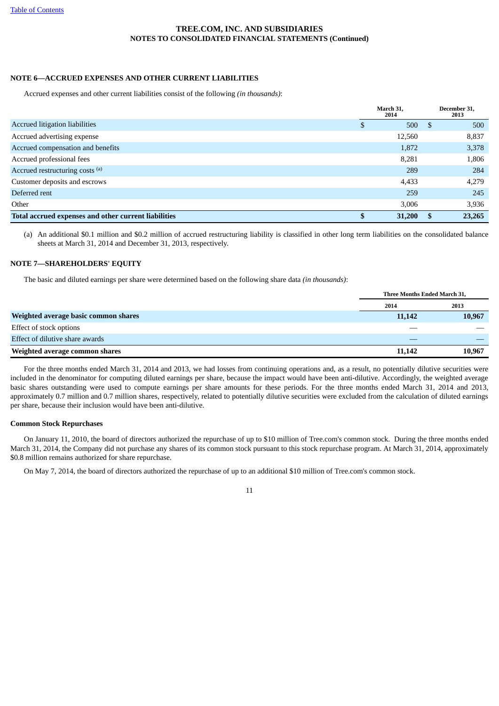# **NOTE 6—ACCRUED EXPENSES AND OTHER CURRENT LIABILITIES**

Accrued expenses and other current liabilities consist of the following *(in thousands)*:

|                                                      | March 31.<br>2014 |      | December 31,<br>2013 |
|------------------------------------------------------|-------------------|------|----------------------|
| Accrued litigation liabilities                       | 500               | - \$ | 500                  |
| Accrued advertising expense                          | 12,560            |      | 8,837                |
| Accrued compensation and benefits                    | 1,872             |      | 3,378                |
| Accrued professional fees                            | 8,281             |      | 1,806                |
| Accrued restructuring costs (a)                      | 289               |      | 284                  |
| Customer deposits and escrows                        | 4,433             |      | 4,279                |
| Deferred rent                                        | 259               |      | 245                  |
| Other                                                | 3.006             |      | 3,936                |
| Total accrued expenses and other current liabilities | 31,200            |      | 23.265               |

(a) An additional \$0.1 million and \$0.2 million of accrued restructuring liability is classified in other long term liabilities on the consolidated balance sheets at March 31, 2014 and December 31, 2013, respectively.

# **NOTE 7—SHAREHOLDERS' EQUITY**

The basic and diluted earnings per share were determined based on the following share data *(in thousands)*:

|                                      | Three Months Ended March 31, |        |
|--------------------------------------|------------------------------|--------|
|                                      | 2014                         | 2013   |
| Weighted average basic common shares | 11,142                       | 10,967 |
| Effect of stock options              |                              |        |
| Effect of dilutive share awards      |                              |        |
| Weighted average common shares       | 11,142                       | 10,967 |

For the three months ended March 31, 2014 and 2013, we had losses from continuing operations and, as a result, no potentially dilutive securities were included in the denominator for computing diluted earnings per share, because the impact would have been anti-dilutive. Accordingly, the weighted average basic shares outstanding were used to compute earnings per share amounts for these periods. For the three months ended March 31, 2014 and 2013, approximately 0.7 million and 0.7 million shares, respectively, related to potentially dilutive securities were excluded from the calculation of diluted earnings per share, because their inclusion would have been anti-dilutive.

### **Common Stock Repurchases**

On January 11, 2010, the board of directors authorized the repurchase of up to \$10 million of Tree.com's common stock. During the three months ended March 31, 2014, the Company did not purchase any shares of its common stock pursuant to this stock repurchase program. At March 31, 2014, approximately \$0.8 million remains authorized for share repurchase.

On May 7, 2014, the board of directors authorized the repurchase of up to an additional \$10 million of Tree.com's common stock.

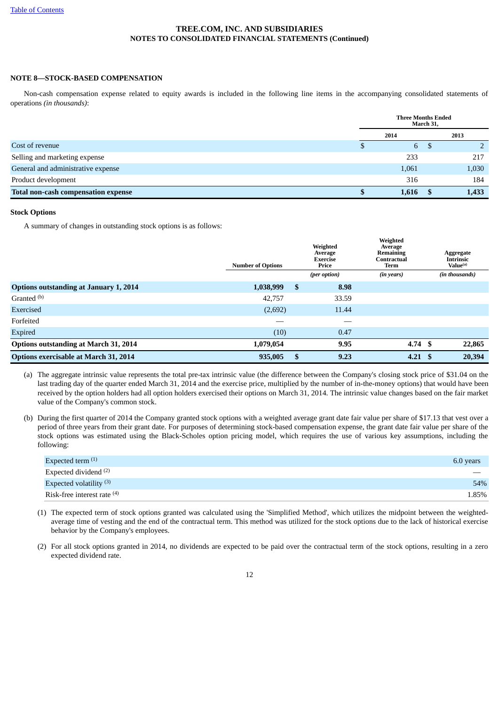# **NOTE 8—STOCK-BASED COMPENSATION**

Non-cash compensation expense related to equity awards is included in the following line items in the accompanying consolidated statements of operations *(in thousands)*:

|                                            | <b>Three Months Ended</b><br>March 31, |       |    |       |
|--------------------------------------------|----------------------------------------|-------|----|-------|
|                                            |                                        | 2014  |    | 2013  |
| Cost of revenue                            |                                        | 6     | -5 |       |
| Selling and marketing expense              |                                        | 233   |    | 217   |
| General and administrative expense         |                                        | 1,061 |    | 1,030 |
| Product development                        |                                        | 316   |    | 184   |
| <b>Total non-cash compensation expense</b> |                                        | 1,616 | -5 | 1,433 |

#### **Stock Options**

A summary of changes in outstanding stock options is as follows:

|                                              | <b>Number of Options</b> |     | Weighted<br>Average<br>Exercise<br>Price | Weighted<br>Average<br>Remaining<br>Contractual<br>Term |      | Aggregate<br><b>Intrinsic</b><br>Value <sup>(a)</sup> |
|----------------------------------------------|--------------------------|-----|------------------------------------------|---------------------------------------------------------|------|-------------------------------------------------------|
|                                              |                          |     | (per option)                             | (in years)                                              |      | (in thousands)                                        |
| Options outstanding at January 1, 2014       | 1,038,999                | -\$ | 8.98                                     |                                                         |      |                                                       |
| Granted <sup>(b)</sup>                       | 42,757                   |     | 33.59                                    |                                                         |      |                                                       |
| Exercised                                    | (2,692)                  |     | 11.44                                    |                                                         |      |                                                       |
| Forfeited                                    | --                       |     |                                          |                                                         |      |                                                       |
| Expired                                      | (10)                     |     | 0.47                                     |                                                         |      |                                                       |
| <b>Options outstanding at March 31, 2014</b> | 1,079,054                |     | 9.95                                     | 4.74 <sup>5</sup>                                       |      | 22,865                                                |
| <b>Options exercisable at March 31, 2014</b> | 935,005                  | -\$ | 9.23                                     | 4.21                                                    | - \$ | 20,394                                                |

(a) The aggregate intrinsic value represents the total pre-tax intrinsic value (the difference between the Company's closing stock price of \$31.04 on the last trading day of the quarter ended March 31, 2014 and the exercise price, multiplied by the number of in-the-money options) that would have been received by the option holders had all option holders exercised their options on March 31, 2014. The intrinsic value changes based on the fair market value of the Company's common stock.

(b) During the first quarter of 2014 the Company granted stock options with a weighted average grant date fair value per share of \$17.13 that vest over a period of three years from their grant date. For purposes of determining stock-based compensation expense, the grant date fair value per share of the stock options was estimated using the Black-Scholes option pricing model, which requires the use of various key assumptions, including the following:

| Expected term $(1)$                    | 6.0 years |
|----------------------------------------|-----------|
| Expected dividend <sup>(2)</sup>       |           |
| Expected volatility <sup>(3)</sup>     | 54%       |
| Risk-free interest rate <sup>(4)</sup> | 1.85%     |

(1) The expected term of stock options granted was calculated using the 'Simplified Method', which utilizes the midpoint between the weightedaverage time of vesting and the end of the contractual term. This method was utilized for the stock options due to the lack of historical exercise behavior by the Company's employees.

(2) For all stock options granted in 2014, no dividends are expected to be paid over the contractual term of the stock options, resulting in a zero expected dividend rate.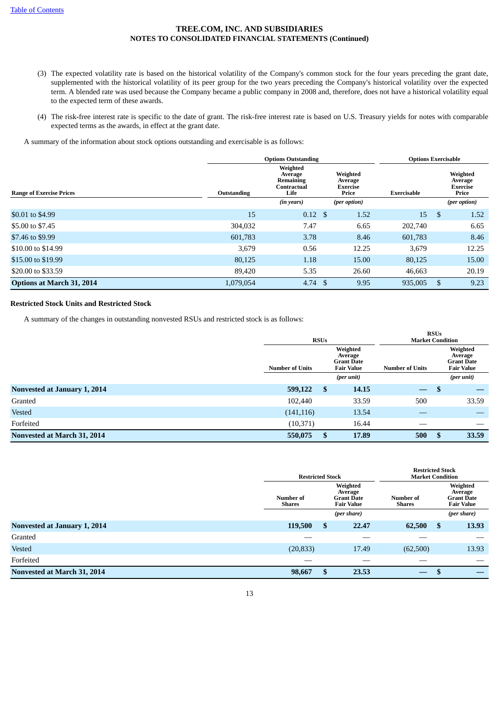- (3) The expected volatility rate is based on the historical volatility of the Company's common stock for the four years preceding the grant date, supplemented with the historical volatility of its peer group for the two years preceding the Company's historical volatility over the expected term. A blended rate was used because the Company became a public company in 2008 and, therefore, does not have a historical volatility equal to the expected term of these awards.
- (4) The risk-free interest rate is specific to the date of grant. The risk-free interest rate is based on U.S. Treasury yields for notes with comparable expected terms as the awards, in effect at the grant date.

A summary of the information about stock options outstanding and exercisable is as follows:

|                                  |             | <b>Options Exercisable</b>                                     |                                                 |             |      |                                          |
|----------------------------------|-------------|----------------------------------------------------------------|-------------------------------------------------|-------------|------|------------------------------------------|
| <b>Range of Exercise Prices</b>  | Outstanding | Weighted<br>Average<br><b>Remaining</b><br>Contractual<br>Life | Weighted<br>Average<br><b>Exercise</b><br>Price | Exercisable |      | Weighted<br>Average<br>Exercise<br>Price |
|                                  |             | (in years)                                                     | (per option)                                    |             |      | (per option)                             |
| \$0.01 to \$4.99                 | 15          | $0.12 \quad $$                                                 | 1.52                                            | 15          | - \$ | 1.52                                     |
| \$5.00 to \$7.45                 | 304,032     | 7.47                                                           | 6.65                                            | 202,740     |      | 6.65                                     |
| \$7.46 to \$9.99                 | 601,783     | 3.78                                                           | 8.46                                            | 601,783     |      | 8.46                                     |
| \$10.00 to \$14.99               | 3,679       | 0.56                                                           | 12.25                                           | 3,679       |      | 12.25                                    |
| \$15.00 to \$19.99               | 80,125      | 1.18                                                           | 15.00                                           | 80,125      |      | 15.00                                    |
| \$20.00 to \$33.59               | 89,420      | 5.35                                                           | 26.60                                           | 46,663      |      | 20.19                                    |
| <b>Options at March 31, 2014</b> | 1,079,054   | 4.74                                                           | \$<br>9.95                                      | 935,005     | \$   | 9.23                                     |

### **Restricted Stock Units and Restricted Stock**

A summary of the changes in outstanding nonvested RSUs and restricted stock is as follows:

|                              | <b>RSUs</b>            |    | <b>RSUs</b><br><b>Market Condition</b> |                          |                                                               |            |                        |  |                                                               |
|------------------------------|------------------------|----|----------------------------------------|--------------------------|---------------------------------------------------------------|------------|------------------------|--|---------------------------------------------------------------|
|                              | <b>Number of Units</b> |    |                                        |                          | Weighted<br>Average<br><b>Grant Date</b><br><b>Fair Value</b> |            | <b>Number of Units</b> |  | Weighted<br>Average<br><b>Grant Date</b><br><b>Fair Value</b> |
|                              |                        |    | (per unit)                             |                          |                                                               | (per unit) |                        |  |                                                               |
| Nonvested at January 1, 2014 | 599,122                | \$ | 14.15                                  | $\overline{\phantom{m}}$ | S,                                                            |            |                        |  |                                                               |
| Granted                      | 102,440                |    | 33.59                                  | 500                      |                                                               | 33.59      |                        |  |                                                               |
| Vested                       | (141, 116)             |    | 13.54                                  | __                       |                                                               |            |                        |  |                                                               |
| Forfeited                    | (10, 371)              |    | 16.44                                  |                          |                                                               |            |                        |  |                                                               |
| Nonvested at March 31, 2014  | 550,075                | \$ | 17.89                                  | 500                      |                                                               | 33.59      |                        |  |                                                               |

|                              | <b>Restricted Stock</b>    |                                                               | <b>Restricted Stock</b><br><b>Market Condition</b> |                            |                                                               |             |
|------------------------------|----------------------------|---------------------------------------------------------------|----------------------------------------------------|----------------------------|---------------------------------------------------------------|-------------|
|                              | <b>Number of</b><br>Shares | Weighted<br>Average<br><b>Grant Date</b><br><b>Fair Value</b> |                                                    | Number of<br><b>Shares</b> | Weighted<br>Average<br><b>Grant Date</b><br><b>Fair Value</b> |             |
|                              |                            |                                                               | (per share)                                        |                            |                                                               | (per share) |
| Nonvested at January 1, 2014 | 119,500                    | \$                                                            | 22.47                                              | 62,500                     | \$                                                            | 13.93       |
| Granted                      |                            |                                                               |                                                    |                            |                                                               |             |
| Vested                       | (20, 833)                  |                                                               | 17.49                                              | (62,500)                   |                                                               | 13.93       |
| Forfeited                    |                            |                                                               |                                                    |                            |                                                               |             |
| Nonvested at March 31, 2014  | 98,667                     | S                                                             | 23.53                                              | $\overline{\phantom{0}}$   | ಾ                                                             |             |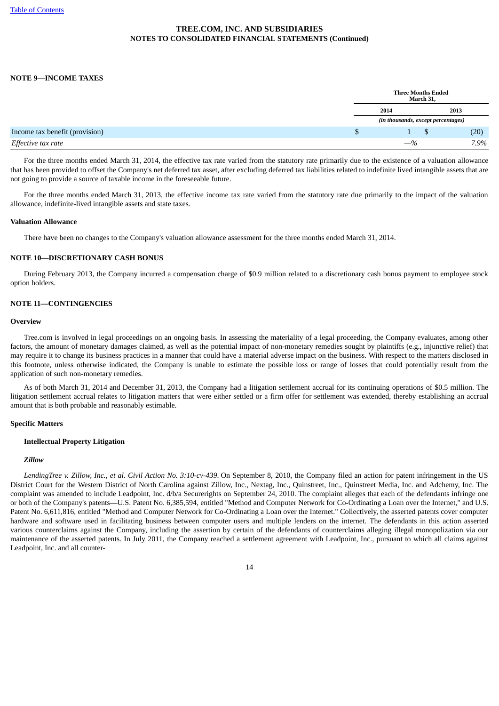# **NOTE 9—INCOME TAXES**

|                                |                                    | <b>Three Months Ended</b><br>March 31, |      |
|--------------------------------|------------------------------------|----------------------------------------|------|
|                                | 2014                               | 2013                                   |      |
|                                | (in thousands, except percentages) |                                        |      |
| Income tax benefit (provision) |                                    |                                        | (20) |
| Effective tax rate             | $-\%$                              |                                        | 7.9% |

For the three months ended March 31, 2014, the effective tax rate varied from the statutory rate primarily due to the existence of a valuation allowance that has been provided to offset the Company's net deferred tax asset, after excluding deferred tax liabilities related to indefinite lived intangible assets that are not going to provide a source of taxable income in the foreseeable future.

For the three months ended March 31, 2013, the effective income tax rate varied from the statutory rate due primarily to the impact of the valuation allowance, indefinite-lived intangible assets and state taxes.

#### **Valuation Allowance**

There have been no changes to the Company's valuation allowance assessment for the three months ended March 31, 2014.

#### **NOTE 10—DISCRETIONARY CASH BONUS**

During February 2013, the Company incurred a compensation charge of \$0.9 million related to a discretionary cash bonus payment to employee stock option holders.

#### **NOTE 11—CONTINGENCIES**

#### **Overview**

Tree.com is involved in legal proceedings on an ongoing basis. In assessing the materiality of a legal proceeding, the Company evaluates, among other factors, the amount of monetary damages claimed, as well as the potential impact of non-monetary remedies sought by plaintiffs (e.g., injunctive relief) that may require it to change its business practices in a manner that could have a material adverse impact on the business. With respect to the matters disclosed in this footnote, unless otherwise indicated, the Company is unable to estimate the possible loss or range of losses that could potentially result from the application of such non-monetary remedies.

As of both March 31, 2014 and December 31, 2013, the Company had a litigation settlement accrual for its continuing operations of \$0.5 million. The litigation settlement accrual relates to litigation matters that were either settled or a firm offer for settlement was extended, thereby establishing an accrual amount that is both probable and reasonably estimable.

#### **Specific Matters**

#### **Intellectual Property Litigation**

#### *Zillow*

*LendingTree v. Zillow, Inc., et al. Civil Action No. 3:10-cv-439*. On September 8, 2010, the Company filed an action for patent infringement in the US District Court for the Western District of North Carolina against Zillow, Inc., Nextag, Inc., Quinstreet, Inc., Quinstreet Media, Inc. and Adchemy, Inc. The complaint was amended to include Leadpoint, Inc. d/b/a Securerights on September 24, 2010. The complaint alleges that each of the defendants infringe one or both of the Company's patents—U.S. Patent No. 6,385,594, entitled "Method and Computer Network for Co-Ordinating a Loan over the Internet," and U.S. Patent No. 6,611,816, entitled "Method and Computer Network for Co-Ordinating a Loan over the Internet." Collectively, the asserted patents cover computer hardware and software used in facilitating business between computer users and multiple lenders on the internet. The defendants in this action asserted various counterclaims against the Company, including the assertion by certain of the defendants of counterclaims alleging illegal monopolization via our maintenance of the asserted patents. In July 2011, the Company reached a settlement agreement with Leadpoint, Inc., pursuant to which all claims against Leadpoint, Inc. and all counter-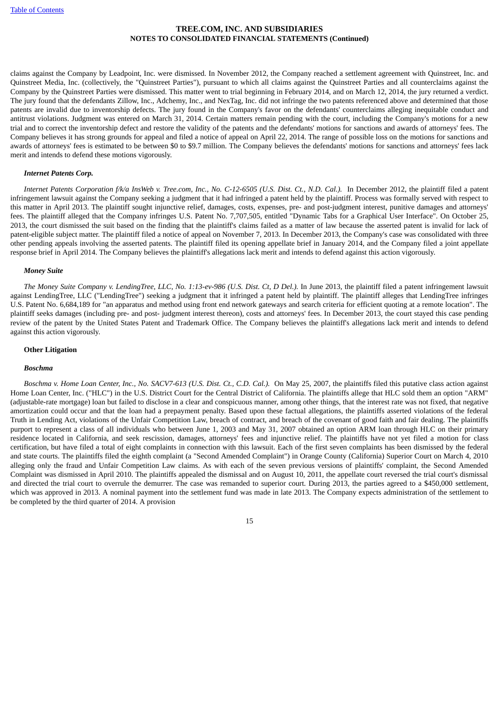claims against the Company by Leadpoint, Inc. were dismissed. In November 2012, the Company reached a settlement agreement with Quinstreet, Inc. and Quinstreet Media, Inc. (collectively, the "Quinstreet Parties"), pursuant to which all claims against the Quinstreet Parties and all counterclaims against the Company by the Quinstreet Parties were dismissed. This matter went to trial beginning in February 2014, and on March 12, 2014, the jury returned a verdict. The jury found that the defendants Zillow, Inc., Adchemy, Inc., and NexTag, Inc. did not infringe the two patents referenced above and determined that those patents are invalid due to inventorship defects. The jury found in the Company's favor on the defendants' counterclaims alleging inequitable conduct and antitrust violations. Judgment was entered on March 31, 2014. Certain matters remain pending with the court, including the Company's motions for a new trial and to correct the inventorship defect and restore the validity of the patents and the defendants' motions for sanctions and awards of attorneys' fees. The Company believes it has strong grounds for appeal and filed a notice of appeal on April 22, 2014. The range of possible loss on the motions for sanctions and awards of attorneys' fees is estimated to be between \$0 to \$9.7 million. The Company believes the defendants' motions for sanctions and attorneys' fees lack merit and intends to defend these motions vigorously.

#### *Internet Patents Corp.*

Internet Patents Corporation f/k/a InsWeb v. Tree.com, Inc., No. C-12-6505 (U.S. Dist. Ct., N.D. Cal.). In December 2012, the plaintiff filed a patent infringement lawsuit against the Company seeking a judgment that it had infringed a patent held by the plaintiff. Process was formally served with respect to this matter in April 2013. The plaintiff sought injunctive relief, damages, costs, expenses, pre- and post-judgment interest, punitive damages and attorneys' fees. The plaintiff alleged that the Company infringes U.S. Patent No. 7,707,505, entitled "Dynamic Tabs for a Graphical User Interface". On October 25, 2013, the court dismissed the suit based on the finding that the plaintiff's claims failed as a matter of law because the asserted patent is invalid for lack of patent-eligible subject matter. The plaintiff filed a notice of appeal on November 7, 2013. In December 2013, the Company's case was consolidated with three other pending appeals involving the asserted patents. The plaintiff filed its opening appellate brief in January 2014, and the Company filed a joint appellate response brief in April 2014. The Company believes the plaintiff's allegations lack merit and intends to defend against this action vigorously.

#### *Money Suite*

The Money Suite Company v. LendingTree, LLC, No. 1:13-ev-986 (U.S. Dist. Ct, D Del.). In June 2013, the plaintiff filed a patent infringement lawsuit against LendingTree, LLC ("LendingTree") seeking a judgment that it infringed a patent held by plaintiff. The plaintiff alleges that LendingTree infringes U.S. Patent No. 6,684,189 for "an apparatus and method using front end network gateways and search criteria for efficient quoting at a remote location". The plaintiff seeks damages (including pre- and post- judgment interest thereon), costs and attorneys' fees. In December 2013, the court stayed this case pending review of the patent by the United States Patent and Trademark Office. The Company believes the plaintiff's allegations lack merit and intends to defend against this action vigorously.

#### **Other Litigation**

#### *Boschma*

Boschma v. Home Loan Center, Inc., No. SACV7-613 (U.S. Dist. Ct., C.D. Cal.). On May 25, 2007, the plaintiffs filed this putative class action against Home Loan Center, Inc. ("HLC") in the U.S. District Court for the Central District of California. The plaintiffs allege that HLC sold them an option "ARM" (adjustable-rate mortgage) loan but failed to disclose in a clear and conspicuous manner, among other things, that the interest rate was not fixed, that negative amortization could occur and that the loan had a prepayment penalty. Based upon these factual allegations, the plaintiffs asserted violations of the federal Truth in Lending Act, violations of the Unfair Competition Law, breach of contract, and breach of the covenant of good faith and fair dealing. The plaintiffs purport to represent a class of all individuals who between June 1, 2003 and May 31, 2007 obtained an option ARM loan through HLC on their primary residence located in California, and seek rescission, damages, attorneys' fees and injunctive relief. The plaintiffs have not yet filed a motion for class certification, but have filed a total of eight complaints in connection with this lawsuit. Each of the first seven complaints has been dismissed by the federal and state courts. The plaintiffs filed the eighth complaint (a "Second Amended Complaint") in Orange County (California) Superior Court on March 4, 2010 alleging only the fraud and Unfair Competition Law claims. As with each of the seven previous versions of plaintiffs' complaint, the Second Amended Complaint was dismissed in April 2010. The plaintiffs appealed the dismissal and on August 10, 2011, the appellate court reversed the trial court's dismissal and directed the trial court to overrule the demurrer. The case was remanded to superior court. During 2013, the parties agreed to a \$450,000 settlement, which was approved in 2013. A nominal payment into the settlement fund was made in late 2013. The Company expects administration of the settlement to be completed by the third quarter of 2014. A provision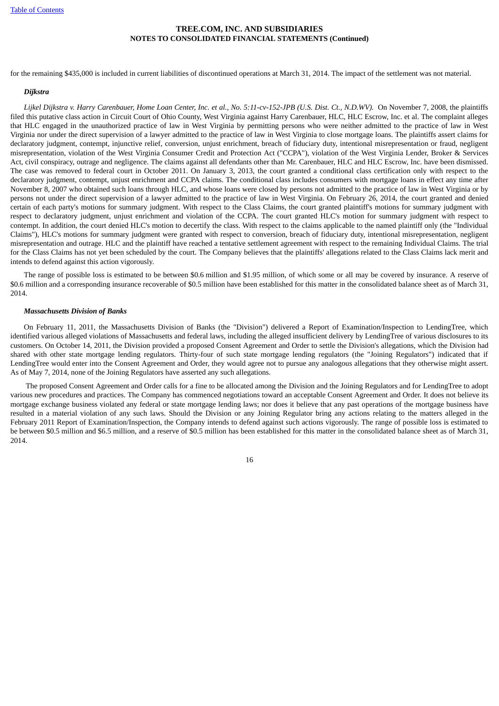for the remaining \$435,000 is included in current liabilities of discontinued operations at March 31, 2014. The impact of the settlement was not material.

#### *Dijkstra*

Lijkel Dijkstra v. Harry Carenbauer, Home Loan Center, Inc. et al., No. 5:11-cv-152-JPB (U.S. Dist. Ct., N.D.WV). On November 7, 2008, the plaintiffs filed this putative class action in Circuit Court of Ohio County, West Virginia against Harry Carenbauer, HLC, HLC Escrow, Inc. et al. The complaint alleges that HLC engaged in the unauthorized practice of law in West Virginia by permitting persons who were neither admitted to the practice of law in West Virginia nor under the direct supervision of a lawyer admitted to the practice of law in West Virginia to close mortgage loans. The plaintiffs assert claims for declaratory judgment, contempt, injunctive relief, conversion, unjust enrichment, breach of fiduciary duty, intentional misrepresentation or fraud, negligent misrepresentation, violation of the West Virginia Consumer Credit and Protection Act ("CCPA"), violation of the West Virginia Lender, Broker & Services Act, civil conspiracy, outrage and negligence. The claims against all defendants other than Mr. Carenbauer, HLC and HLC Escrow, Inc. have been dismissed. The case was removed to federal court in October 2011. On January 3, 2013, the court granted a conditional class certification only with respect to the declaratory judgment, contempt, unjust enrichment and CCPA claims. The conditional class includes consumers with mortgage loans in effect any time after November 8, 2007 who obtained such loans through HLC, and whose loans were closed by persons not admitted to the practice of law in West Virginia or by persons not under the direct supervision of a lawyer admitted to the practice of law in West Virginia. On February 26, 2014, the court granted and denied certain of each party's motions for summary judgment. With respect to the Class Claims, the court granted plaintiff's motions for summary judgment with respect to declaratory judgment, unjust enrichment and violation of the CCPA. The court granted HLC's motion for summary judgment with respect to contempt. In addition, the court denied HLC's motion to decertify the class. With respect to the claims applicable to the named plaintiff only (the "Individual Claims"), HLC's motions for summary judgment were granted with respect to conversion, breach of fiduciary duty, intentional misrepresentation, negligent misrepresentation and outrage. HLC and the plaintiff have reached a tentative settlement agreement with respect to the remaining Individual Claims. The trial for the Class Claims has not yet been scheduled by the court. The Company believes that the plaintiffs' allegations related to the Class Claims lack merit and intends to defend against this action vigorously.

The range of possible loss is estimated to be between \$0.6 million and \$1.95 million, of which some or all may be covered by insurance. A reserve of \$0.6 million and a corresponding insurance recoverable of \$0.5 million have been established for this matter in the consolidated balance sheet as of March 31, 2014.

#### *Massachusetts Division of Banks*

On February 11, 2011, the Massachusetts Division of Banks (the "Division") delivered a Report of Examination/Inspection to LendingTree, which identified various alleged violations of Massachusetts and federal laws, including the alleged insufficient delivery by LendingTree of various disclosures to its customers. On October 14, 2011, the Division provided a proposed Consent Agreement and Order to settle the Division's allegations, which the Division had shared with other state mortgage lending regulators. Thirty-four of such state mortgage lending regulators (the "Joining Regulators") indicated that if LendingTree would enter into the Consent Agreement and Order, they would agree not to pursue any analogous allegations that they otherwise might assert. As of May 7, 2014, none of the Joining Regulators have asserted any such allegations.

The proposed Consent Agreement and Order calls for a fine to be allocated among the Division and the Joining Regulators and for LendingTree to adopt various new procedures and practices. The Company has commenced negotiations toward an acceptable Consent Agreement and Order. It does not believe its mortgage exchange business violated any federal or state mortgage lending laws; nor does it believe that any past operations of the mortgage business have resulted in a material violation of any such laws. Should the Division or any Joining Regulator bring any actions relating to the matters alleged in the February 2011 Report of Examination/Inspection, the Company intends to defend against such actions vigorously. The range of possible loss is estimated to be between \$0.5 million and \$6.5 million, and a reserve of \$0.5 million has been established for this matter in the consolidated balance sheet as of March 31, 2014.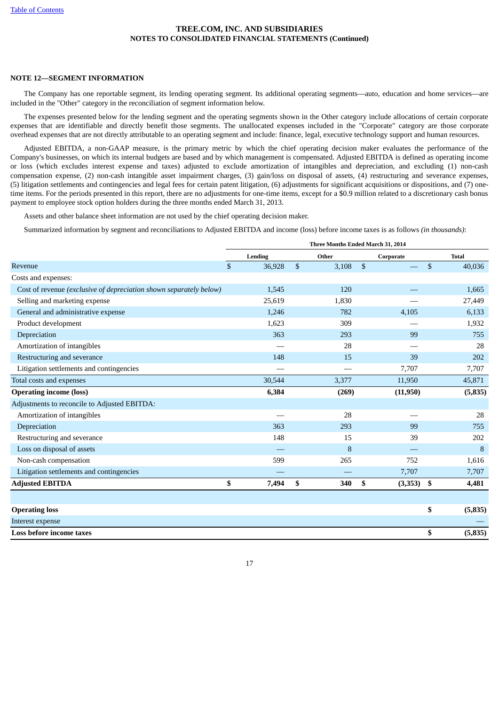# **NOTE 12—SEGMENT INFORMATION**

The Company has one reportable segment, its lending operating segment. Its additional operating segments—auto, education and home services—are included in the "Other" category in the reconciliation of segment information below.

The expenses presented below for the lending segment and the operating segments shown in the Other category include allocations of certain corporate expenses that are identifiable and directly benefit those segments. The unallocated expenses included in the "Corporate" category are those corporate overhead expenses that are not directly attributable to an operating segment and include: finance, legal, executive technology support and human resources.

Adjusted EBITDA, a non-GAAP measure, is the primary metric by which the chief operating decision maker evaluates the performance of the Company's businesses, on which its internal budgets are based and by which management is compensated. Adjusted EBITDA is defined as operating income or loss (which excludes interest expense and taxes) adjusted to exclude amortization of intangibles and depreciation, and excluding (1) non-cash compensation expense, (2) non-cash intangible asset impairment charges, (3) gain/loss on disposal of assets, (4) restructuring and severance expenses, (5) litigation settlements and contingencies and legal fees for certain patent litigation, (6) adjustments for significant acquisitions or dispositions, and (7) onetime items. For the periods presented in this report, there are no adjustments for one-time items, except for a \$0.9 million related to a discretionary cash bonus payment to employee stock option holders during the three months ended March 31, 2013.

Assets and other balance sheet information are not used by the chief operating decision maker.

Summarized information by segment and reconciliations to Adjusted EBITDA and income (loss) before income taxes is as follows *(in thousands)*:

|                                                                    | Three Months Ended March 31, 2014 |         |      |       |            |              |    |              |
|--------------------------------------------------------------------|-----------------------------------|---------|------|-------|------------|--------------|----|--------------|
|                                                                    |                                   | Lending |      | Other |            | Corporate    |    | <b>Total</b> |
| Revenue                                                            | $\$$                              | 36,928  | $\$$ | 3,108 | $\sqrt{3}$ |              | \$ | 40,036       |
| Costs and expenses:                                                |                                   |         |      |       |            |              |    |              |
| Cost of revenue (exclusive of depreciation shown separately below) |                                   | 1,545   |      | 120   |            |              |    | 1,665        |
| Selling and marketing expense                                      |                                   | 25,619  |      | 1,830 |            |              |    | 27,449       |
| General and administrative expense                                 |                                   | 1,246   |      | 782   |            | 4,105        |    | 6,133        |
| Product development                                                |                                   | 1,623   |      | 309   |            |              |    | 1,932        |
| Depreciation                                                       |                                   | 363     |      | 293   |            | 99           |    | 755          |
| Amortization of intangibles                                        |                                   |         |      | 28    |            |              |    | 28           |
| Restructuring and severance                                        |                                   | 148     |      | 15    |            | 39           |    | 202          |
| Litigation settlements and contingencies                           |                                   |         |      |       |            | 7,707        |    | 7,707        |
| Total costs and expenses                                           |                                   | 30,544  |      | 3,377 |            | 11,950       |    | 45,871       |
| <b>Operating income (loss)</b>                                     |                                   | 6,384   |      | (269) |            | (11, 950)    |    | (5, 835)     |
| Adjustments to reconcile to Adjusted EBITDA:                       |                                   |         |      |       |            |              |    |              |
| Amortization of intangibles                                        |                                   |         |      | 28    |            |              |    | 28           |
| Depreciation                                                       |                                   | 363     |      | 293   |            | 99           |    | 755          |
| Restructuring and severance                                        |                                   | 148     |      | 15    |            | 39           |    | 202          |
| Loss on disposal of assets                                         |                                   |         |      | 8     |            |              |    | 8            |
| Non-cash compensation                                              |                                   | 599     |      | 265   |            | 752          |    | 1,616        |
| Litigation settlements and contingencies                           |                                   |         |      |       |            | 7,707        |    | 7,707        |
| <b>Adjusted EBITDA</b>                                             | \$                                | 7,494   | \$   | 340   | \$         | $(3,353)$ \$ |    | 4,481        |
|                                                                    |                                   |         |      |       |            |              |    |              |
| <b>Operating loss</b>                                              |                                   |         |      |       |            |              | \$ | (5, 835)     |
| Interest expense                                                   |                                   |         |      |       |            |              |    |              |
| Loss before income taxes                                           |                                   |         |      |       |            |              | \$ | (5, 835)     |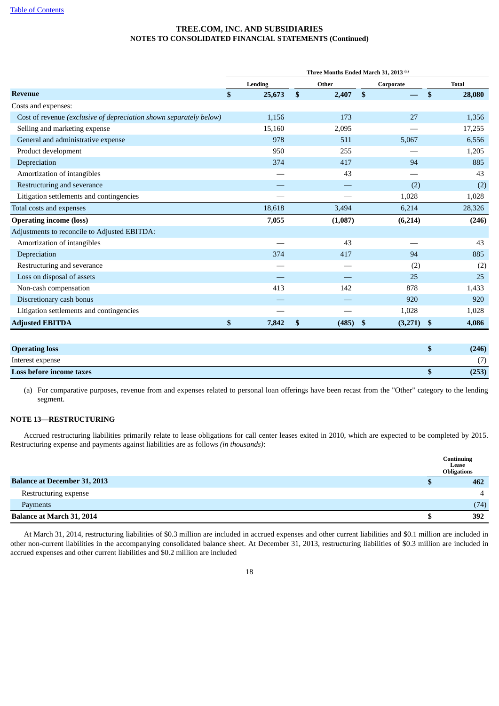|                                                                    | Three Months Ended March 31, 2013 (a) |         |    |         |                           |              |              |              |
|--------------------------------------------------------------------|---------------------------------------|---------|----|---------|---------------------------|--------------|--------------|--------------|
|                                                                    |                                       | Lending |    | Other   |                           | Corporate    |              | <b>Total</b> |
| <b>Revenue</b>                                                     | $\$$                                  | 25,673  | \$ | 2,407   | \$                        |              | $\mathbf{s}$ | 28,080       |
| Costs and expenses:                                                |                                       |         |    |         |                           |              |              |              |
| Cost of revenue (exclusive of depreciation shown separately below) |                                       | 1,156   |    | 173     |                           | 27           |              | 1,356        |
| Selling and marketing expense                                      |                                       | 15,160  |    | 2,095   |                           |              |              | 17,255       |
| General and administrative expense                                 |                                       | 978     |    | 511     |                           | 5,067        |              | 6,556        |
| Product development                                                |                                       | 950     |    | 255     |                           |              |              | 1,205        |
| Depreciation                                                       |                                       | 374     |    | 417     |                           | 94           |              | 885          |
| Amortization of intangibles                                        |                                       |         |    | 43      |                           |              |              | 43           |
| Restructuring and severance                                        |                                       |         |    |         |                           | (2)          |              | (2)          |
| Litigation settlements and contingencies                           |                                       |         |    |         |                           | 1,028        |              | 1,028        |
| Total costs and expenses                                           |                                       | 18,618  |    | 3,494   |                           | 6,214        |              | 28,326       |
| <b>Operating income (loss)</b>                                     |                                       | 7,055   |    | (1,087) |                           | (6,214)      |              | (246)        |
| Adjustments to reconcile to Adjusted EBITDA:                       |                                       |         |    |         |                           |              |              |              |
| Amortization of intangibles                                        |                                       |         |    | 43      |                           |              |              | 43           |
| Depreciation                                                       |                                       | 374     |    | 417     |                           | 94           |              | 885          |
| Restructuring and severance                                        |                                       |         |    |         |                           | (2)          |              | (2)          |
| Loss on disposal of assets                                         |                                       |         |    |         |                           | 25           |              | 25           |
| Non-cash compensation                                              |                                       | 413     |    | 142     |                           | 878          |              | 1,433        |
| Discretionary cash bonus                                           |                                       |         |    |         |                           | 920          |              | 920          |
| Litigation settlements and contingencies                           |                                       |         |    |         |                           | 1,028        |              | 1,028        |
| <b>Adjusted EBITDA</b>                                             | \$                                    | 7,842   | \$ | (485)   | $\boldsymbol{\mathsf{s}}$ | $(3,271)$ \$ |              | 4,086        |
|                                                                    |                                       |         |    |         |                           |              |              |              |
| the contract of the contract of the                                |                                       |         |    |         |                           |              |              | $\sim$       |

| <b>Operating loss</b>    | (246)      |
|--------------------------|------------|
| Interest expense         | $\sqrt{7}$ |
| Loss before income taxes | (253)      |

(a) For comparative purposes, revenue from and expenses related to personal loan offerings have been recast from the "Other" category to the lending segment.

# **NOTE 13—RESTRUCTURING**

Accrued restructuring liabilities primarily relate to lease obligations for call center leases exited in 2010, which are expected to be completed by 2015. Restructuring expense and payments against liabilities are as follows *(in thousands)*:

|                                     |   | Continuing<br>Lease<br><b>Obligations</b> |
|-------------------------------------|---|-------------------------------------------|
| <b>Balance at December 31, 2013</b> | w | 462                                       |
| Restructuring expense               |   | $\overline{4}$                            |
| Payments                            |   | (74)                                      |
| Balance at March 31, 2014           |   | 392                                       |

At March 31, 2014, restructuring liabilities of \$0.3 million are included in accrued expenses and other current liabilities and \$0.1 million are included in other non-current liabilities in the accompanying consolidated balance sheet. At December 31, 2013, restructuring liabilities of \$0.3 million are included in accrued expenses and other current liabilities and \$0.2 million are included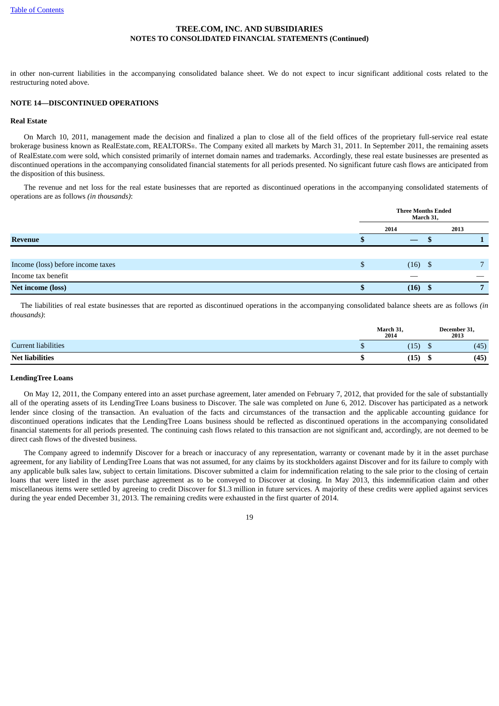in other non-current liabilities in the accompanying consolidated balance sheet. We do not expect to incur significant additional costs related to the restructuring noted above.

#### **NOTE 14—DISCONTINUED OPERATIONS**

### **Real Estate**

On March 10, 2011, management made the decision and finalized a plan to close all of the field offices of the proprietary full-service real estate brokerage business known as RealEstate.com, REALTORS®. The Company exited all markets by March 31, 2011. In September 2011, the remaining assets of RealEstate.com were sold, which consisted primarily of internet domain names and trademarks. Accordingly, these real estate businesses are presented as discontinued operations in the accompanying consolidated financial statements for all periods presented. No significant future cash flows are anticipated from the disposition of this business.

The revenue and net loss for the real estate businesses that are reported as discontinued operations in the accompanying consolidated statements of operations are as follows *(in thousands)*:

|                                   | <b>Three Months Ended</b><br>March 31, |           |     |      |
|-----------------------------------|----------------------------------------|-----------|-----|------|
|                                   |                                        | 2014      |     | 2013 |
| <b>Revenue</b>                    |                                        |           |     |      |
|                                   |                                        |           |     |      |
| Income (loss) before income taxes |                                        | $(16)$ \$ |     |      |
| Income tax benefit                |                                        |           |     |      |
| <b>Net income (loss)</b>          |                                        | (16)      | - 5 |      |

The liabilities of real estate businesses that are reported as discontinued operations in the accompanying consolidated balance sheets are as follows *(in thousands)*:

|                            | March 31,<br>2014             |     | December 31,<br>2013 |
|----------------------------|-------------------------------|-----|----------------------|
| <b>Current liabilities</b> | $\sim$ $\sim$ $\sim$<br>ا ك 1 | ╜   | (45)                 |
| <b>Net liabilities</b>     | (15)                          | мJ. | (45)                 |

### **LendingTree Loans**

On May 12, 2011, the Company entered into an asset purchase agreement, later amended on February 7, 2012, that provided for the sale of substantially all of the operating assets of its LendingTree Loans business to Discover. The sale was completed on June 6, 2012. Discover has participated as a network lender since closing of the transaction. An evaluation of the facts and circumstances of the transaction and the applicable accounting guidance for discontinued operations indicates that the LendingTree Loans business should be reflected as discontinued operations in the accompanying consolidated financial statements for all periods presented. The continuing cash flows related to this transaction are not significant and, accordingly, are not deemed to be direct cash flows of the divested business.

The Company agreed to indemnify Discover for a breach or inaccuracy of any representation, warranty or covenant made by it in the asset purchase agreement, for any liability of LendingTree Loans that was not assumed, for any claims by its stockholders against Discover and for its failure to comply with any applicable bulk sales law, subject to certain limitations. Discover submitted a claim for indemnification relating to the sale prior to the closing of certain loans that were listed in the asset purchase agreement as to be conveyed to Discover at closing. In May 2013, this indemnification claim and other miscellaneous items were settled by agreeing to credit Discover for \$1.3 million in future services. A majority of these credits were applied against services during the year ended December 31, 2013. The remaining credits were exhausted in the first quarter of 2014.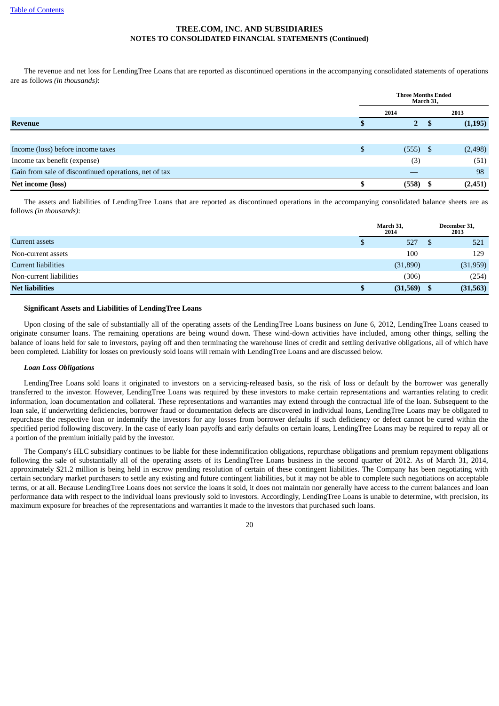The revenue and net loss for LendingTree Loans that are reported as discontinued operations in the accompanying consolidated statements of operations are as follows *(in thousands)*:

|                                                       | <b>Three Months Ended</b><br>March 31, |                |     |          |  |
|-------------------------------------------------------|----------------------------------------|----------------|-----|----------|--|
|                                                       |                                        | 2014           |     | 2013     |  |
| <b>Revenue</b>                                        |                                        | $\overline{2}$ | Ъ   | (1, 195) |  |
|                                                       |                                        |                |     |          |  |
| Income (loss) before income taxes                     |                                        | $(555)$ \$     |     | (2,498)  |  |
| Income tax benefit (expense)                          |                                        | (3)            |     | (51)     |  |
| Gain from sale of discontinued operations, net of tax |                                        |                |     | 98       |  |
| Net income (loss)                                     |                                        | (558)          | - 5 | (2, 451) |  |

The assets and liabilities of LendingTree Loans that are reported as discontinued operations in the accompanying consolidated balance sheets are as follows *(in thousands)*:

|                         | March 31,<br>2014 |   | December 31,<br>2013 |
|-------------------------|-------------------|---|----------------------|
| Current assets          | 527               | Ъ | 521                  |
| Non-current assets      | 100               |   | 129                  |
| Current liabilities     | (31,890)          |   | (31, 959)            |
| Non-current liabilities | (306)             |   | (254)                |
| <b>Net liabilities</b>  | (31, 569)         |   | (31, 563)            |

## **Significant Assets and Liabilities of LendingTree Loans**

Upon closing of the sale of substantially all of the operating assets of the LendingTree Loans business on June 6, 2012, LendingTree Loans ceased to originate consumer loans. The remaining operations are being wound down. These wind-down activities have included, among other things, selling the balance of loans held for sale to investors, paying off and then terminating the warehouse lines of credit and settling derivative obligations, all of which have been completed. Liability for losses on previously sold loans will remain with LendingTree Loans and are discussed below.

#### *Loan Loss Obligations*

LendingTree Loans sold loans it originated to investors on a servicing-released basis, so the risk of loss or default by the borrower was generally transferred to the investor. However, LendingTree Loans was required by these investors to make certain representations and warranties relating to credit information, loan documentation and collateral. These representations and warranties may extend through the contractual life of the loan. Subsequent to the loan sale, if underwriting deficiencies, borrower fraud or documentation defects are discovered in individual loans, LendingTree Loans may be obligated to repurchase the respective loan or indemnify the investors for any losses from borrower defaults if such deficiency or defect cannot be cured within the specified period following discovery. In the case of early loan payoffs and early defaults on certain loans, LendingTree Loans may be required to repay all or a portion of the premium initially paid by the investor.

The Company's HLC subsidiary continues to be liable for these indemnification obligations, repurchase obligations and premium repayment obligations following the sale of substantially all of the operating assets of its LendingTree Loans business in the second quarter of 2012. As of March 31, 2014, approximately \$21.2 million is being held in escrow pending resolution of certain of these contingent liabilities. The Company has been negotiating with certain secondary market purchasers to settle any existing and future contingent liabilities, but it may not be able to complete such negotiations on acceptable terms, or at all. Because LendingTree Loans does not service the loans it sold, it does not maintain nor generally have access to the current balances and loan performance data with respect to the individual loans previously sold to investors. Accordingly, LendingTree Loans is unable to determine, with precision, its maximum exposure for breaches of the representations and warranties it made to the investors that purchased such loans.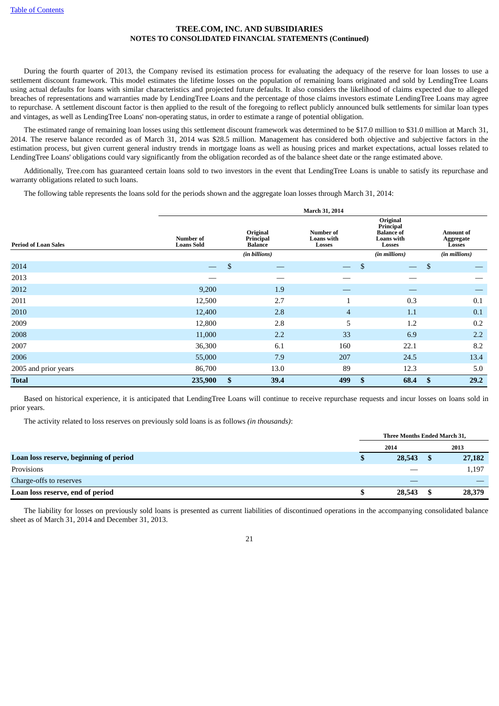During the fourth quarter of 2013, the Company revised its estimation process for evaluating the adequacy of the reserve for loan losses to use a settlement discount framework. This model estimates the lifetime losses on the population of remaining loans originated and sold by LendingTree Loans using actual defaults for loans with similar characteristics and projected future defaults. It also considers the likelihood of claims expected due to alleged breaches of representations and warranties made by LendingTree Loans and the percentage of those claims investors estimate LendingTree Loans may agree to repurchase. A settlement discount factor is then applied to the result of the foregoing to reflect publicly announced bulk settlements for similar loan types and vintages, as well as LendingTree Loans' non-operating status, in order to estimate a range of potential obligation.

The estimated range of remaining loan losses using this settlement discount framework was determined to be \$17.0 million to \$31.0 million at March 31, 2014. The reserve balance recorded as of March 31, 2014 was \$28.5 million. Management has considered both objective and subjective factors in the estimation process, but given current general industry trends in mortgage loans as well as housing prices and market expectations, actual losses related to LendingTree Loans' obligations could vary significantly from the obligation recorded as of the balance sheet date or the range estimated above.

Additionally, Tree.com has guaranteed certain loans sold to two investors in the event that LendingTree Loans is unable to satisfy its repurchase and warranty obligations related to such loans.

The following table represents the loans sold for the periods shown and the aggregate loan losses through March 31, 2014:

|                             |                                       |                                                          | March 31, 2014                           |                                                                                                   |                                                          |
|-----------------------------|---------------------------------------|----------------------------------------------------------|------------------------------------------|---------------------------------------------------------------------------------------------------|----------------------------------------------------------|
| <b>Period of Loan Sales</b> | <b>Number of</b><br><b>Loans Sold</b> | Original<br>Principal<br><b>Balance</b><br>(in billions) | <b>Number of</b><br>Loans with<br>Losses | Original<br><b>Principal</b><br><b>Balance of</b><br><b>Loans</b> with<br>Losses<br>(in millions) | <b>Amount of</b><br>Aggregate<br>Losses<br>(in millions) |
|                             |                                       |                                                          |                                          |                                                                                                   |                                                          |
| 2014                        |                                       | \$                                                       |                                          | \$                                                                                                | \$                                                       |
| 2013                        |                                       | __                                                       |                                          |                                                                                                   |                                                          |
| 2012                        | 9,200                                 | 1.9                                                      |                                          |                                                                                                   |                                                          |
| 2011                        | 12,500                                | 2.7                                                      |                                          | 0.3                                                                                               | 0.1                                                      |
| 2010                        | 12,400                                | 2.8                                                      | 4                                        | 1.1                                                                                               | 0.1                                                      |
| 2009                        | 12,800                                | 2.8                                                      | 5                                        | 1.2                                                                                               | 0.2                                                      |
| 2008                        | 11,000                                | 2.2                                                      | 33                                       | 6.9                                                                                               | 2.2                                                      |
| 2007                        | 36,300                                | 6.1                                                      | 160                                      | 22.1                                                                                              | 8.2                                                      |
| 2006                        | 55,000                                | 7.9                                                      | 207                                      | 24.5                                                                                              | 13.4                                                     |
| 2005 and prior years        | 86,700                                | 13.0                                                     | 89                                       | 12.3                                                                                              | 5.0                                                      |
| <b>Total</b>                | 235,900                               | \$<br>39.4                                               | 499                                      | \$<br>68.4                                                                                        | \$<br>29.2                                               |

Based on historical experience, it is anticipated that LendingTree Loans will continue to receive repurchase requests and incur losses on loans sold in prior years.

The activity related to loss reserves on previously sold loans is as follows *(in thousands)*:

|                                        | Three Months Ended March 31, |  |        |  |
|----------------------------------------|------------------------------|--|--------|--|
|                                        | 2014                         |  | 2013   |  |
| Loan loss reserve, beginning of period | 28,543                       |  | 27,182 |  |
| Provisions                             |                              |  | 1,197  |  |
| Charge-offs to reserves                |                              |  |        |  |
| Loan loss reserve, end of period       | 28,543                       |  | 28,379 |  |

<span id="page-20-0"></span>The liability for losses on previously sold loans is presented as current liabilities of discontinued operations in the accompanying consolidated balance sheet as of March 31, 2014 and December 31, 2013.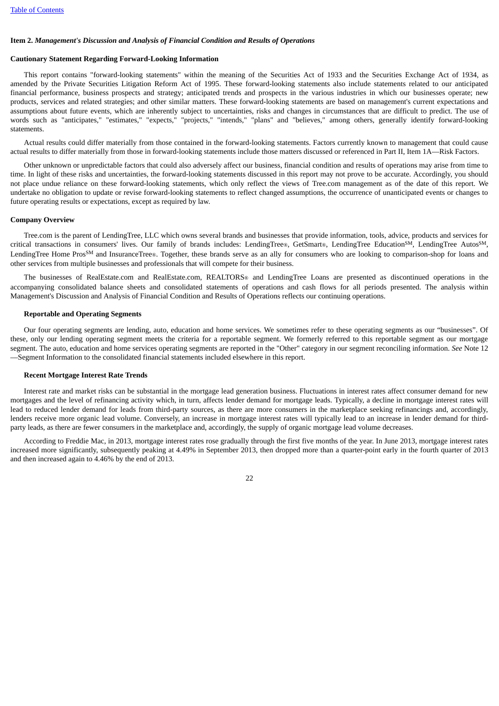#### **Item 2.** *Management's Discussion and Analysis of Financial Condition and Results of Operations*

#### **Cautionary Statement Regarding Forward-Looking Information**

This report contains "forward-looking statements" within the meaning of the Securities Act of 1933 and the Securities Exchange Act of 1934, as amended by the Private Securities Litigation Reform Act of 1995. These forward-looking statements also include statements related to our anticipated financial performance, business prospects and strategy; anticipated trends and prospects in the various industries in which our businesses operate; new products, services and related strategies; and other similar matters. These forward-looking statements are based on management's current expectations and assumptions about future events, which are inherently subject to uncertainties, risks and changes in circumstances that are difficult to predict. The use of words such as "anticipates," "estimates," "expects," "projects," "intends," "plans" and "believes," among others, generally identify forward-looking statements.

Actual results could differ materially from those contained in the forward-looking statements. Factors currently known to management that could cause actual results to differ materially from those in forward-looking statements include those matters discussed or referenced in Part II, Item 1A—Risk Factors.

Other unknown or unpredictable factors that could also adversely affect our business, financial condition and results of operations may arise from time to time. In light of these risks and uncertainties, the forward-looking statements discussed in this report may not prove to be accurate. Accordingly, you should not place undue reliance on these forward-looking statements, which only reflect the views of Tree.com management as of the date of this report. We undertake no obligation to update or revise forward-looking statements to reflect changed assumptions, the occurrence of unanticipated events or changes to future operating results or expectations, except as required by law.

#### **Company Overview**

Tree.com is the parent of LendingTree, LLC which owns several brands and businesses that provide information, tools, advice, products and services for critical transactions in consumers' lives. Our family of brands includes: LendingTree®, GetSmart®, LendingTree Education<sup>SM</sup>, LendingTree Autos<sup>SM</sup>, LendingTree Home Pros<sup>SM</sup> and InsuranceTree®. Together, these brands serve as an ally for consumers who are looking to comparison-shop for loans and other services from multiple businesses and professionals that will compete for their business.

The businesses of RealEstate.com and RealEstate.com, REALTORS® and LendingTree Loans are presented as discontinued operations in the accompanying consolidated balance sheets and consolidated statements of operations and cash flows for all periods presented. The analysis within Management's Discussion and Analysis of Financial Condition and Results of Operations reflects our continuing operations.

#### **Reportable and Operating Segments**

Our four operating segments are lending, auto, education and home services. We sometimes refer to these operating segments as our "businesses". Of these, only our lending operating segment meets the criteria for a reportable segment. We formerly referred to this reportable segment as our mortgage segment. The auto, education and home services operating segments are reported in the "Other" category in our segment reconciling information. *See* Note 12 —Segment Information to the consolidated financial statements included elsewhere in this report.

#### **Recent Mortgage Interest Rate Trends**

Interest rate and market risks can be substantial in the mortgage lead generation business. Fluctuations in interest rates affect consumer demand for new mortgages and the level of refinancing activity which, in turn, affects lender demand for mortgage leads. Typically, a decline in mortgage interest rates will lead to reduced lender demand for leads from third-party sources, as there are more consumers in the marketplace seeking refinancings and, accordingly, lenders receive more organic lead volume. Conversely, an increase in mortgage interest rates will typically lead to an increase in lender demand for thirdparty leads, as there are fewer consumers in the marketplace and, accordingly, the supply of organic mortgage lead volume decreases.

According to Freddie Mac, in 2013, mortgage interest rates rose gradually through the first five months of the year. In June 2013, mortgage interest rates increased more significantly, subsequently peaking at 4.49% in September 2013, then dropped more than a quarter-point early in the fourth quarter of 2013 and then increased again to 4.46% by the end of 2013.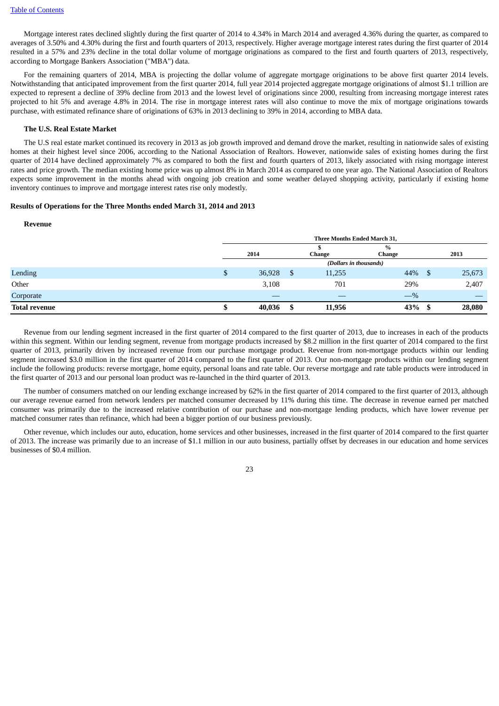Mortgage interest rates declined slightly during the first quarter of 2014 to 4.34% in March 2014 and averaged 4.36% during the quarter, as compared to averages of 3.50% and 4.30% during the first and fourth quarters of 2013, respectively. Higher average mortgage interest rates during the first quarter of 2014 resulted in a 57% and 23% decline in the total dollar volume of mortgage originations as compared to the first and fourth quarters of 2013, respectively, according to Mortgage Bankers Association ("MBA") data.

For the remaining quarters of 2014, MBA is projecting the dollar volume of aggregate mortgage originations to be above first quarter 2014 levels. Notwithstanding that anticipated improvement from the first quarter 2014, full year 2014 projected aggregate mortgage originations of almost \$1.1 trillion are expected to represent a decline of 39% decline from 2013 and the lowest level of originations since 2000, resulting from increasing mortgage interest rates projected to hit 5% and average 4.8% in 2014. The rise in mortgage interest rates will also continue to move the mix of mortgage originations towards purchase, with estimated refinance share of originations of 63% in 2013 declining to 39% in 2014, according to MBA data.

#### **The U.S. Real Estate Market**

The U.S real estate market continued its recovery in 2013 as job growth improved and demand drove the market, resulting in nationwide sales of existing homes at their highest level since 2006, according to the National Association of Realtors. However, nationwide sales of existing homes during the first quarter of 2014 have declined approximately 7% as compared to both the first and fourth quarters of 2013, likely associated with rising mortgage interest rates and price growth. The median existing home price was up almost 8% in March 2014 as compared to one year ago. The National Association of Realtors expects some improvement in the months ahead with ongoing job creation and some weather delayed shopping activity, particularly if existing home inventory continues to improve and mortgage interest rates rise only modestly.

#### **Results of Operations for the Three Months ended March 31, 2014 and 2013**

#### **Revenue**

|                      |    | Three Months Ended March 31, |   |                        |                |      |        |
|----------------------|----|------------------------------|---|------------------------|----------------|------|--------|
|                      |    | 2014                         |   | <b>Change</b>          | $\%$<br>Change |      | 2013   |
|                      |    |                              |   | (Dollars in thousands) |                |      |        |
| Lending              | P  | 36,928                       | S | 11,255                 | 44%            | \$   | 25,673 |
| Other                |    | 3,108                        |   | 701                    | 29%            |      | 2,407  |
| Corporate            |    | $-$                          |   |                        | $-$ %          |      | –      |
| <b>Total revenue</b> | ۰υ | 40,036                       | S | 11,956                 | 43%            | - \$ | 28,080 |

Revenue from our lending segment increased in the first quarter of 2014 compared to the first quarter of 2013, due to increases in each of the products within this segment. Within our lending segment, revenue from mortgage products increased by \$8.2 million in the first quarter of 2014 compared to the first quarter of 2013, primarily driven by increased revenue from our purchase mortgage product. Revenue from non-mortgage products within our lending segment increased \$3.0 million in the first quarter of 2014 compared to the first quarter of 2013. Our non-mortgage products within our lending segment include the following products: reverse mortgage, home equity, personal loans and rate table. Our reverse mortgage and rate table products were introduced in the first quarter of 2013 and our personal loan product was re-launched in the third quarter of 2013.

The number of consumers matched on our lending exchange increased by 62% in the first quarter of 2014 compared to the first quarter of 2013, although our average revenue earned from network lenders per matched consumer decreased by 11% during this time. The decrease in revenue earned per matched consumer was primarily due to the increased relative contribution of our purchase and non-mortgage lending products, which have lower revenue per matched consumer rates than refinance, which had been a bigger portion of our business previously.

Other revenue, which includes our auto, education, home services and other businesses, increased in the first quarter of 2014 compared to the first quarter of 2013. The increase was primarily due to an increase of \$1.1 million in our auto business, partially offset by decreases in our education and home services businesses of \$0.4 million.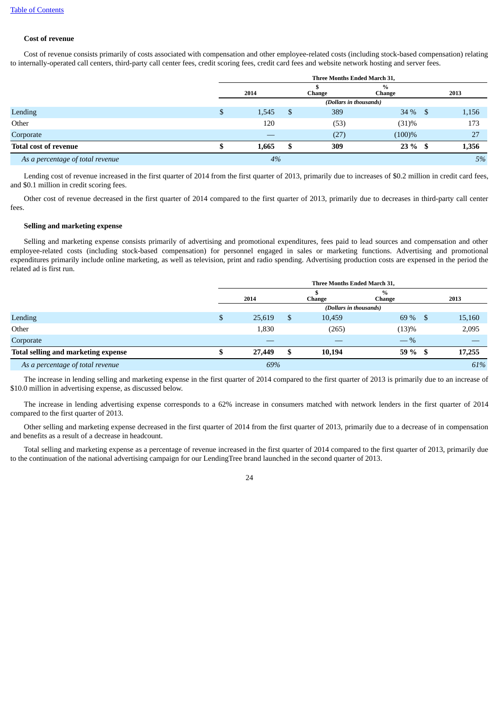### **Cost of revenue**

Cost of revenue consists primarily of costs associated with compensation and other employee-related costs (including stock-based compensation) relating to internally-operated call centers, third-party call center fees, credit scoring fees, credit card fees and website network hosting and server fees.

|                                  | Three Months Ended March 31, |      |                        |                         |  |       |  |
|----------------------------------|------------------------------|------|------------------------|-------------------------|--|-------|--|
|                                  | 2014                         |      | Change                 | $\frac{0}{0}$<br>Change |  | 2013  |  |
|                                  |                              |      | (Dollars in thousands) |                         |  |       |  |
| Lending                          | 1,545                        | -S   | 389                    | $34\%$ \$               |  | 1,156 |  |
| Other                            | 120                          |      | (53)                   | (31)%                   |  | 173   |  |
| Corporate                        |                              |      | (27)                   | $(100)\%$               |  | 27    |  |
| <b>Total cost of revenue</b>     | 1,665                        | - \$ | 309                    | $23 \%$ \$              |  | 1,356 |  |
| As a percentage of total revenue | 4%                           |      |                        |                         |  | 5%    |  |

Lending cost of revenue increased in the first quarter of 2014 from the first quarter of 2013, primarily due to increases of \$0.2 million in credit card fees, and \$0.1 million in credit scoring fees.

Other cost of revenue decreased in the first quarter of 2014 compared to the first quarter of 2013, primarily due to decreases in third-party call center fees.

### **Selling and marketing expense**

Selling and marketing expense consists primarily of advertising and promotional expenditures, fees paid to lead sources and compensation and other employee-related costs (including stock-based compensation) for personnel engaged in sales or marketing functions. Advertising and promotional expenditures primarily include online marketing, as well as television, print and radio spending. Advertising production costs are expensed in the period the related ad is first run.

|                                     | Three Months Ended March 31, |    |        |                        |    |        |  |
|-------------------------------------|------------------------------|----|--------|------------------------|----|--------|--|
|                                     | 2014                         |    | Change | $\%$<br>Change         |    | 2013   |  |
|                                     |                              |    |        | (Dollars in thousands) |    |        |  |
| Lending                             | 25,619                       | \$ | 10,459 | 69 %                   |    | 15,160 |  |
| Other                               | 1,830                        |    | (265)  | (13)%                  |    | 2,095  |  |
| Corporate                           |                              |    | __     | $-$ %                  |    |        |  |
| Total selling and marketing expense | 27,449                       | \$ | 10,194 | <b>59 %</b>            | -S | 17,255 |  |
| As a percentage of total revenue    | 69%                          |    |        |                        |    | 61%    |  |

The increase in lending selling and marketing expense in the first quarter of 2014 compared to the first quarter of 2013 is primarily due to an increase of \$10.0 million in advertising expense, as discussed below.

The increase in lending advertising expense corresponds to a 62% increase in consumers matched with network lenders in the first quarter of 2014 compared to the first quarter of 2013.

Other selling and marketing expense decreased in the first quarter of 2014 from the first quarter of 2013, primarily due to a decrease of in compensation and benefits as a result of a decrease in headcount.

Total selling and marketing expense as a percentage of revenue increased in the first quarter of 2014 compared to the first quarter of 2013, primarily due to the continuation of the national advertising campaign for our LendingTree brand launched in the second quarter of 2013.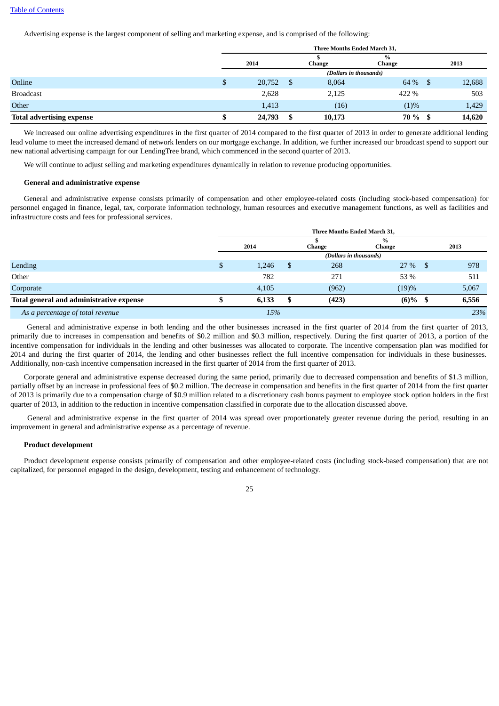Advertising expense is the largest component of selling and marketing expense, and is comprised of the following:

|                                  |   | Three Months Ended March 31, |    |                        |                |  |        |
|----------------------------------|---|------------------------------|----|------------------------|----------------|--|--------|
|                                  |   | 2014                         |    | Change                 | $\%$<br>Change |  | 2013   |
|                                  |   |                              |    | (Dollars in thousands) |                |  |        |
| Online                           | Φ | 20,752                       | \$ | 8,064                  | $64\%$ \$      |  | 12,688 |
| <b>Broadcast</b>                 |   | 2,628                        |    | 2,125                  | 422 %          |  | 503    |
| Other                            |   | 1,413                        |    | (16)                   | (1)%           |  | 1,429  |
| <b>Total advertising expense</b> |   | 24,793                       |    | 10,173                 | 70 % \$        |  | 14,620 |

We increased our online advertising expenditures in the first quarter of 2014 compared to the first quarter of 2013 in order to generate additional lending lead volume to meet the increased demand of network lenders on our mortgage exchange. In addition, we further increased our broadcast spend to support our new national advertising campaign for our LendingTree brand, which commenced in the second quarter of 2013.

We will continue to adjust selling and marketing expenditures dynamically in relation to revenue producing opportunities.

#### **General and administrative expense**

General and administrative expense consists primarily of compensation and other employee-related costs (including stock-based compensation) for personnel engaged in finance, legal, tax, corporate information technology, human resources and executive management functions, as well as facilities and infrastructure costs and fees for professional services.

|                                          | Three Months Ended March 31, |    |                        |                         |  |       |  |
|------------------------------------------|------------------------------|----|------------------------|-------------------------|--|-------|--|
|                                          | 2014                         |    | Change                 | $\frac{9}{6}$<br>Change |  | 2013  |  |
|                                          |                              |    | (Dollars in thousands) |                         |  |       |  |
| Lending                                  | 1,246                        | -S | 268                    | $27\%$ \$               |  | 978   |  |
| Other                                    | 782                          |    | 271                    | 53 %                    |  | 511   |  |
| Corporate                                | 4,105                        |    | (962)                  | (19)%                   |  | 5,067 |  |
| Total general and administrative expense | 6,133                        | S. | (423)                  | $(6)\%$ \$              |  | 6,556 |  |
| As a percentage of total revenue         | 15%                          |    |                        |                         |  | 23%   |  |

General and administrative expense in both lending and the other businesses increased in the first quarter of 2014 from the first quarter of 2013, primarily due to increases in compensation and benefits of \$0.2 million and \$0.3 million, respectively. During the first quarter of 2013, a portion of the incentive compensation for individuals in the lending and other businesses was allocated to corporate. The incentive compensation plan was modified for 2014 and during the first quarter of 2014, the lending and other businesses reflect the full incentive compensation for individuals in these businesses. Additionally, non-cash incentive compensation increased in the first quarter of 2014 from the first quarter of 2013.

Corporate general and administrative expense decreased during the same period, primarily due to decreased compensation and benefits of \$1.3 million, partially offset by an increase in professional fees of \$0.2 million. The decrease in compensation and benefits in the first quarter of 2014 from the first quarter of 2013 is primarily due to a compensation charge of \$0.9 million related to a discretionary cash bonus payment to employee stock option holders in the first quarter of 2013, in addition to the reduction in incentive compensation classified in corporate due to the allocation discussed above.

General and administrative expense in the first quarter of 2014 was spread over proportionately greater revenue during the period, resulting in an improvement in general and administrative expense as a percentage of revenue.

### **Product development**

Product development expense consists primarily of compensation and other employee-related costs (including stock-based compensation) that are not capitalized, for personnel engaged in the design, development, testing and enhancement of technology.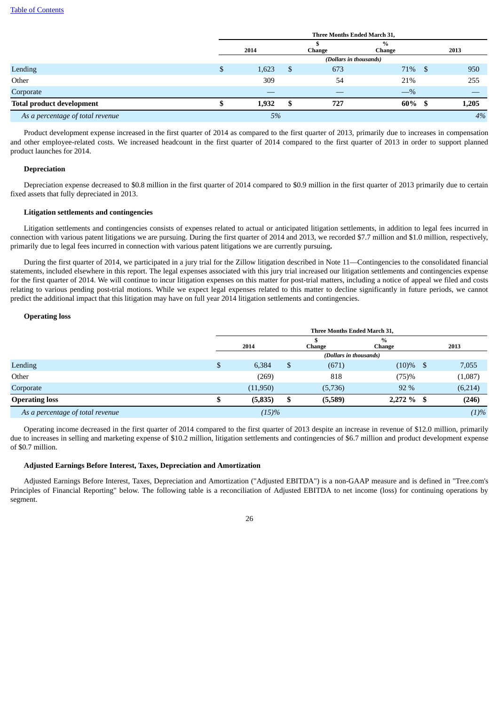|                                  | Three Months Ended March 31, |      |                        |                         |    |       |
|----------------------------------|------------------------------|------|------------------------|-------------------------|----|-------|
|                                  | 2014                         |      | Change                 | $\frac{0}{0}$<br>Change |    | 2013  |
|                                  |                              |      | (Dollars in thousands) |                         |    |       |
| Lending                          | 1,623                        | -S   | 673                    | 71%                     | -S | 950   |
| Other                            | 309                          |      | 54                     | 21%                     |    | 255   |
| Corporate                        |                              |      | _                      | $-$ %                   |    |       |
| <b>Total product development</b> | 1,932                        | - \$ | 727                    | 60%                     | S  | 1,205 |
| As a percentage of total revenue | 5%                           |      |                        |                         |    | 4%    |

Product development expense increased in the first quarter of 2014 as compared to the first quarter of 2013, primarily due to increases in compensation and other employee-related costs. We increased headcount in the first quarter of 2014 compared to the first quarter of 2013 in order to support planned product launches for 2014.

#### **Depreciation**

Depreciation expense decreased to \$0.8 million in the first quarter of 2014 compared to \$0.9 million in the first quarter of 2013 primarily due to certain fixed assets that fully depreciated in 2013.

#### **Litigation settlements and contingencies**

Litigation settlements and contingencies consists of expenses related to actual or anticipated litigation settlements, in addition to legal fees incurred in connection with various patent litigations we are pursuing. During the first quarter of 2014 and 2013, we recorded \$7.7 million and \$1.0 million, respectively, primarily due to legal fees incurred in connection with various patent litigations we are currently pursuing**.**

During the first quarter of 2014, we participated in a jury trial for the Zillow litigation described in Note 11—Contingencies to the consolidated financial statements, included elsewhere in this report. The legal expenses associated with this jury trial increased our litigation settlements and contingencies expense for the first quarter of 2014. We will continue to incur litigation expenses on this matter for post-trial matters, including a notice of appeal we filed and costs relating to various pending post-trial motions. While we expect legal expenses related to this matter to decline significantly in future periods, we cannot predict the additional impact that this litigation may have on full year 2014 litigation settlements and contingencies.

### **Operating loss**

|                                  | Three Months Ended March 31, |    |                        |                |      |         |
|----------------------------------|------------------------------|----|------------------------|----------------|------|---------|
|                                  | 2014                         |    | Change                 | $\%$<br>Change |      | 2013    |
|                                  |                              |    | (Dollars in thousands) |                |      |         |
| Lending                          | \$<br>6,384                  | \$ | (671)                  | $(10)\%$       | - \$ | 7,055   |
| Other                            | (269)                        |    | 818                    | (75)%          |      | (1,087) |
| Corporate                        | (11, 950)                    |    | (5,736)                | 92 %           |      | (6,214) |
| <b>Operating loss</b>            | (5, 835)                     | \$ | (5,589)                | $2,272 \%$ \$  |      | (246)   |
| As a percentage of total revenue | (15)%                        |    |                        |                |      | (1)%    |

Operating income decreased in the first quarter of 2014 compared to the first quarter of 2013 despite an increase in revenue of \$12.0 million, primarily due to increases in selling and marketing expense of \$10.2 million, litigation settlements and contingencies of \$6.7 million and product development expense of \$0.7 million.

### **Adjusted Earnings Before Interest, Taxes, Depreciation and Amortization**

Adjusted Earnings Before Interest, Taxes, Depreciation and Amortization ("Adjusted EBITDA") is a non-GAAP measure and is defined in "Tree.com's Principles of Financial Reporting" below. The following table is a reconciliation of Adjusted EBITDA to net income (loss) for continuing operations by segment.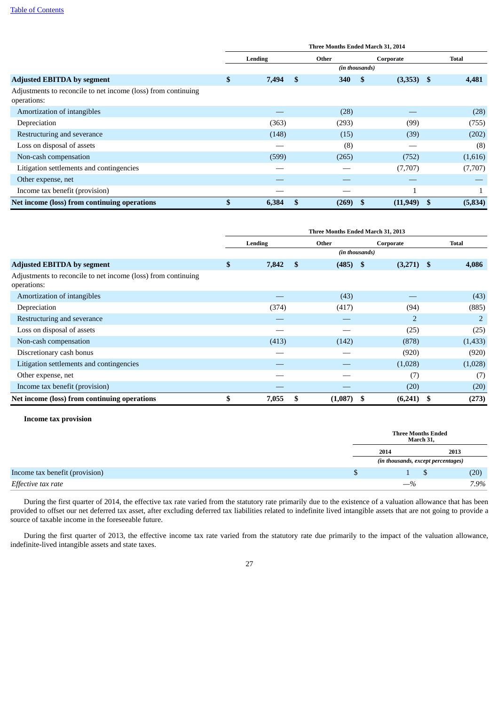|                                                                              | Three Months Ended March 31, 2014 |       |                    |              |      |              |  |
|------------------------------------------------------------------------------|-----------------------------------|-------|--------------------|--------------|------|--------------|--|
|                                                                              | Lending                           | Other |                    | Corporate    |      | <b>Total</b> |  |
|                                                                              |                                   |       | (in thousands)     |              |      |              |  |
| <b>Adjusted EBITDA by segment</b>                                            | \$<br>7,494                       | \$    | - \$<br><b>340</b> | $(3,353)$ \$ |      | 4,481        |  |
| Adjustments to reconcile to net income (loss) from continuing<br>operations: |                                   |       |                    |              |      |              |  |
| Amortization of intangibles                                                  |                                   |       | (28)               |              |      | (28)         |  |
| Depreciation                                                                 | (363)                             |       | (293)              | (99)         |      | (755)        |  |
| Restructuring and severance                                                  | (148)                             |       | (15)               | (39)         |      | (202)        |  |
| Loss on disposal of assets                                                   |                                   |       | (8)                |              |      | (8)          |  |
| Non-cash compensation                                                        | (599)                             |       | (265)              | (752)        |      | (1,616)      |  |
| Litigation settlements and contingencies                                     |                                   |       |                    | (7,707)      |      | (7,707)      |  |
| Other expense, net                                                           |                                   |       |                    |              |      |              |  |
| Income tax benefit (provision)                                               |                                   |       |                    |              |      |              |  |
| Net income (loss) from continuing operations                                 | \$<br>6,384                       | \$    | (269)<br>-\$       | (11, 949)    | - \$ | (5,834)      |  |

|                                                                              | Three Months Ended March 31, 2013 |               |            |                |                |  |              |
|------------------------------------------------------------------------------|-----------------------------------|---------------|------------|----------------|----------------|--|--------------|
|                                                                              | Lending                           |               | Other      |                | Corporate      |  | <b>Total</b> |
|                                                                              |                                   |               |            | (in thousands) |                |  |              |
| <b>Adjusted EBITDA by segment</b>                                            | \$<br>7,842                       | <sup>\$</sup> | $(485)$ \$ |                | $(3,271)$ \$   |  | 4,086        |
| Adjustments to reconcile to net income (loss) from continuing<br>operations: |                                   |               |            |                |                |  |              |
| Amortization of intangibles                                                  |                                   |               | (43)       |                |                |  | (43)         |
| Depreciation                                                                 | (374)                             |               | (417)      |                | (94)           |  | (885)        |
| Restructuring and severance                                                  |                                   |               |            |                | $\overline{2}$ |  | 2            |
| Loss on disposal of assets                                                   |                                   |               |            |                | (25)           |  | (25)         |
| Non-cash compensation                                                        | (413)                             |               | (142)      |                | (878)          |  | (1,433)      |
| Discretionary cash bonus                                                     |                                   |               |            |                | (920)          |  | (920)        |
| Litigation settlements and contingencies                                     |                                   |               |            |                | (1,028)        |  | (1,028)      |
| Other expense, net                                                           |                                   |               |            |                | (7)            |  | (7)          |
| Income tax benefit (provision)                                               |                                   |               |            |                | (20)           |  | (20)         |
| Net income (loss) from continuing operations                                 | \$<br>7,055                       |               | (1,087)    | S              | $(6,241)$ \$   |  | (273)        |

**Income tax provision**

|  | <b>Three Months Ended</b>          | March 31, |      |
|--|------------------------------------|-----------|------|
|  | 2014                               |           | 2013 |
|  | (in thousands, except percentages) |           |      |
|  |                                    |           | (20) |
|  | $-\%$                              |           | 7.9% |

During the first quarter of 2014, the effective tax rate varied from the statutory rate primarily due to the existence of a valuation allowance that has been provided to offset our net deferred tax asset, after excluding deferred tax liabilities related to indefinite lived intangible assets that are not going to provide a source of taxable income in the foreseeable future.

During the first quarter of 2013, the effective income tax rate varied from the statutory rate due primarily to the impact of the valuation allowance, indefinite-lived intangible assets and state taxes.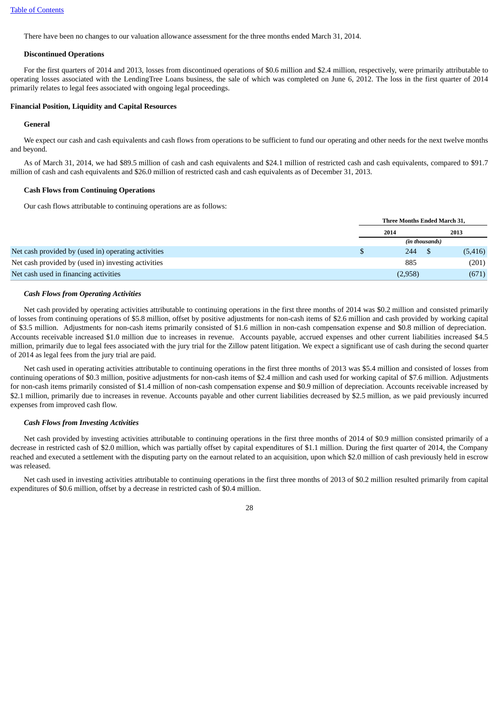There have been no changes to our valuation allowance assessment for the three months ended March 31, 2014.

#### **Discontinued Operations**

For the first quarters of 2014 and 2013, losses from discontinued operations of \$0.6 million and \$2.4 million, respectively, were primarily attributable to operating losses associated with the LendingTree Loans business, the sale of which was completed on June 6, 2012. The loss in the first quarter of 2014 primarily relates to legal fees associated with ongoing legal proceedings.

### **Financial Position, Liquidity and Capital Resources**

#### **General**

We expect our cash and cash equivalents and cash flows from operations to be sufficient to fund our operating and other needs for the next twelve months and beyond.

As of March 31, 2014, we had \$89.5 million of cash and cash equivalents and \$24.1 million of restricted cash and cash equivalents, compared to \$91.7 million of cash and cash equivalents and \$26.0 million of restricted cash and cash equivalents as of December 31, 2013.

#### **Cash Flows from Continuing Operations**

Our cash flows attributable to continuing operations are as follows:

|                                                     | Three Months Ended March 31, |         |                |          |
|-----------------------------------------------------|------------------------------|---------|----------------|----------|
|                                                     | 2014                         |         |                | 2013     |
|                                                     |                              |         | (in thousands) |          |
| Net cash provided by (used in) operating activities |                              | 244     |                | (5, 416) |
| Net cash provided by (used in) investing activities |                              | 885     |                | (201)    |
| Net cash used in financing activities               |                              | (2,958) |                | (671)    |

#### *Cash Flows from Operating Activities*

Net cash provided by operating activities attributable to continuing operations in the first three months of 2014 was \$0.2 million and consisted primarily of losses from continuing operations of \$5.8 million, offset by positive adjustments for non-cash items of \$2.6 million and cash provided by working capital of \$3.5 million. Adjustments for non-cash items primarily consisted of \$1.6 million in non-cash compensation expense and \$0.8 million of depreciation. Accounts receivable increased \$1.0 million due to increases in revenue. Accounts payable, accrued expenses and other current liabilities increased \$4.5 million, primarily due to legal fees associated with the jury trial for the Zillow patent litigation. We expect a significant use of cash during the second quarter of 2014 as legal fees from the jury trial are paid.

Net cash used in operating activities attributable to continuing operations in the first three months of 2013 was \$5.4 million and consisted of losses from continuing operations of \$0.3 million, positive adjustments for non-cash items of \$2.4 million and cash used for working capital of \$7.6 million. Adjustments for non-cash items primarily consisted of \$1.4 million of non-cash compensation expense and \$0.9 million of depreciation. Accounts receivable increased by \$2.1 million, primarily due to increases in revenue. Accounts payable and other current liabilities decreased by \$2.5 million, as we paid previously incurred expenses from improved cash flow.

#### *Cash Flows from Investing Activities*

Net cash provided by investing activities attributable to continuing operations in the first three months of 2014 of \$0.9 million consisted primarily of a decrease in restricted cash of \$2.0 million, which was partially offset by capital expenditures of \$1.1 million. During the first quarter of 2014, the Company reached and executed a settlement with the disputing party on the earnout related to an acquisition, upon which \$2.0 million of cash previously held in escrow was released.

Net cash used in investing activities attributable to continuing operations in the first three months of 2013 of \$0.2 million resulted primarily from capital expenditures of \$0.6 million, offset by a decrease in restricted cash of \$0.4 million.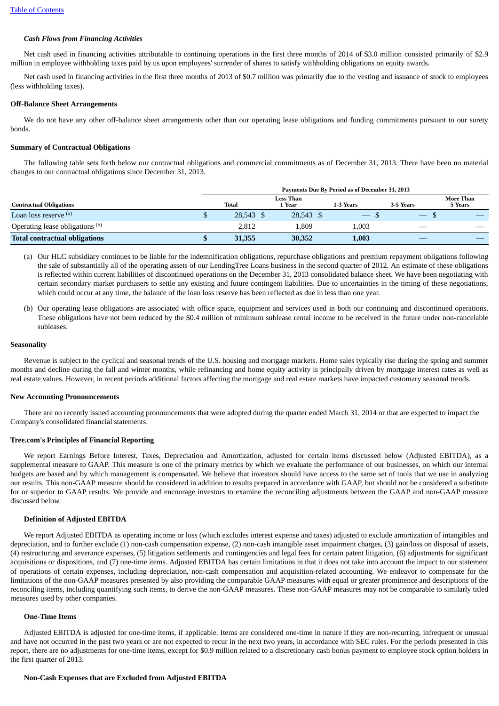#### *Cash Flows from Financing Activities*

Net cash used in financing activities attributable to continuing operations in the first three months of 2014 of \$3.0 million consisted primarily of \$2.9 million in employee withholding taxes paid by us upon employees' surrender of shares to satisfy withholding obligations on equity awards.

Net cash used in financing activities in the first three months of 2013 of \$0.7 million was primarily due to the vesting and issuance of stock to employees (less withholding taxes).

#### **Off-Balance Sheet Arrangements**

We do not have any other off-balance sheet arrangements other than our operating lease obligations and funding commitments pursuant to our surety bonds.

#### **Summary of Contractual Obligations**

The following table sets forth below our contractual obligations and commercial commitments as of December 31, 2013. There have been no material changes to our contractual obligations since December 31, 2013.

|                                      | Payments Due By Period as of December 31, 2013 |                          |                                |                          |                             |  |  |  |  |
|--------------------------------------|------------------------------------------------|--------------------------|--------------------------------|--------------------------|-----------------------------|--|--|--|--|
| <b>Contractual Obligations</b>       | <b>Total</b>                                   | <b>Less Than</b><br>Year | 1-3 Years                      | 3-5 Years                | <b>More Than</b><br>5 Years |  |  |  |  |
| Loan loss reserve (a)                | $28.543$ \$                                    | 28,543 \$                | $\qquad \qquad \longleftarrow$ |                          |                             |  |  |  |  |
| Operating lease obligations (b)      | 2.812                                          | 1.809                    | 1,003                          | $\overline{\phantom{a}}$ |                             |  |  |  |  |
| <b>Total contractual obligations</b> | 31,355                                         | 30,352                   | 1,003                          |                          |                             |  |  |  |  |

- (a) Our HLC subsidiary continues to be liable for the indemnification obligations, repurchase obligations and premium repayment obligations following the sale of substantially all of the operating assets of our LendingTree Loans business in the second quarter of 2012. An estimate of these obligations is reflected within current liabilities of discontinued operations on the December 31, 2013 consolidated balance sheet. We have been negotiating with certain secondary market purchasers to settle any existing and future contingent liabilities. Due to uncertainties in the timing of these negotiations, which could occur at any time, the balance of the loan loss reserve has been reflected as due in less than one year.
- (b) Our operating lease obligations are associated with office space, equipment and services used in both our continuing and discontinued operations. These obligations have not been reduced by the \$0.4 million of minimum sublease rental income to be received in the future under non-cancelable subleases.

#### **Seasonality**

Revenue is subject to the cyclical and seasonal trends of the U.S. housing and mortgage markets. Home sales typically rise during the spring and summer months and decline during the fall and winter months, while refinancing and home equity activity is principally driven by mortgage interest rates as well as real estate values. However, in recent periods additional factors affecting the mortgage and real estate markets have impacted customary seasonal trends.

#### **New Accounting Pronouncements**

There are no recently issued accounting pronouncements that were adopted during the quarter ended March 31, 2014 or that are expected to impact the Company's consolidated financial statements.

#### **Tree.com's Principles of Financial Reporting**

We report Earnings Before Interest, Taxes, Depreciation and Amortization, adjusted for certain items discussed below (Adjusted EBITDA), as a supplemental measure to GAAP. This measure is one of the primary metrics by which we evaluate the performance of our businesses, on which our internal budgets are based and by which management is compensated. We believe that investors should have access to the same set of tools that we use in analyzing our results. This non-GAAP measure should be considered in addition to results prepared in accordance with GAAP, but should not be considered a substitute for or superior to GAAP results. We provide and encourage investors to examine the reconciling adjustments between the GAAP and non-GAAP measure discussed below.

#### **Definition of Adjusted EBITDA**

We report Adjusted EBITDA as operating income or loss (which excludes interest expense and taxes) adjusted to exclude amortization of intangibles and depreciation, and to further exclude (1) non-cash compensation expense, (2) non-cash intangible asset impairment charges, (3) gain/loss on disposal of assets, (4) restructuring and severance expenses, (5) litigation settlements and contingencies and legal fees for certain patent litigation, (6) adjustments for significant acquisitions or dispositions, and (7) one-time items. Adjusted EBITDA has certain limitations in that it does not take into account the impact to our statement of operations of certain expenses, including depreciation, non-cash compensation and acquisition-related accounting. We endeavor to compensate for the limitations of the non-GAAP measures presented by also providing the comparable GAAP measures with equal or greater prominence and descriptions of the reconciling items, including quantifying such items, to derive the non-GAAP measures. These non-GAAP measures may not be comparable to similarly titled measures used by other companies.

#### **One-Time Items**

Adjusted EBITDA is adjusted for one-time items, if applicable. Items are considered one-time in nature if they are non-recurring, infrequent or unusual and have not occurred in the past two years or are not expected to recur in the next two years, in accordance with SEC rules. For the periods presented in this report, there are no adjustments for one-time items, except for \$0.9 million related to a discretionary cash bonus payment to employee stock option holders in the first quarter of 2013.

#### **Non-Cash Expenses that are Excluded from Adjusted EBITDA**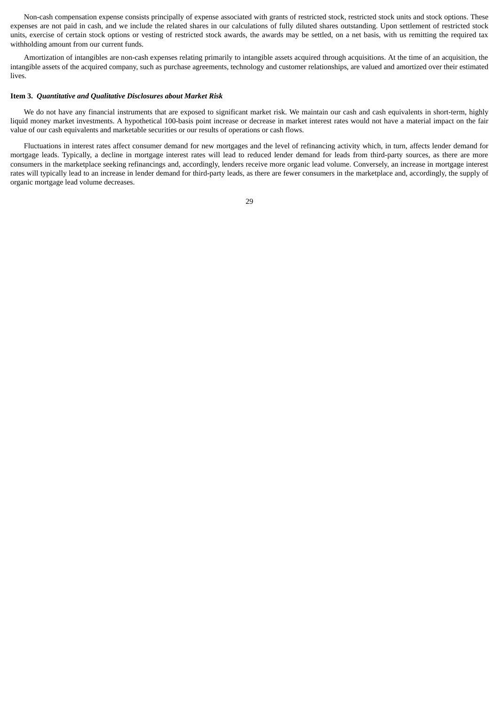Non-cash compensation expense consists principally of expense associated with grants of restricted stock, restricted stock units and stock options. These expenses are not paid in cash, and we include the related shares in our calculations of fully diluted shares outstanding. Upon settlement of restricted stock units, exercise of certain stock options or vesting of restricted stock awards, the awards may be settled, on a net basis, with us remitting the required tax withholding amount from our current funds.

Amortization of intangibles are non-cash expenses relating primarily to intangible assets acquired through acquisitions. At the time of an acquisition, the intangible assets of the acquired company, such as purchase agreements, technology and customer relationships, are valued and amortized over their estimated lives.

#### <span id="page-29-0"></span>**Item 3.** *Quantitative and Qualitative Disclosures about Market Risk*

We do not have any financial instruments that are exposed to significant market risk. We maintain our cash and cash equivalents in short-term, highly liquid money market investments. A hypothetical 100-basis point increase or decrease in market interest rates would not have a material impact on the fair value of our cash equivalents and marketable securities or our results of operations or cash flows.

<span id="page-29-1"></span>Fluctuations in interest rates affect consumer demand for new mortgages and the level of refinancing activity which, in turn, affects lender demand for mortgage leads. Typically, a decline in mortgage interest rates will lead to reduced lender demand for leads from third-party sources, as there are more consumers in the marketplace seeking refinancings and, accordingly, lenders receive more organic lead volume. Conversely, an increase in mortgage interest rates will typically lead to an increase in lender demand for third-party leads, as there are fewer consumers in the marketplace and, accordingly, the supply of organic mortgage lead volume decreases.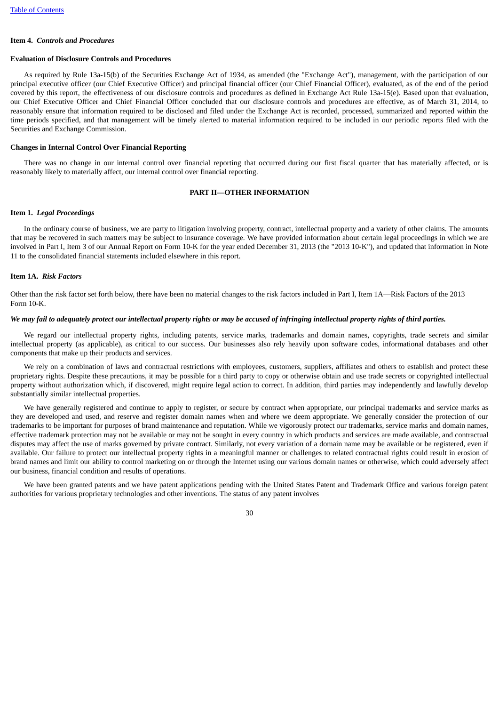# **Item 4.** *Controls and Procedures*

# **Evaluation of Disclosure Controls and Procedures**

As required by Rule 13a-15(b) of the Securities Exchange Act of 1934, as amended (the "Exchange Act"), management, with the participation of our principal executive officer (our Chief Executive Officer) and principal financial officer (our Chief Financial Officer), evaluated, as of the end of the period covered by this report, the effectiveness of our disclosure controls and procedures as defined in Exchange Act Rule 13a-15(e). Based upon that evaluation, our Chief Executive Officer and Chief Financial Officer concluded that our disclosure controls and procedures are effective, as of March 31, 2014, to reasonably ensure that information required to be disclosed and filed under the Exchange Act is recorded, processed, summarized and reported within the time periods specified, and that management will be timely alerted to material information required to be included in our periodic reports filed with the Securities and Exchange Commission.

# **Changes in Internal Control Over Financial Reporting**

<span id="page-30-0"></span>There was no change in our internal control over financial reporting that occurred during our first fiscal quarter that has materially affected, or is reasonably likely to materially affect, our internal control over financial reporting.

# **PART II—OTHER INFORMATION**

# <span id="page-30-1"></span>**Item 1.** *Legal Proceedings*

In the ordinary course of business, we are party to litigation involving property, contract, intellectual property and a variety of other claims. The amounts that may be recovered in such matters may be subject to insurance coverage. We have provided information about certain legal proceedings in which we are involved in Part I, Item 3 of our Annual Report on Form 10-K for the year ended December 31, 2013 (the "2013 10-K"), and updated that information in Note 11 to the consolidated financial statements included elsewhere in this report.

#### <span id="page-30-2"></span>**Item 1A.** *Risk Factors*

Other than the risk factor set forth below, there have been no material changes to the risk factors included in Part I, Item 1A—Risk Factors of the 2013 Form 10-K.

### We may fail to adequately protect our intellectual property rights or may be accused of infringing intellectual property rights of third parties.

We regard our intellectual property rights, including patents, service marks, trademarks and domain names, copyrights, trade secrets and similar intellectual property (as applicable), as critical to our success. Our businesses also rely heavily upon software codes, informational databases and other components that make up their products and services.

We rely on a combination of laws and contractual restrictions with employees, customers, suppliers, affiliates and others to establish and protect these proprietary rights. Despite these precautions, it may be possible for a third party to copy or otherwise obtain and use trade secrets or copyrighted intellectual property without authorization which, if discovered, might require legal action to correct. In addition, third parties may independently and lawfully develop substantially similar intellectual properties.

We have generally registered and continue to apply to register, or secure by contract when appropriate, our principal trademarks and service marks as they are developed and used, and reserve and register domain names when and where we deem appropriate. We generally consider the protection of our trademarks to be important for purposes of brand maintenance and reputation. While we vigorously protect our trademarks, service marks and domain names, effective trademark protection may not be available or may not be sought in every country in which products and services are made available, and contractual disputes may affect the use of marks governed by private contract. Similarly, not every variation of a domain name may be available or be registered, even if available. Our failure to protect our intellectual property rights in a meaningful manner or challenges to related contractual rights could result in erosion of brand names and limit our ability to control marketing on or through the Internet using our various domain names or otherwise, which could adversely affect our business, financial condition and results of operations.

We have been granted patents and we have patent applications pending with the United States Patent and Trademark Office and various foreign patent authorities for various proprietary technologies and other inventions. The status of any patent involves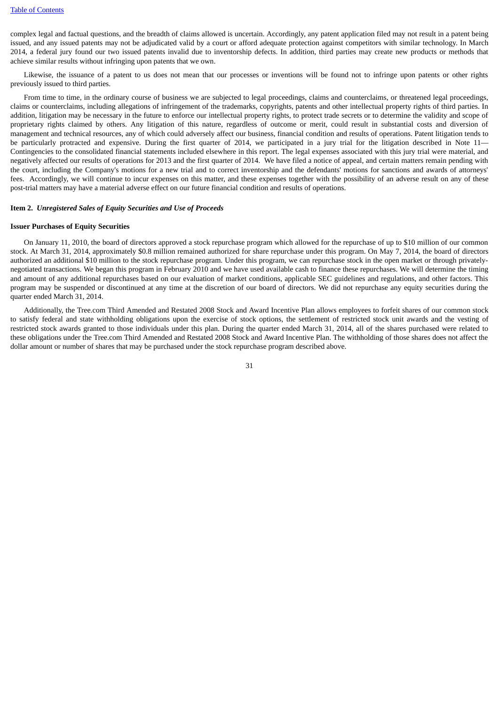complex legal and factual questions, and the breadth of claims allowed is uncertain. Accordingly, any patent application filed may not result in a patent being issued, and any issued patents may not be adjudicated valid by a court or afford adequate protection against competitors with similar technology. In March 2014, a federal jury found our two issued patents invalid due to inventorship defects. In addition, third parties may create new products or methods that achieve similar results without infringing upon patents that we own.

Likewise, the issuance of a patent to us does not mean that our processes or inventions will be found not to infringe upon patents or other rights previously issued to third parties.

From time to time, in the ordinary course of business we are subjected to legal proceedings, claims and counterclaims, or threatened legal proceedings, claims or counterclaims, including allegations of infringement of the trademarks, copyrights, patents and other intellectual property rights of third parties. In addition, litigation may be necessary in the future to enforce our intellectual property rights, to protect trade secrets or to determine the validity and scope of proprietary rights claimed by others. Any litigation of this nature, regardless of outcome or merit, could result in substantial costs and diversion of management and technical resources, any of which could adversely affect our business, financial condition and results of operations. Patent litigation tends to be particularly protracted and expensive. During the first quarter of 2014, we participated in a jury trial for the litigation described in Note 11— Contingencies to the consolidated financial statements included elsewhere in this report. The legal expenses associated with this jury trial were material, and negatively affected our results of operations for 2013 and the first quarter of 2014. We have filed a notice of appeal, and certain matters remain pending with the court, including the Company's motions for a new trial and to correct inventorship and the defendants' motions for sanctions and awards of attorneys' fees. Accordingly, we will continue to incur expenses on this matter, and these expenses together with the possibility of an adverse result on any of these post-trial matters may have a material adverse effect on our future financial condition and results of operations.

#### <span id="page-31-0"></span>**Item 2.** *Unregistered Sales of Equity Securities and Use of Proceeds*

#### **Issuer Purchases of Equity Securities**

On January 11, 2010, the board of directors approved a stock repurchase program which allowed for the repurchase of up to \$10 million of our common stock. At March 31, 2014, approximately \$0.8 million remained authorized for share repurchase under this program. On May 7, 2014, the board of directors authorized an additional \$10 million to the stock repurchase program. Under this program, we can repurchase stock in the open market or through privatelynegotiated transactions. We began this program in February 2010 and we have used available cash to finance these repurchases. We will determine the timing and amount of any additional repurchases based on our evaluation of market conditions, applicable SEC guidelines and regulations, and other factors. This program may be suspended or discontinued at any time at the discretion of our board of directors. We did not repurchase any equity securities during the quarter ended March 31, 2014.

Additionally, the Tree.com Third Amended and Restated 2008 Stock and Award Incentive Plan allows employees to forfeit shares of our common stock to satisfy federal and state withholding obligations upon the exercise of stock options, the settlement of restricted stock unit awards and the vesting of restricted stock awards granted to those individuals under this plan. During the quarter ended March 31, 2014, all of the shares purchased were related to these obligations under the Tree.com Third Amended and Restated 2008 Stock and Award Incentive Plan. The withholding of those shares does not affect the dollar amount or number of shares that may be purchased under the stock repurchase program described above.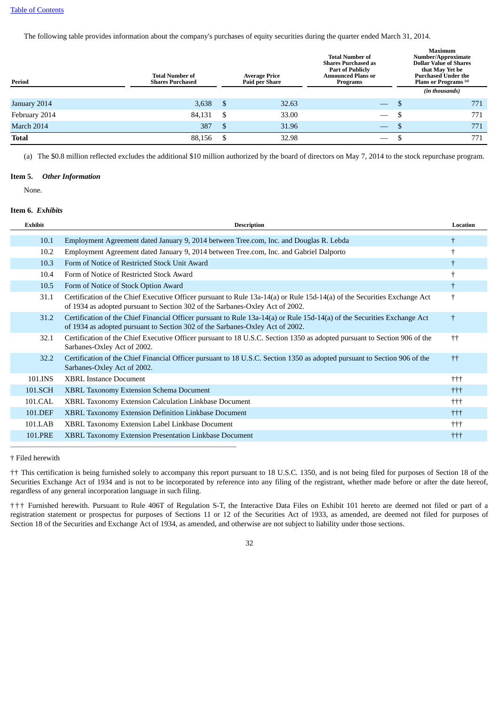The following table provides information about the company's purchases of equity securities during the quarter ended March 31, 2014.

| Period        | <b>Total Number of</b><br><b>Shares Purchased</b> |      | <b>Average Price</b><br>Paid per Share | <b>Total Number of</b><br><b>Shares Purchased as</b><br><b>Part of Publicly</b><br><b>Announced Plans or</b><br>Programs |   | Maximum<br>Number/Approximate<br><b>Dollar Value of Shares</b><br>that May Yet be<br><b>Purchased Under the</b><br>Plans or Programs <sup>(a)</sup> |
|---------------|---------------------------------------------------|------|----------------------------------------|--------------------------------------------------------------------------------------------------------------------------|---|-----------------------------------------------------------------------------------------------------------------------------------------------------|
|               |                                                   |      |                                        |                                                                                                                          |   | (in thousands)                                                                                                                                      |
| January 2014  | 3,638                                             | - \$ | 32.63                                  | $\overbrace{\phantom{13333}}$                                                                                            |   | 771                                                                                                                                                 |
| February 2014 | 84,131                                            | - \$ | 33.00                                  | $\overline{\phantom{0}}$                                                                                                 | S | 771                                                                                                                                                 |
| March 2014    | 387                                               | -\$  | 31.96                                  |                                                                                                                          |   | 771                                                                                                                                                 |
| <b>Total</b>  | 88,156                                            |      | 32.98                                  | $\overline{\phantom{m}}$                                                                                                 |   | 771                                                                                                                                                 |

(a) The \$0.8 million reflected excludes the additional \$10 million authorized by the board of directors on May 7, 2014 to the stock repurchase program.

### <span id="page-32-0"></span>**Item 5.** *Other Information*

None.

# <span id="page-32-1"></span>**Item 6.** *Exhibits*

| <b>Exhibit</b> | <b>Description</b>                                                                                                                                                                                        | Location                   |
|----------------|-----------------------------------------------------------------------------------------------------------------------------------------------------------------------------------------------------------|----------------------------|
| 10.1           | Employment Agreement dated January 9, 2014 between Tree.com, Inc. and Douglas R. Lebda                                                                                                                    |                            |
| 10.2           | Employment Agreement dated January 9, 2014 between Tree.com, Inc. and Gabriel Dalporto                                                                                                                    |                            |
| 10.3           | Form of Notice of Restricted Stock Unit Award                                                                                                                                                             |                            |
| 10.4           | Form of Notice of Restricted Stock Award                                                                                                                                                                  |                            |
| 10.5           | Form of Notice of Stock Option Award                                                                                                                                                                      |                            |
| 31.1           | Certification of the Chief Executive Officer pursuant to Rule 13a-14(a) or Rule 15d-14(a) of the Securities Exchange Act<br>of 1934 as adopted pursuant to Section 302 of the Sarbanes-Oxley Act of 2002. | $\ddagger$                 |
| 31.2           | Certification of the Chief Financial Officer pursuant to Rule 13a-14(a) or Rule 15d-14(a) of the Securities Exchange Act<br>of 1934 as adopted pursuant to Section 302 of the Sarbanes-Oxley Act of 2002. | $^+$                       |
| 32.1           | Certification of the Chief Executive Officer pursuant to 18 U.S.C. Section 1350 as adopted pursuant to Section 906 of the<br>Sarbanes-Oxley Act of 2002.                                                  | $^{++}$                    |
| 32.2           | Certification of the Chief Financial Officer pursuant to 18 U.S.C. Section 1350 as adopted pursuant to Section 906 of the<br>Sarbanes-Oxley Act of 2002.                                                  | $^{\dagger\dagger}$        |
| 101.INS        | <b>XBRL Instance Document</b>                                                                                                                                                                             | †††                        |
| 101.SCH        | <b>XBRL Taxonomy Extension Schema Document</b>                                                                                                                                                            | $^{\dagger\dagger\dagger}$ |
| 101.CAL        | <b>XBRL Taxonomy Extension Calculation Linkbase Document</b>                                                                                                                                              | $^{\dagger\dagger\dagger}$ |
| 101.DEF        | XBRL Taxonomy Extension Definition Linkbase Document                                                                                                                                                      | $+ + +$                    |
| 101.LAB        | XBRL Taxonomy Extension Label Linkbase Document                                                                                                                                                           | †††                        |
| 101.PRE        | <b>XBRL Taxonomy Extension Presentation Linkbase Document</b>                                                                                                                                             | $^{\dagger\dagger\dagger}$ |
|                |                                                                                                                                                                                                           |                            |

### † Filed herewith

†† This certification is being furnished solely to accompany this report pursuant to 18 U.S.C. 1350, and is not being filed for purposes of Section 18 of the Securities Exchange Act of 1934 and is not to be incorporated by reference into any filing of the registrant, whether made before or after the date hereof, regardless of any general incorporation language in such filing.

† † † Furnished herewith. Pursuant to Rule 406T of Regulation S-T, the Interactive Data Files on Exhibit 101 hereto are deemed not filed or part of a registration statement or prospectus for purposes of Sections 11 or 12 of the Securities Act of 1933, as amended, are deemed not filed for purposes of Section 18 of the Securities and Exchange Act of 1934, as amended, and otherwise are not subject to liability under those sections.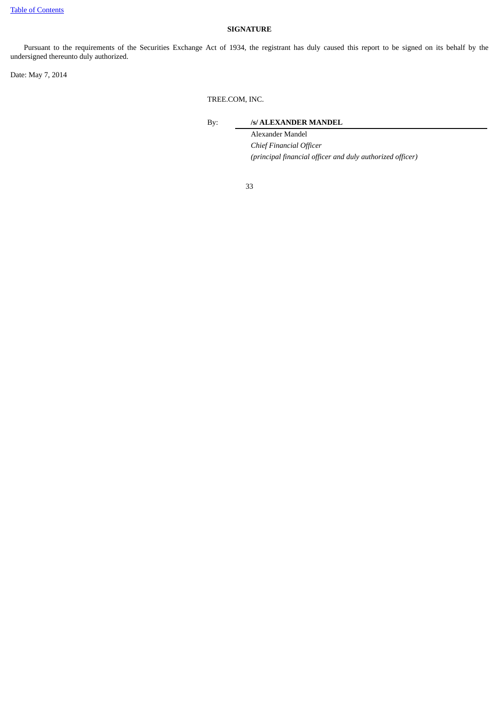# **SIGNATURE**

Pursuant to the requirements of the Securities Exchange Act of 1934, the registrant has duly caused this report to be signed on its behalf by the undersigned thereunto duly authorized.

Date: May 7, 2014

# TREE.COM, INC.

By: **/s/ ALEXANDER MANDEL**

Alexander Mandel *Chief Financial Officer (principal financial officer and duly authorized officer)*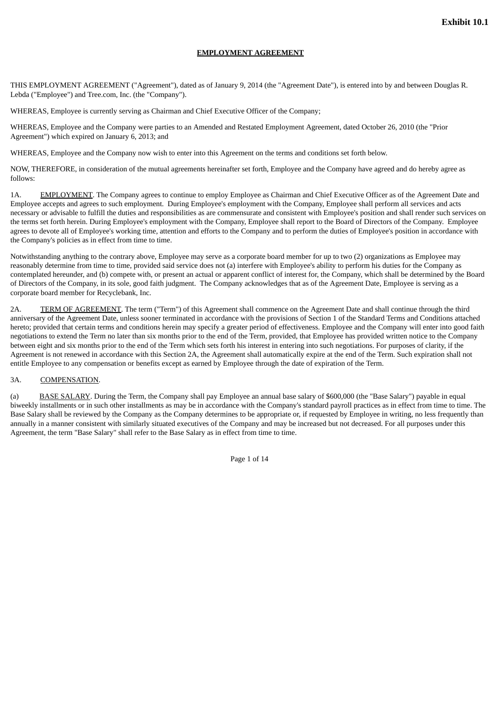# **EMPLOYMENT AGREEMENT**

THIS EMPLOYMENT AGREEMENT ("Agreement"), dated as of January 9, 2014 (the "Agreement Date"), is entered into by and between Douglas R. Lebda ("Employee") and Tree.com, Inc. (the "Company").

WHEREAS, Employee is currently serving as Chairman and Chief Executive Officer of the Company;

WHEREAS, Employee and the Company were parties to an Amended and Restated Employment Agreement, dated October 26, 2010 (the "Prior Agreement") which expired on January 6, 2013; and

WHEREAS, Employee and the Company now wish to enter into this Agreement on the terms and conditions set forth below.

NOW, THEREFORE, in consideration of the mutual agreements hereinafter set forth, Employee and the Company have agreed and do hereby agree as follows:

1A. EMPLOYMENT. The Company agrees to continue to employ Employee as Chairman and Chief Executive Officer as of the Agreement Date and Employee accepts and agrees to such employment. During Employee's employment with the Company, Employee shall perform all services and acts necessary or advisable to fulfill the duties and responsibilities as are commensurate and consistent with Employee's position and shall render such services on the terms set forth herein. During Employee's employment with the Company, Employee shall report to the Board of Directors of the Company. Employee agrees to devote all of Employee's working time, attention and efforts to the Company and to perform the duties of Employee's position in accordance with the Company's policies as in effect from time to time.

Notwithstanding anything to the contrary above, Employee may serve as a corporate board member for up to two (2) organizations as Employee may reasonably determine from time to time, provided said service does not (a) interfere with Employee's ability to perform his duties for the Company as contemplated hereunder, and (b) compete with, or present an actual or apparent conflict of interest for, the Company, which shall be determined by the Board of Directors of the Company, in its sole, good faith judgment. The Company acknowledges that as of the Agreement Date, Employee is serving as a corporate board member for Recyclebank, Inc.

2A. TERM OF AGREEMENT. The term ("Term") of this Agreement shall commence on the Agreement Date and shall continue through the third anniversary of the Agreement Date, unless sooner terminated in accordance with the provisions of Section 1 of the Standard Terms and Conditions attached hereto; provided that certain terms and conditions herein may specify a greater period of effectiveness. Employee and the Company will enter into good faith negotiations to extend the Term no later than six months prior to the end of the Term, provided, that Employee has provided written notice to the Company between eight and six months prior to the end of the Term which sets forth his interest in entering into such negotiations. For purposes of clarity, if the Agreement is not renewed in accordance with this Section 2A, the Agreement shall automatically expire at the end of the Term. Such expiration shall not entitle Employee to any compensation or benefits except as earned by Employee through the date of expiration of the Term.

# 3A. COMPENSATION.

(a) BASE SALARY. During the Term, the Company shall pay Employee an annual base salary of \$600,000 (the "Base Salary") payable in equal biweekly installments or in such other installments as may be in accordance with the Company's standard payroll practices as in effect from time to time. The Base Salary shall be reviewed by the Company as the Company determines to be appropriate or, if requested by Employee in writing, no less frequently than annually in a manner consistent with similarly situated executives of the Company and may be increased but not decreased. For all purposes under this Agreement, the term "Base Salary" shall refer to the Base Salary as in effect from time to time.

Page 1 of 14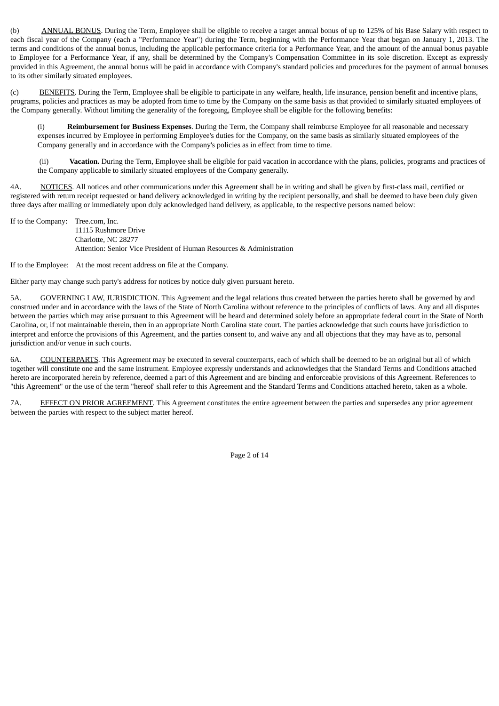(b) ANNUAL BONUS. During the Term, Employee shall be eligible to receive a target annual bonus of up to 125% of his Base Salary with respect to each fiscal year of the Company (each a "Performance Year") during the Term, beginning with the Performance Year that began on January 1, 2013. The terms and conditions of the annual bonus, including the applicable performance criteria for a Performance Year, and the amount of the annual bonus payable to Employee for a Performance Year, if any, shall be determined by the Company's Compensation Committee in its sole discretion. Except as expressly provided in this Agreement, the annual bonus will be paid in accordance with Company's standard policies and procedures for the payment of annual bonuses to its other similarly situated employees.

(c) BENEFITS. During the Term, Employee shall be eligible to participate in any welfare, health, life insurance, pension benefit and incentive plans, programs, policies and practices as may be adopted from time to time by the Company on the same basis as that provided to similarly situated employees of the Company generally. Without limiting the generality of the foregoing, Employee shall be eligible for the following benefits:

(i) **Reimbursement for Business Expenses**. During the Term, the Company shall reimburse Employee for all reasonable and necessary expenses incurred by Employee in performing Employee's duties for the Company, on the same basis as similarly situated employees of the Company generally and in accordance with the Company's policies as in effect from time to time.

(ii) **Vacation.** During the Term, Employee shall be eligible for paid vacation in accordance with the plans, policies, programs and practices of the Company applicable to similarly situated employees of the Company generally.

4A. NOTICES. All notices and other communications under this Agreement shall be in writing and shall be given by first-class mail, certified or registered with return receipt requested or hand delivery acknowledged in writing by the recipient personally, and shall be deemed to have been duly given three days after mailing or immediately upon duly acknowledged hand delivery, as applicable, to the respective persons named below:

If to the Company: Tree.com, Inc. 11115 Rushmore Drive Charlotte, NC 28277 Attention: Senior Vice President of Human Resources & Administration

If to the Employee: At the most recent address on file at the Company.

Either party may change such party's address for notices by notice duly given pursuant hereto.

5A. GOVERNING LAW, JURISDICTION. This Agreement and the legal relations thus created between the parties hereto shall be governed by and construed under and in accordance with the laws of the State of North Carolina without reference to the principles of conflicts of laws. Any and all disputes between the parties which may arise pursuant to this Agreement will be heard and determined solely before an appropriate federal court in the State of North Carolina, or, if not maintainable therein, then in an appropriate North Carolina state court. The parties acknowledge that such courts have jurisdiction to interpret and enforce the provisions of this Agreement, and the parties consent to, and waive any and all objections that they may have as to, personal jurisdiction and/or venue in such courts.

6A. COUNTERPARTS. This Agreement may be executed in several counterparts, each of which shall be deemed to be an original but all of which together will constitute one and the same instrument. Employee expressly understands and acknowledges that the Standard Terms and Conditions attached hereto are incorporated herein by reference, deemed a part of this Agreement and are binding and enforceable provisions of this Agreement. References to "this Agreement" or the use of the term "hereof' shall refer to this Agreement and the Standard Terms and Conditions attached hereto, taken as a whole.

7A. EFFECT ON PRIOR AGREEMENT. This Agreement constitutes the entire agreement between the parties and supersedes any prior agreement between the parties with respect to the subject matter hereof.

Page 2 of 14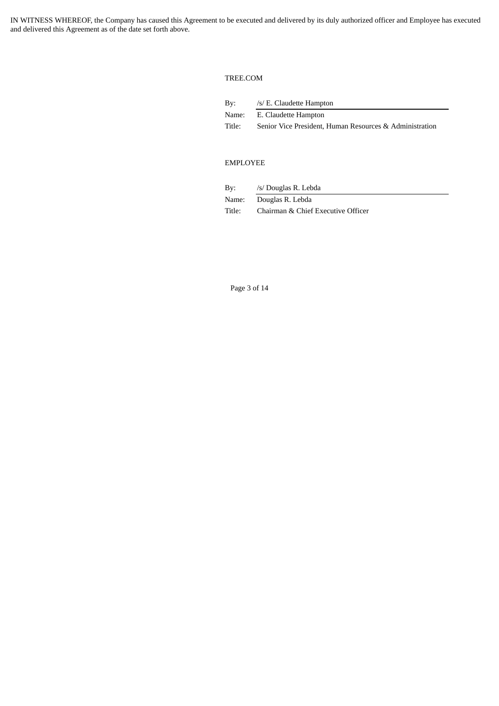IN WITNESS WHEREOF, the Company has caused this Agreement to be executed and delivered by its duly authorized officer and Employee has executed and delivered this Agreement as of the date set forth above.

# TREE.COM

| Bv:    | /s/ E. Claudette Hampton                                |
|--------|---------------------------------------------------------|
| Name:  | E. Claudette Hampton                                    |
| Title: | Senior Vice President, Human Resources & Administration |

# EMPLOYEE

| By:    | /s/ Douglas R. Lebda               |
|--------|------------------------------------|
| Name:  | Douglas R. Lebda                   |
| Title: | Chairman & Chief Executive Officer |

Page 3 of 14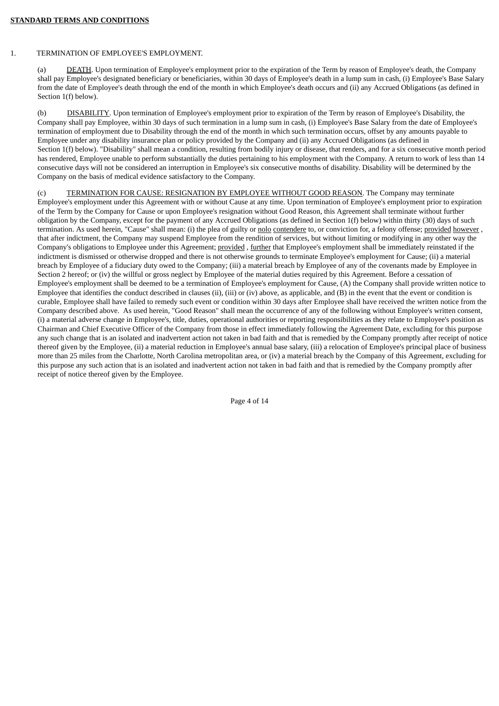## 1. TERMINATION OF EMPLOYEE'S EMPLOYMENT.

(a) DEATH. Upon termination of Employee's employment prior to the expiration of the Term by reason of Employee's death, the Company shall pay Employee's designated beneficiary or beneficiaries, within 30 days of Employee's death in a lump sum in cash, (i) Employee's Base Salary from the date of Employee's death through the end of the month in which Employee's death occurs and (ii) any Accrued Obligations (as defined in Section 1(f) below).

(b) DISABILITY. Upon termination of Employee's employment prior to expiration of the Term by reason of Employee's Disability, the Company shall pay Employee, within 30 days of such termination in a lump sum in cash, (i) Employee's Base Salary from the date of Employee's termination of employment due to Disability through the end of the month in which such termination occurs, offset by any amounts payable to Employee under any disability insurance plan or policy provided by the Company and (ii) any Accrued Obligations (as defined in Section 1(f) below). "Disability" shall mean a condition, resulting from bodily injury or disease, that renders, and for a six consecutive month period has rendered, Employee unable to perform substantially the duties pertaining to his employment with the Company. A return to work of less than 14 consecutive days will not be considered an interruption in Employee's six consecutive months of disability. Disability will be determined by the Company on the basis of medical evidence satisfactory to the Company.

(c) TERMINATION FOR CAUSE: RESIGNATION BY EMPLOYEE WITHOUT GOOD REASON. The Company may terminate Employee's employment under this Agreement with or without Cause at any time. Upon termination of Employee's employment prior to expiration of the Term by the Company for Cause or upon Employee's resignation without Good Reason, this Agreement shall terminate without further obligation by the Company, except for the payment of any Accrued Obligations (as defined in Section 1(f) below) within thirty (30) days of such termination. As used herein, "Cause" shall mean: (i) the plea of guilty or nolo contendere to, or conviction for, a felony offense; provided however, that after indictment, the Company may suspend Employee from the rendition of services, but without limiting or modifying in any other way the Company's obligations to Employee under this Agreement; provided, further that Employee's employment shall be immediately reinstated if the indictment is dismissed or otherwise dropped and there is not otherwise grounds to terminate Employee's employment for Cause; (ii) a material breach by Employee of a fiduciary duty owed to the Company; (iii) a material breach by Employee of any of the covenants made by Employee in Section 2 hereof; or (iv) the willful or gross neglect by Employee of the material duties required by this Agreement. Before a cessation of Employee's employment shall be deemed to be a termination of Employee's employment for Cause, (A) the Company shall provide written notice to Employee that identifies the conduct described in clauses (ii), (iii) or (iv) above, as applicable, and (B) in the event that the event or condition is curable, Employee shall have failed to remedy such event or condition within 30 days after Employee shall have received the written notice from the Company described above. As used herein, "Good Reason" shall mean the occurrence of any of the following without Employee's written consent, (i) a material adverse change in Employee's, title, duties, operational authorities or reporting responsibilities as they relate to Employee's position as Chairman and Chief Executive Officer of the Company from those in effect immediately following the Agreement Date, excluding for this purpose any such change that is an isolated and inadvertent action not taken in bad faith and that is remedied by the Company promptly after receipt of notice thereof given by the Employee, (ii) a material reduction in Employee's annual base salary, (iii) a relocation of Employee's principal place of business more than 25 miles from the Charlotte, North Carolina metropolitan area, or (iv) a material breach by the Company of this Agreement, excluding for this purpose any such action that is an isolated and inadvertent action not taken in bad faith and that is remedied by the Company promptly after receipt of notice thereof given by the Employee.

Page 4 of 14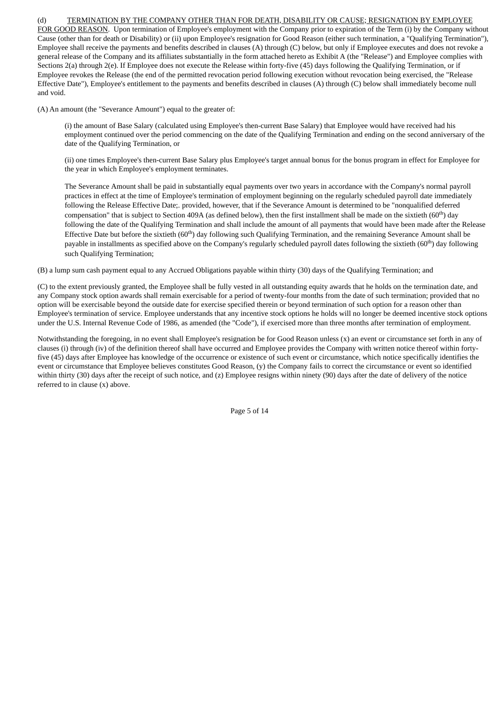## (d) TERMINATION BY THE COMPANY OTHER THAN FOR DEATH, DISABILITY OR CAUSE; RESIGNATION BY EMPLOYEE

FOR GOOD REASON. Upon termination of Employee's employment with the Company prior to expiration of the Term (i) by the Company without Cause (other than for death or Disability) or (ii) upon Employee's resignation for Good Reason (either such termination, a "Qualifying Termination"), Employee shall receive the payments and benefits described in clauses (A) through (C) below, but only if Employee executes and does not revoke a general release of the Company and its affiliates substantially in the form attached hereto as Exhibit A (the "Release") and Employee complies with Sections 2(a) through 2(e). If Employee does not execute the Release within forty-five (45) days following the Qualifying Termination, or if Employee revokes the Release (the end of the permitted revocation period following execution without revocation being exercised, the "Release Effective Date"), Employee's entitlement to the payments and benefits described in clauses (A) through (C) below shall immediately become null and void.

(A) An amount (the "Severance Amount") equal to the greater of:

(i) the amount of Base Salary (calculated using Employee's then-current Base Salary) that Employee would have received had his employment continued over the period commencing on the date of the Qualifying Termination and ending on the second anniversary of the date of the Qualifying Termination, or

(ii) one times Employee's then-current Base Salary plus Employee's target annual bonus for the bonus program in effect for Employee for the year in which Employee's employment terminates.

The Severance Amount shall be paid in substantially equal payments over two years in accordance with the Company's normal payroll practices in effect at the time of Employee's termination of employment beginning on the regularly scheduled payroll date immediately following the Release Effective Date;. provided, however, that if the Severance Amount is determined to be "nonqualified deferred compensation" that is subject to Section 409A (as defined below), then the first installment shall be made on the sixtieth (60<sup>th</sup>) day following the date of the Qualifying Termination and shall include the amount of all payments that would have been made after the Release Effective Date but before the sixtieth (60<sup>th</sup>) day following such Qualifying Termination, and the remaining Severance Amount shall be payable in installments as specified above on the Company's regularly scheduled payroll dates following the sixtieth (60<sup>th</sup>) day following such Qualifying Termination;

(B) a lump sum cash payment equal to any Accrued Obligations payable within thirty (30) days of the Qualifying Termination; and

(C) to the extent previously granted, the Employee shall be fully vested in all outstanding equity awards that he holds on the termination date, and any Company stock option awards shall remain exercisable for a period of twenty-four months from the date of such termination; provided that no option will be exercisable beyond the outside date for exercise specified therein or beyond termination of such option for a reason other than Employee's termination of service. Employee understands that any incentive stock options he holds will no longer be deemed incentive stock options under the U.S. Internal Revenue Code of 1986, as amended (the "Code"), if exercised more than three months after termination of employment.

Notwithstanding the foregoing, in no event shall Employee's resignation be for Good Reason unless (x) an event or circumstance set forth in any of clauses (i) through (iv) of the definition thereof shall have occurred and Employee provides the Company with written notice thereof within fortyfive (45) days after Employee has knowledge of the occurrence or existence of such event or circumstance, which notice specifically identifies the event or circumstance that Employee believes constitutes Good Reason, (y) the Company fails to correct the circumstance or event so identified within thirty (30) days after the receipt of such notice, and (z) Employee resigns within ninety (90) days after the date of delivery of the notice referred to in clause (x) above.

Page 5 of 14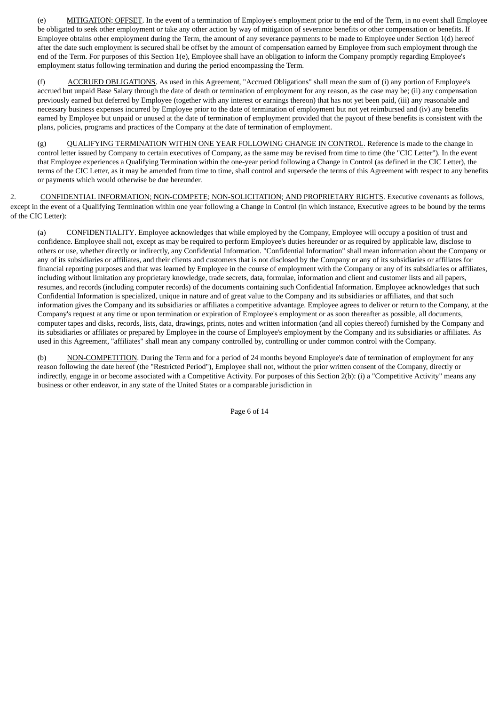(e) MITIGATION; OFFSET. In the event of a termination of Employee's employment prior to the end of the Term, in no event shall Employee be obligated to seek other employment or take any other action by way of mitigation of severance benefits or other compensation or benefits. If Employee obtains other employment during the Term, the amount of any severance payments to be made to Employee under Section 1(d) hereof after the date such employment is secured shall be offset by the amount of compensation earned by Employee from such employment through the end of the Term. For purposes of this Section 1(e), Employee shall have an obligation to inform the Company promptly regarding Employee's employment status following termination and during the period encompassing the Term.

(f) ACCRUED OBLIGATIONS. As used in this Agreement, "Accrued Obligations" shall mean the sum of (i) any portion of Employee's accrued but unpaid Base Salary through the date of death or termination of employment for any reason, as the case may be; (ii) any compensation previously earned but deferred by Employee (together with any interest or earnings thereon) that has not yet been paid, (iii) any reasonable and necessary business expenses incurred by Employee prior to the date of termination of employment but not yet reimbursed and (iv) any benefits earned by Employee but unpaid or unused at the date of termination of employment provided that the payout of these benefits is consistent with the plans, policies, programs and practices of the Company at the date of termination of employment.

(g) QUALIFYING TERMINATION WITHIN ONE YEAR FOLLOWING CHANGE IN CONTROL. Reference is made to the change in control letter issued by Company to certain executives of Company, as the same may be revised from time to time (the "CIC Letter"). In the event that Employee experiences a Qualifying Termination within the one-year period following a Change in Control (as defined in the CIC Letter), the terms of the CIC Letter, as it may be amended from time to time, shall control and supersede the terms of this Agreement with respect to any benefits or payments which would otherwise be due hereunder.

2. CONFIDENTIAL INFORMATION; NON-COMPETE; NON-SOLICITATION; AND PROPRIETARY RIGHTS. Executive covenants as follows, except in the event of a Qualifying Termination within one year following a Change in Control (in which instance, Executive agrees to be bound by the terms of the CIC Letter):

(a) CONFIDENTIALITY. Employee acknowledges that while employed by the Company, Employee will occupy a position of trust and confidence. Employee shall not, except as may be required to perform Employee's duties hereunder or as required by applicable law, disclose to others or use, whether directly or indirectly, any Confidential Information. "Confidential Information" shall mean information about the Company or any of its subsidiaries or affiliates, and their clients and customers that is not disclosed by the Company or any of its subsidiaries or affiliates for financial reporting purposes and that was learned by Employee in the course of employment with the Company or any of its subsidiaries or affiliates, including without limitation any proprietary knowledge, trade secrets, data, formulae, information and client and customer lists and all papers, resumes, and records (including computer records) of the documents containing such Confidential Information. Employee acknowledges that such Confidential Information is specialized, unique in nature and of great value to the Company and its subsidiaries or affiliates, and that such information gives the Company and its subsidiaries or affiliates a competitive advantage. Employee agrees to deliver or return to the Company, at the Company's request at any time or upon termination or expiration of Employee's employment or as soon thereafter as possible, all documents, computer tapes and disks, records, lists, data, drawings, prints, notes and written information (and all copies thereof) furnished by the Company and its subsidiaries or affiliates or prepared by Employee in the course of Employee's employment by the Company and its subsidiaries or affiliates. As used in this Agreement, "affiliates" shall mean any company controlled by, controlling or under common control with the Company.

(b) NON-COMPETITION. During the Term and for a period of 24 months beyond Employee's date of termination of employment for any reason following the date hereof (the "Restricted Period"), Employee shall not, without the prior written consent of the Company, directly or indirectly, engage in or become associated with a Competitive Activity. For purposes of this Section 2(b): (i) a "Competitive Activity" means any business or other endeavor, in any state of the United States or a comparable jurisdiction in

Page 6 of 14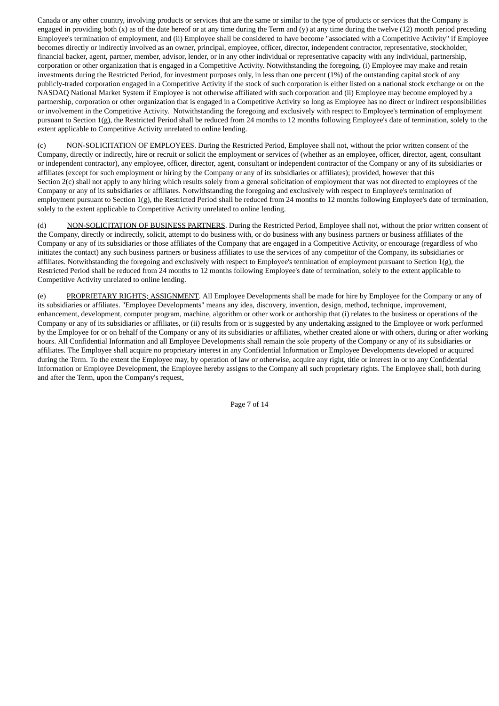Canada or any other country, involving products or services that are the same or similar to the type of products or services that the Company is engaged in providing both  $(x)$  as of the date hereof or at any time during the Term and  $(y)$  at any time during the twelve  $(12)$  month period preceding Employee's termination of employment, and (ii) Employee shall be considered to have become "associated with a Competitive Activity" if Employee becomes directly or indirectly involved as an owner, principal, employee, officer, director, independent contractor, representative, stockholder, financial backer, agent, partner, member, advisor, lender, or in any other individual or representative capacity with any individual, partnership, corporation or other organization that is engaged in a Competitive Activity. Notwithstanding the foregoing, (i) Employee may make and retain investments during the Restricted Period, for investment purposes only, in less than one percent (1%) of the outstanding capital stock of any publicly-traded corporation engaged in a Competitive Activity if the stock of such corporation is either listed on a national stock exchange or on the NASDAQ National Market System if Employee is not otherwise affiliated with such corporation and (ii) Employee may become employed by a partnership, corporation or other organization that is engaged in a Competitive Activity so long as Employee has no direct or indirect responsibilities or involvement in the Competitive Activity. Notwithstanding the foregoing and exclusively with respect to Employee's termination of employment pursuant to Section 1(g), the Restricted Period shall be reduced from 24 months to 12 months following Employee's date of termination, solely to the extent applicable to Competitive Activity unrelated to online lending.

(c) NON-SOLICITATION OF EMPLOYEES. During the Restricted Period, Employee shall not, without the prior written consent of the Company, directly or indirectly, hire or recruit or solicit the employment or services of (whether as an employee, officer, director, agent, consultant or independent contractor), any employee, officer, director, agent, consultant or independent contractor of the Company or any of its subsidiaries or affiliates (except for such employment or hiring by the Company or any of its subsidiaries or affiliates); provided, however that this Section 2(c) shall not apply to any hiring which results solely from a general solicitation of employment that was not directed to employees of the Company or any of its subsidiaries or affiliates. Notwithstanding the foregoing and exclusively with respect to Employee's termination of employment pursuant to Section 1(g), the Restricted Period shall be reduced from 24 months to 12 months following Employee's date of termination, solely to the extent applicable to Competitive Activity unrelated to online lending.

(d) NON-SOLICITATION OF BUSINESS PARTNERS. During the Restricted Period, Employee shall not, without the prior written consent of the Company, directly or indirectly, solicit, attempt to do business with, or do business with any business partners or business affiliates of the Company or any of its subsidiaries or those affiliates of the Company that are engaged in a Competitive Activity, or encourage (regardless of who initiates the contact) any such business partners or business affiliates to use the services of any competitor of the Company, its subsidiaries or affiliates. Notwithstanding the foregoing and exclusively with respect to Employee's termination of employment pursuant to Section 1(g), the Restricted Period shall be reduced from 24 months to 12 months following Employee's date of termination, solely to the extent applicable to Competitive Activity unrelated to online lending.

(e) PROPRIETARY RIGHTS; ASSIGNMENT. All Employee Developments shall be made for hire by Employee for the Company or any of its subsidiaries or affiliates. "Employee Developments" means any idea, discovery, invention, design, method, technique, improvement, enhancement, development, computer program, machine, algorithm or other work or authorship that (i) relates to the business or operations of the Company or any of its subsidiaries or affiliates, or (ii) results from or is suggested by any undertaking assigned to the Employee or work performed by the Employee for or on behalf of the Company or any of its subsidiaries or affiliates, whether created alone or with others, during or after working hours. All Confidential Information and all Employee Developments shall remain the sole property of the Company or any of its subsidiaries or affiliates. The Employee shall acquire no proprietary interest in any Confidential Information or Employee Developments developed or acquired during the Term. To the extent the Employee may, by operation of law or otherwise, acquire any right, title or interest in or to any Confidential Information or Employee Development, the Employee hereby assigns to the Company all such proprietary rights. The Employee shall, both during and after the Term, upon the Company's request,

Page 7 of 14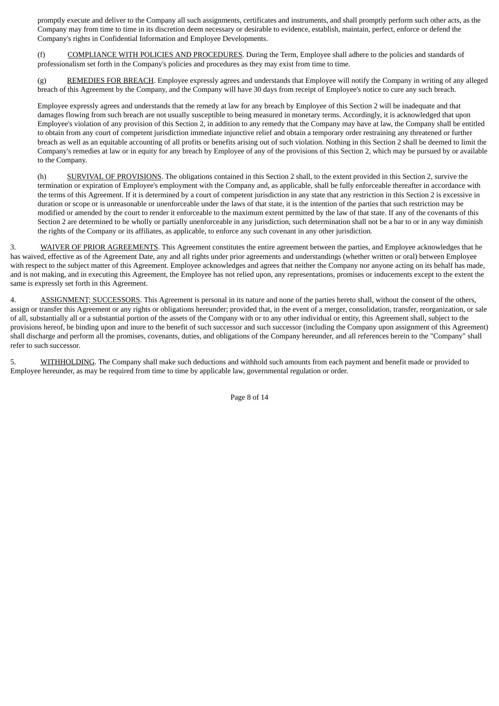promptly execute and deliver to the Company all such assignments, certificates and instruments, and shall promptly perform such other acts, as the Company may from time to time in its discretion deem necessary or desirable to evidence, establish, maintain, perfect, enforce or defend the Company's rights in Confidential Information and Employee Developments.

(f) COMPLIANCE WITH POLICIES AND PROCEDURES. During the Term, Employee shall adhere to the policies and standards of professionalism set forth in the Company's policies and procedures as they may exist from time to time.

(g) REMEDIES FOR BREACH. Employee expressly agrees and understands that Employee will notify the Company in writing of any alleged breach of this Agreement by the Company, and the Company will have 30 days from receipt of Employee's notice to cure any such breach.

Employee expressly agrees and understands that the remedy at law for any breach by Employee of this Section 2 will be inadequate and that damages flowing from such breach are not usually susceptible to being measured in monetary terms. Accordingly, it is acknowledged that upon Employee's violation of any provision of this Section 2, in addition to any remedy that the Company may have at law, the Company shall be entitled to obtain from any court of competent jurisdiction immediate injunctive relief and obtain a temporary order restraining any threatened or further breach as well as an equitable accounting of all profits or benefits arising out of such violation. Nothing in this Section 2 shall be deemed to limit the Company's remedies at law or in equity for any breach by Employee of any of the provisions of this Section 2, which may be pursued by or available to the Company.

(h) SURVIVAL OF PROVISIONS. The obligations contained in this Section 2 shall, to the extent provided in this Section 2, survive the termination or expiration of Employee's employment with the Company and, as applicable, shall be fully enforceable thereafter in accordance with the terms of this Agreement. If it is determined by a court of competent jurisdiction in any state that any restriction in this Section 2 is excessive in duration or scope or is unreasonable or unenforceable under the laws of that state, it is the intention of the parties that such restriction may be modified or amended by the court to render it enforceable to the maximum extent permitted by the law of that state. If any of the covenants of this Section 2 are determined to be wholly or partially unenforceable in any jurisdiction, such determination shall not be a bar to or in any way diminish the rights of the Company or its affiliates, as applicable, to enforce any such covenant in any other jurisdiction.

3. WAIVER OF PRIOR AGREEMENTS. This Agreement constitutes the entire agreement between the parties, and Employee acknowledges that he has waived, effective as of the Agreement Date, any and all rights under prior agreements and understandings (whether written or oral) between Employee with respect to the subject matter of this Agreement. Employee acknowledges and agrees that neither the Company nor anyone acting on its behalf has made, and is not making, and in executing this Agreement, the Employee has not relied upon, any representations, promises or inducements except to the extent the same is expressly set forth in this Agreement.

ASSIGNMENT; SUCCESSORS. This Agreement is personal in its nature and none of the parties hereto shall, without the consent of the others, assign or transfer this Agreement or any rights or obligations hereunder; provided that, in the event of a merger, consolidation, transfer, reorganization, or sale of all, substantially all or a substantial portion of the assets of the Company with or to any other individual or entity, this Agreement shall, subject to the provisions hereof, be binding upon and inure to the benefit of such successor and such successor (including the Company upon assignment of this Agreement) shall discharge and perform all the promises, covenants, duties, and obligations of the Company hereunder, and all references herein to the "Company" shall refer to such successor.

5. WITHHOLDING. The Company shall make such deductions and withhold such amounts from each payment and benefit made or provided to Employee hereunder, as may be required from time to time by applicable law, governmental regulation or order.

Page 8 of 14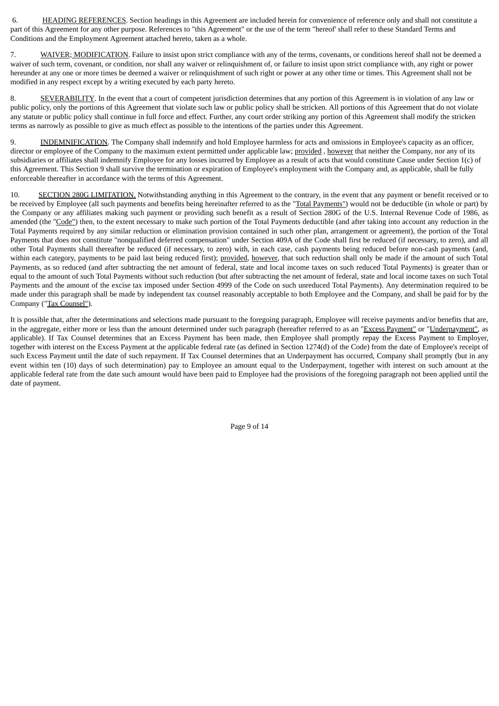6. HEADING REFERENCES. Section headings in this Agreement are included herein for convenience of reference only and shall not constitute a part of this Agreement for any other purpose. References to "this Agreement" or the use of the term "hereof' shall refer to these Standard Terms and Conditions and the Employment Agreement attached hereto, taken as a whole.

7. WAIVER; MODIFICATION. Failure to insist upon strict compliance with any of the terms, covenants, or conditions hereof shall not be deemed a waiver of such term, covenant, or condition, nor shall any waiver or relinquishment of, or failure to insist upon strict compliance with, any right or power hereunder at any one or more times be deemed a waiver or relinquishment of such right or power at any other time or times. This Agreement shall not be modified in any respect except by a writing executed by each party hereto.

8. SEVERABILITY. In the event that a court of competent jurisdiction determines that any portion of this Agreement is in violation of any law or public policy, only the portions of this Agreement that violate such law or public policy shall be stricken. All portions of this Agreement that do not violate any statute or public policy shall continue in full force and effect. Further, any court order striking any portion of this Agreement shall modify the stricken terms as narrowly as possible to give as much effect as possible to the intentions of the parties under this Agreement.

9. INDEMNIFICATION. The Company shall indemnify and hold Employee harmless for acts and omissions in Employee's capacity as an officer, director or employee of the Company to the maximum extent permitted under applicable law; provided , however that neither the Company, nor any of its subsidiaries or affiliates shall indemnify Employee for any losses incurred by Employee as a result of acts that would constitute Cause under Section 1(c) of this Agreement. This Section 9 shall survive the termination or expiration of Employee's employment with the Company and, as applicable, shall be fully enforceable thereafter in accordance with the terms of this Agreement.

10. SECTION 280G LIMITATION. Notwithstanding anything in this Agreement to the contrary, in the event that any payment or benefit received or to be received by Employee (all such payments and benefits being hereinafter referred to as the "Total Payments") would not be deductible (in whole or part) by the Company or any affiliates making such payment or providing such benefit as a result of Section 280G of the U.S. Internal Revenue Code of 1986, as amended (the "Code") then, to the extent necessary to make such portion of the Total Payments deductible (and after taking into account any reduction in the Total Payments required by any similar reduction or elimination provision contained in such other plan, arrangement or agreement), the portion of the Total Payments that does not constitute "nonqualified deferred compensation" under Section 409A of the Code shall first be reduced (if necessary, to zero), and all other Total Payments shall thereafter be reduced (if necessary, to zero) with, in each case, cash payments being reduced before non-cash payments (and, within each category, payments to be paid last being reduced first); provided, however, that such reduction shall only be made if the amount of such Total Payments, as so reduced (and after subtracting the net amount of federal, state and local income taxes on such reduced Total Payments) is greater than or equal to the amount of such Total Payments without such reduction (but after subtracting the net amount of federal, state and local income taxes on such Total Payments and the amount of the excise tax imposed under Section 4999 of the Code on such unreduced Total Payments). Any determination required to be made under this paragraph shall be made by independent tax counsel reasonably acceptable to both Employee and the Company, and shall be paid for by the Company ("Tax Counsel").

It is possible that, after the determinations and selections made pursuant to the foregoing paragraph, Employee will receive payments and/or benefits that are, in the aggregate, either more or less than the amount determined under such paragraph (hereafter referred to as an "Excess Payment" or "Underpayment", as applicable). If Tax Counsel determines that an Excess Payment has been made, then Employee shall promptly repay the Excess Payment to Employer, together with interest on the Excess Payment at the applicable federal rate (as defined in Section 1274(d) of the Code) from the date of Employee's receipt of such Excess Payment until the date of such repayment. If Tax Counsel determines that an Underpayment has occurred, Company shall promptly (but in any event within ten (10) days of such determination) pay to Employee an amount equal to the Underpayment, together with interest on such amount at the applicable federal rate from the date such amount would have been paid to Employee had the provisions of the foregoing paragraph not been applied until the date of payment.

Page 9 of 14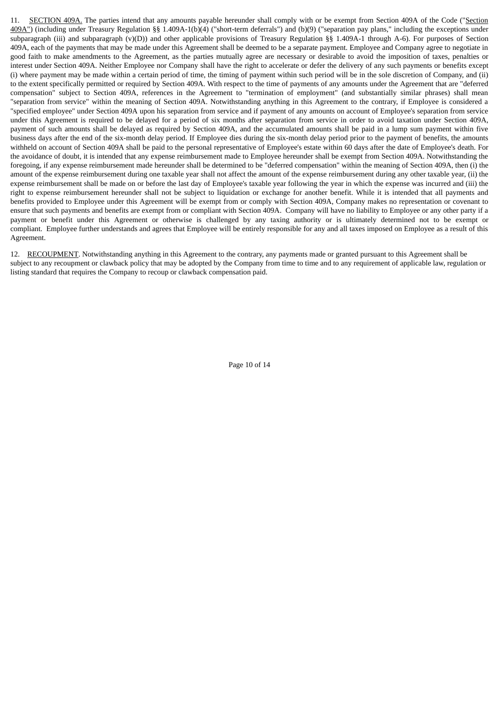11. SECTION 409A. The parties intend that any amounts payable hereunder shall comply with or be exempt from Section 409A of the Code ("Section 409A") (including under Treasury Regulation §§ 1.409A-1(b)(4) ("short-term deferrals") and (b)(9) ("separation pay plans," including the exceptions under subparagraph (iii) and subparagraph (v)(D)) and other applicable provisions of Treasury Regulation §§ 1.409A-1 through A-6). For purposes of Section 409A, each of the payments that may be made under this Agreement shall be deemed to be a separate payment. Employee and Company agree to negotiate in good faith to make amendments to the Agreement, as the parties mutually agree are necessary or desirable to avoid the imposition of taxes, penalties or interest under Section 409A. Neither Employee nor Company shall have the right to accelerate or defer the delivery of any such payments or benefits except (i) where payment may be made within a certain period of time, the timing of payment within such period will be in the sole discretion of Company, and (ii) to the extent specifically permitted or required by Section 409A. With respect to the time of payments of any amounts under the Agreement that are "deferred compensation" subject to Section 409A, references in the Agreement to "termination of employment" (and substantially similar phrases) shall mean "separation from service" within the meaning of Section 409A. Notwithstanding anything in this Agreement to the contrary, if Employee is considered a "specified employee" under Section 409A upon his separation from service and if payment of any amounts on account of Employee's separation from service under this Agreement is required to be delayed for a period of six months after separation from service in order to avoid taxation under Section 409A, payment of such amounts shall be delayed as required by Section 409A, and the accumulated amounts shall be paid in a lump sum payment within five business days after the end of the six-month delay period. If Employee dies during the six-month delay period prior to the payment of benefits, the amounts withheld on account of Section 409A shall be paid to the personal representative of Employee's estate within 60 days after the date of Employee's death. For the avoidance of doubt, it is intended that any expense reimbursement made to Employee hereunder shall be exempt from Section 409A. Notwithstanding the foregoing, if any expense reimbursement made hereunder shall be determined to be "deferred compensation" within the meaning of Section 409A, then (i) the amount of the expense reimbursement during one taxable year shall not affect the amount of the expense reimbursement during any other taxable year, (ii) the expense reimbursement shall be made on or before the last day of Employee's taxable year following the year in which the expense was incurred and (iii) the right to expense reimbursement hereunder shall not be subject to liquidation or exchange for another benefit. While it is intended that all payments and benefits provided to Employee under this Agreement will be exempt from or comply with Section 409A, Company makes no representation or covenant to ensure that such payments and benefits are exempt from or compliant with Section 409A. Company will have no liability to Employee or any other party if a payment or benefit under this Agreement or otherwise is challenged by any taxing authority or is ultimately determined not to be exempt or compliant. Employee further understands and agrees that Employee will be entirely responsible for any and all taxes imposed on Employee as a result of this Agreement.

12. RECOUPMENT. Notwithstanding anything in this Agreement to the contrary, any payments made or granted pursuant to this Agreement shall be subject to any recoupment or clawback policy that may be adopted by the Company from time to time and to any requirement of applicable law, regulation or listing standard that requires the Company to recoup or clawback compensation paid.

Page 10 of 14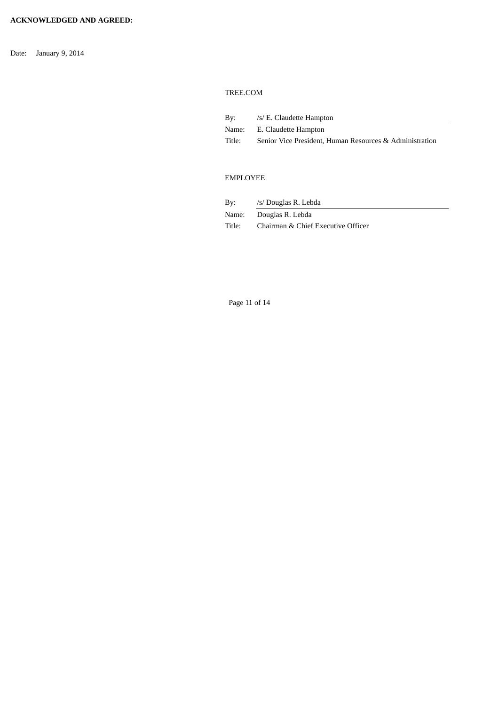Date: January 9, 2014

# TREE.COM

| By:    | /s/ E. Claudette Hampton                                |  |
|--------|---------------------------------------------------------|--|
| Name:  | E. Claudette Hampton                                    |  |
| Title: | Senior Vice President, Human Resources & Administration |  |

# EMPLOYEE

| By:    | /s/ Douglas R. Lebda               |
|--------|------------------------------------|
| Name:  | Douglas R. Lebda                   |
| Title: | Chairman & Chief Executive Officer |

Page 11 of 14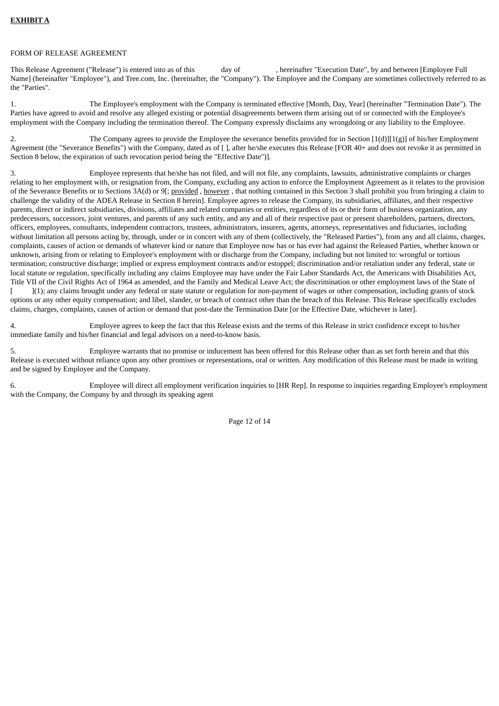## FORM OF RELEASE AGREEMENT

This Release Agreement ("Release") is entered into as of this day of , hereinafter "Execution Date", by and between [Employee Full Name] (hereinafter "Employee"), and Tree.com, Inc. (hereinafter, the "Company"). The Employee and the Company are sometimes collectively referred to as the "Parties".

1. The Employee's employment with the Company is terminated effective [Month, Day, Year] (hereinafter "Termination Date"). The Parties have agreed to avoid and resolve any alleged existing or potential disagreements between them arising out of or connected with the Employee's employment with the Company including the termination thereof. The Company expressly disclaims any wrongdoing or any liability to the Employee.

2. The Company agrees to provide the Employee the severance benefits provided for in Section  $[1(d)][1(g)]$  of his/her Employment Agreement (the "Severance Benefits") with the Company, dated as of [ ], after he/she executes this Release [FOR 40+ and does not revoke it as permitted in Section 8 below, the expiration of such revocation period being the "Effective Date")].

3. Employee represents that he/she has not filed, and will not file, any complaints, lawsuits, administrative complaints or charges relating to her employment with, or resignation from, the Company, excluding any action to enforce the Employment Agreement as it relates to the provision of the Severance Benefits or to Sections 3A(d) or 9[; provided, however, that nothing contained in this Section 3 shall prohibit you from bringing a claim to challenge the validity of the ADEA Release in Section 8 herein]. Employee agrees to release the Company, its subsidiaries, affiliates, and their respective parents, direct or indirect subsidiaries, divisions, affiliates and related companies or entities, regardless of its or their form of business organization, any predecessors, successors, joint ventures, and parents of any such entity, and any and all of their respective past or present shareholders, partners, directors, officers, employees, consultants, independent contractors, trustees, administrators, insurers, agents, attorneys, representatives and fiduciaries, including without limitation all persons acting by, through, under or in concert with any of them (collectively, the "Released Parties"), from any and all claims, charges, complaints, causes of action or demands of whatever kind or nature that Employee now has or has ever had against the Released Parties, whether known or unknown, arising from or relating to Employee's employment with or discharge from the Company, including but not limited to: wrongful or tortious termination; constructive discharge; implied or express employment contracts and/or estoppel; discrimination and/or retaliation under any federal, state or local statute or regulation, specifically including any claims Employee may have under the Fair Labor Standards Act, the Americans with Disabilities Act, Title VII of the Civil Rights Act of 1964 as amended, and the Family and Medical Leave Act; the discrimination or other employment laws of the State of [ ](1); any claims brought under any federal or state statute or regulation for non-payment of wages or other compensation, including grants of stock

options or any other equity compensation; and libel, slander, or breach of contract other than the breach of this Release. This Release specifically excludes claims, charges, complaints, causes of action or demand that post-date the Termination Date [or the Effective Date, whichever is later].

4. Employee agrees to keep the fact that this Release exists and the terms of this Release in strict confidence except to his/her immediate family and his/her financial and legal advisors on a need-to-know basis.

5. Employee warrants that no promise or inducement has been offered for this Release other than as set forth herein and that this Release is executed without reliance upon any other promises or representations, oral or written. Any modification of this Release must be made in writing and be signed by Employee and the Company.

6. Employee will direct all employment verification inquiries to [HR Rep]. In response to inquiries regarding Employee's employment with the Company, the Company by and through its speaking agent

Page 12 of 14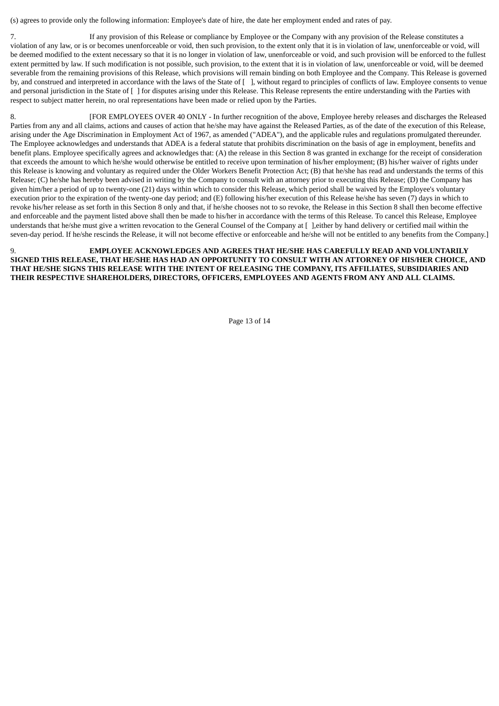(s) agrees to provide only the following information: Employee's date of hire, the date her employment ended and rates of pay.

7. If any provision of this Release or compliance by Employee or the Company with any provision of the Release constitutes a violation of any law, or is or becomes unenforceable or void, then such provision, to the extent only that it is in violation of law, unenforceable or void, will be deemed modified to the extent necessary so that it is no longer in violation of law, unenforceable or void, and such provision will be enforced to the fullest extent permitted by law. If such modification is not possible, such provision, to the extent that it is in violation of law, unenforceable or void, will be deemed severable from the remaining provisions of this Release, which provisions will remain binding on both Employee and the Company. This Release is governed by, and construed and interpreted in accordance with the laws of the State of [ ], without regard to principles of conflicts of law. Employee consents to venue and personal jurisdiction in the State of [ ] for disputes arising under this Release. This Release represents the entire understanding with the Parties with respect to subject matter herein, no oral representations have been made or relied upon by the Parties.

8. [FOR EMPLOYEES OVER 40 ONLY - In further recognition of the above, Employee hereby releases and discharges the Released Parties from any and all claims, actions and causes of action that he/she may have against the Released Parties, as of the date of the execution of this Release, arising under the Age Discrimination in Employment Act of 1967, as amended ("ADEA"), and the applicable rules and regulations promulgated thereunder. The Employee acknowledges and understands that ADEA is a federal statute that prohibits discrimination on the basis of age in employment, benefits and benefit plans. Employee specifically agrees and acknowledges that: (A) the release in this Section 8 was granted in exchange for the receipt of consideration that exceeds the amount to which he/she would otherwise be entitled to receive upon termination of his/her employment; (B) his/her waiver of rights under this Release is knowing and voluntary as required under the Older Workers Benefit Protection Act; (B) that he/she has read and understands the terms of this Release; (C) he/she has hereby been advised in writing by the Company to consult with an attorney prior to executing this Release; (D) the Company has given him/her a period of up to twenty-one (21) days within which to consider this Release, which period shall be waived by the Employee's voluntary execution prior to the expiration of the twenty-one day period; and (E) following his/her execution of this Release he/she has seven (7) days in which to revoke his/her release as set forth in this Section 8 only and that, if he/she chooses not to so revoke, the Release in this Section 8 shall then become effective and enforceable and the payment listed above shall then be made to his/her in accordance with the terms of this Release. To cancel this Release, Employee understands that he/she must give a written revocation to the General Counsel of the Company at [ ], either by hand delivery or certified mail within the seven-day period. If he/she rescinds the Release, it will not become effective or enforceable and he/she will not be entitled to any benefits from the Company.]

9. **EMPLOYEE ACKNOWLEDGES AND AGREES THAT HE/SHE HAS CAREFULLY READ AND VOLUNTARILY** SIGNED THIS RELEASE, THAT HE/SHE HAS HAD AN OPPORTUNITY TO CONSULT WITH AN ATTORNEY OF HIS/HER CHOICE, AND **THAT HE/SHE SIGNS THIS RELEASE WITH THE INTENT OF RELEASING THE COMPANY, ITS AFFILIATES, SUBSIDIARIES AND THEIR RESPECTIVE SHAREHOLDERS, DIRECTORS, OFFICERS, EMPLOYEES AND AGENTS FROM ANY AND ALL CLAIMS.**

Page 13 of 14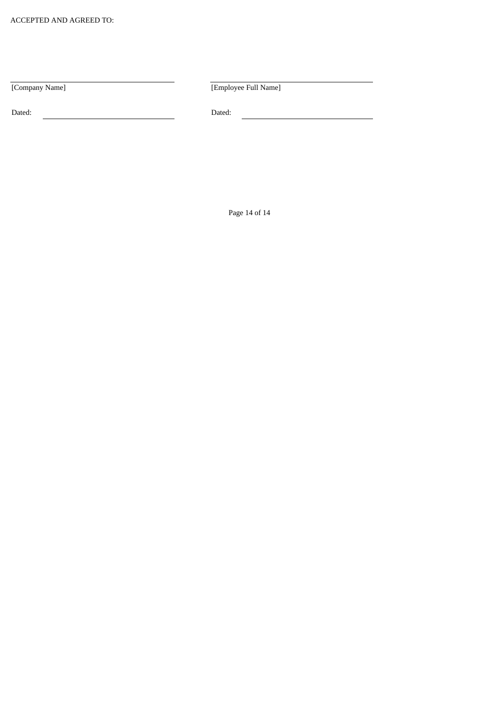[Company Name] [Employee Full Name]

Dated: Dated:

Page 14 of 14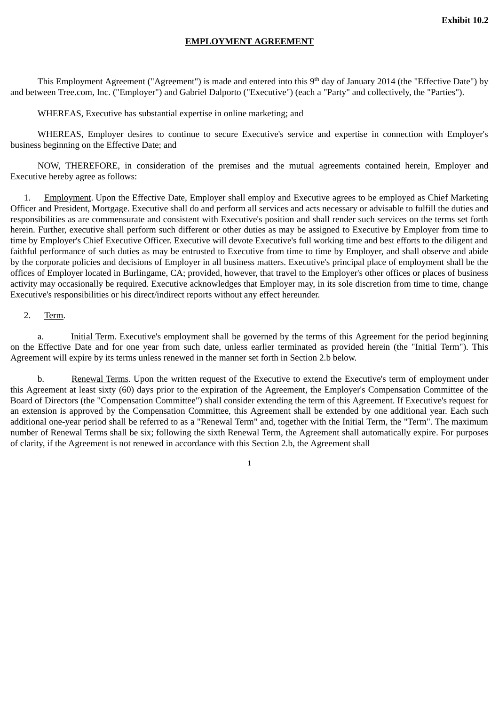# **EMPLOYMENT AGREEMENT**

This Employment Agreement ("Agreement") is made and entered into this 9<sup>th</sup> day of January 2014 (the "Effective Date") by and between Tree.com, Inc. ("Employer") and Gabriel Dalporto ("Executive") (each a "Party" and collectively, the "Parties").

WHEREAS, Executive has substantial expertise in online marketing; and

WHEREAS, Employer desires to continue to secure Executive's service and expertise in connection with Employer's business beginning on the Effective Date; and

NOW, THEREFORE, in consideration of the premises and the mutual agreements contained herein, Employer and Executive hereby agree as follows:

1. Employment. Upon the Effective Date, Employer shall employ and Executive agrees to be employed as Chief Marketing Officer and President, Mortgage. Executive shall do and perform all services and acts necessary or advisable to fulfill the duties and responsibilities as are commensurate and consistent with Executive's position and shall render such services on the terms set forth herein. Further, executive shall perform such different or other duties as may be assigned to Executive by Employer from time to time by Employer's Chief Executive Officer. Executive will devote Executive's full working time and best efforts to the diligent and faithful performance of such duties as may be entrusted to Executive from time to time by Employer, and shall observe and abide by the corporate policies and decisions of Employer in all business matters. Executive's principal place of employment shall be the offices of Employer located in Burlingame, CA; provided, however, that travel to the Employer's other offices or places of business activity may occasionally be required. Executive acknowledges that Employer may, in its sole discretion from time to time, change Executive's responsibilities or his direct/indirect reports without any effect hereunder.

# 2. Term.

a. Initial Term. Executive's employment shall be governed by the terms of this Agreement for the period beginning on the Effective Date and for one year from such date, unless earlier terminated as provided herein (the "Initial Term"). This Agreement will expire by its terms unless renewed in the manner set forth in Section 2.b below.

b. Renewal Terms. Upon the written request of the Executive to extend the Executive's term of employment under this Agreement at least sixty (60) days prior to the expiration of the Agreement, the Employer's Compensation Committee of the Board of Directors (the "Compensation Committee") shall consider extending the term of this Agreement. If Executive's request for an extension is approved by the Compensation Committee, this Agreement shall be extended by one additional year. Each such additional one-year period shall be referred to as a "Renewal Term" and, together with the Initial Term, the "Term". The maximum number of Renewal Terms shall be six; following the sixth Renewal Term, the Agreement shall automatically expire. For purposes of clarity, if the Agreement is not renewed in accordance with this Section 2.b, the Agreement shall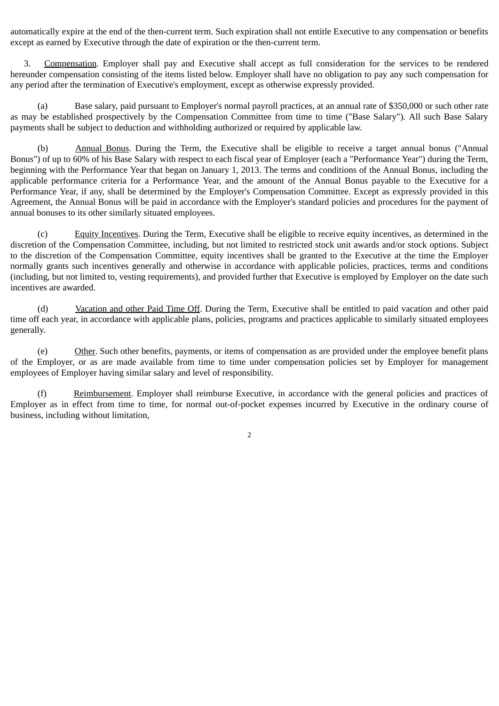automatically expire at the end of the then-current term. Such expiration shall not entitle Executive to any compensation or benefits except as earned by Executive through the date of expiration or the then-current term.

3. Compensation. Employer shall pay and Executive shall accept as full consideration for the services to be rendered hereunder compensation consisting of the items listed below. Employer shall have no obligation to pay any such compensation for any period after the termination of Executive's employment, except as otherwise expressly provided.

(a) Base salary, paid pursuant to Employer's normal payroll practices, at an annual rate of \$350,000 or such other rate as may be established prospectively by the Compensation Committee from time to time ("Base Salary"). All such Base Salary payments shall be subject to deduction and withholding authorized or required by applicable law.

(b) Annual Bonus. During the Term, the Executive shall be eligible to receive a target annual bonus ("Annual Bonus") of up to 60% of his Base Salary with respect to each fiscal year of Employer (each a "Performance Year") during the Term, beginning with the Performance Year that began on January 1, 2013. The terms and conditions of the Annual Bonus, including the applicable performance criteria for a Performance Year, and the amount of the Annual Bonus payable to the Executive for a Performance Year, if any, shall be determined by the Employer's Compensation Committee. Except as expressly provided in this Agreement, the Annual Bonus will be paid in accordance with the Employer's standard policies and procedures for the payment of annual bonuses to its other similarly situated employees.

(c) Equity Incentives. During the Term, Executive shall be eligible to receive equity incentives, as determined in the discretion of the Compensation Committee, including, but not limited to restricted stock unit awards and/or stock options. Subject to the discretion of the Compensation Committee, equity incentives shall be granted to the Executive at the time the Employer normally grants such incentives generally and otherwise in accordance with applicable policies, practices, terms and conditions (including, but not limited to, vesting requirements), and provided further that Executive is employed by Employer on the date such incentives are awarded.

(d) Vacation and other Paid Time Off. During the Term, Executive shall be entitled to paid vacation and other paid time off each year, in accordance with applicable plans, policies, programs and practices applicable to similarly situated employees generally.

(e) Other. Such other benefits, payments, or items of compensation as are provided under the employee benefit plans of the Employer, or as are made available from time to time under compensation policies set by Employer for management employees of Employer having similar salary and level of responsibility.

(f) Reimbursement. Employer shall reimburse Executive, in accordance with the general policies and practices of Employer as in effect from time to time, for normal out-of-pocket expenses incurred by Executive in the ordinary course of business, including without limitation,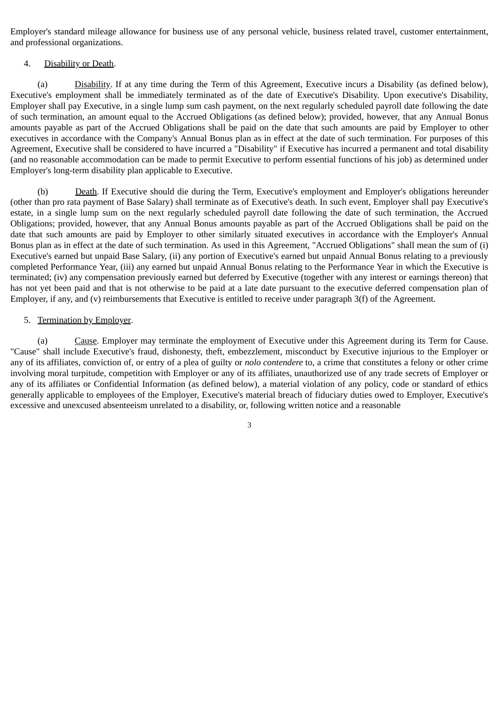Employer's standard mileage allowance for business use of any personal vehicle, business related travel, customer entertainment, and professional organizations.

# 4. Disability or Death.

(a) Disability. If at any time during the Term of this Agreement, Executive incurs a Disability (as defined below), Executive's employment shall be immediately terminated as of the date of Executive's Disability. Upon executive's Disability, Employer shall pay Executive, in a single lump sum cash payment, on the next regularly scheduled payroll date following the date of such termination, an amount equal to the Accrued Obligations (as defined below); provided, however, that any Annual Bonus amounts payable as part of the Accrued Obligations shall be paid on the date that such amounts are paid by Employer to other executives in accordance with the Company's Annual Bonus plan as in effect at the date of such termination. For purposes of this Agreement, Executive shall be considered to have incurred a "Disability" if Executive has incurred a permanent and total disability (and no reasonable accommodation can be made to permit Executive to perform essential functions of his job) as determined under Employer's long-term disability plan applicable to Executive.

(b) Death. If Executive should die during the Term, Executive's employment and Employer's obligations hereunder (other than pro rata payment of Base Salary) shall terminate as of Executive's death. In such event, Employer shall pay Executive's estate, in a single lump sum on the next regularly scheduled payroll date following the date of such termination, the Accrued Obligations; provided, however, that any Annual Bonus amounts payable as part of the Accrued Obligations shall be paid on the date that such amounts are paid by Employer to other similarly situated executives in accordance with the Employer's Annual Bonus plan as in effect at the date of such termination. As used in this Agreement, "Accrued Obligations" shall mean the sum of (i) Executive's earned but unpaid Base Salary, (ii) any portion of Executive's earned but unpaid Annual Bonus relating to a previously completed Performance Year, (iii) any earned but unpaid Annual Bonus relating to the Performance Year in which the Executive is terminated; (iv) any compensation previously earned but deferred by Executive (together with any interest or earnings thereon) that has not yet been paid and that is not otherwise to be paid at a late date pursuant to the executive deferred compensation plan of Employer, if any, and (v) reimbursements that Executive is entitled to receive under paragraph 3(f) of the Agreement.

# 5. Termination by Employer.

(a) Cause. Employer may terminate the employment of Executive under this Agreement during its Term for Cause. "Cause" shall include Executive's fraud, dishonesty, theft, embezzlement, misconduct by Executive injurious to the Employer or any of its affiliates, conviction of, or entry of a plea of guilty or *nolo contendere* to, a crime that constitutes a felony or other crime involving moral turpitude, competition with Employer or any of its affiliates, unauthorized use of any trade secrets of Employer or any of its affiliates or Confidential Information (as defined below), a material violation of any policy, code or standard of ethics generally applicable to employees of the Employer, Executive's material breach of fiduciary duties owed to Employer, Executive's excessive and unexcused absenteeism unrelated to a disability, or, following written notice and a reasonable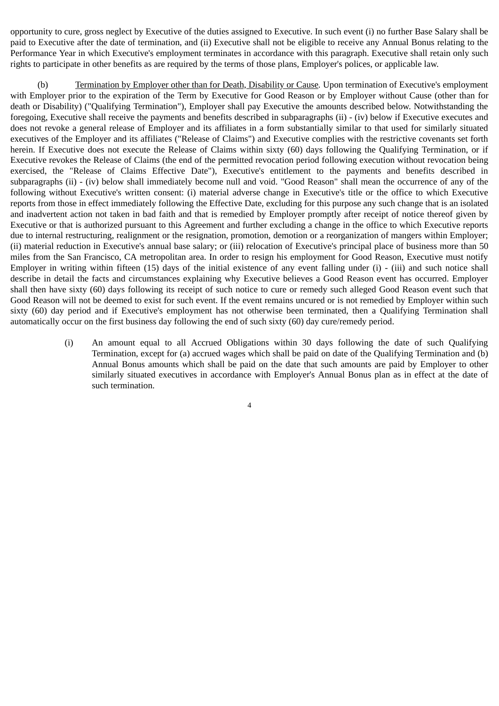opportunity to cure, gross neglect by Executive of the duties assigned to Executive. In such event (i) no further Base Salary shall be paid to Executive after the date of termination, and (ii) Executive shall not be eligible to receive any Annual Bonus relating to the Performance Year in which Executive's employment terminates in accordance with this paragraph. Executive shall retain only such rights to participate in other benefits as are required by the terms of those plans, Employer's polices, or applicable law.

(b) Termination by Employer other than for Death, Disability or Cause*.* Upon termination of Executive's employment with Employer prior to the expiration of the Term by Executive for Good Reason or by Employer without Cause (other than for death or Disability) ("Qualifying Termination"), Employer shall pay Executive the amounts described below. Notwithstanding the foregoing, Executive shall receive the payments and benefits described in subparagraphs (ii) - (iv) below if Executive executes and does not revoke a general release of Employer and its affiliates in a form substantially similar to that used for similarly situated executives of the Employer and its affiliates ("Release of Claims") and Executive complies with the restrictive covenants set forth herein. If Executive does not execute the Release of Claims within sixty (60) days following the Qualifying Termination, or if Executive revokes the Release of Claims (the end of the permitted revocation period following execution without revocation being exercised, the "Release of Claims Effective Date"), Executive's entitlement to the payments and benefits described in subparagraphs (ii) - (iv) below shall immediately become null and void. "Good Reason" shall mean the occurrence of any of the following without Executive's written consent: (i) material adverse change in Executive's title or the office to which Executive reports from those in effect immediately following the Effective Date, excluding for this purpose any such change that is an isolated and inadvertent action not taken in bad faith and that is remedied by Employer promptly after receipt of notice thereof given by Executive or that is authorized pursuant to this Agreement and further excluding a change in the office to which Executive reports due to internal restructuring, realignment or the resignation, promotion, demotion or a reorganization of mangers within Employer; (ii) material reduction in Executive's annual base salary; or (iii) relocation of Executive's principal place of business more than 50 miles from the San Francisco, CA metropolitan area. In order to resign his employment for Good Reason, Executive must notify Employer in writing within fifteen (15) days of the initial existence of any event falling under (i) - (iii) and such notice shall describe in detail the facts and circumstances explaining why Executive believes a Good Reason event has occurred. Employer shall then have sixty (60) days following its receipt of such notice to cure or remedy such alleged Good Reason event such that Good Reason will not be deemed to exist for such event. If the event remains uncured or is not remedied by Employer within such sixty (60) day period and if Executive's employment has not otherwise been terminated, then a Qualifying Termination shall automatically occur on the first business day following the end of such sixty (60) day cure/remedy period.

> (i) An amount equal to all Accrued Obligations within 30 days following the date of such Qualifying Termination, except for (a) accrued wages which shall be paid on date of the Qualifying Termination and (b) Annual Bonus amounts which shall be paid on the date that such amounts are paid by Employer to other similarly situated executives in accordance with Employer's Annual Bonus plan as in effect at the date of such termination.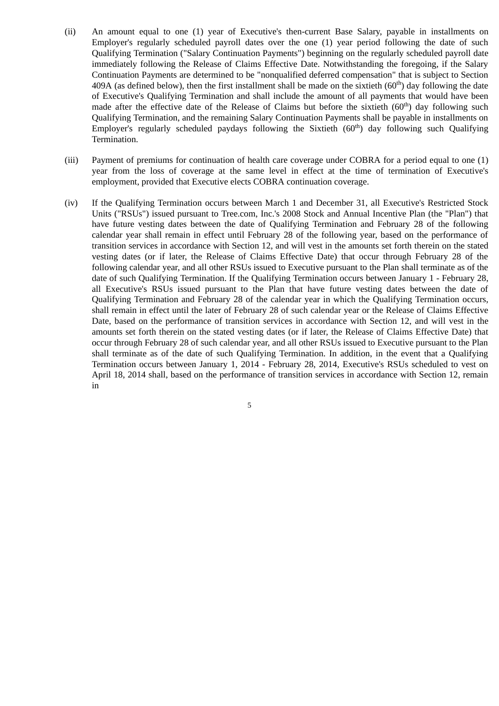- (ii) An amount equal to one (1) year of Executive's then-current Base Salary, payable in installments on Employer's regularly scheduled payroll dates over the one (1) year period following the date of such Qualifying Termination ("Salary Continuation Payments") beginning on the regularly scheduled payroll date immediately following the Release of Claims Effective Date. Notwithstanding the foregoing, if the Salary Continuation Payments are determined to be "nonqualified deferred compensation" that is subject to Section 409A (as defined below), then the first installment shall be made on the sixtieth  $(60<sup>th</sup>)$  day following the date of Executive's Qualifying Termination and shall include the amount of all payments that would have been made after the effective date of the Release of Claims but before the sixtieth (60<sup>th</sup>) day following such Qualifying Termination, and the remaining Salary Continuation Payments shall be payable in installments on Employer's regularly scheduled paydays following the Sixtieth (60<sup>th</sup>) day following such Qualifying Termination.
- (iii) Payment of premiums for continuation of health care coverage under COBRA for a period equal to one (1) year from the loss of coverage at the same level in effect at the time of termination of Executive's employment, provided that Executive elects COBRA continuation coverage.
- (iv) If the Qualifying Termination occurs between March 1 and December 31, all Executive's Restricted Stock Units ("RSUs") issued pursuant to Tree.com, Inc.'s 2008 Stock and Annual Incentive Plan (the "Plan") that have future vesting dates between the date of Qualifying Termination and February 28 of the following calendar year shall remain in effect until February 28 of the following year, based on the performance of transition services in accordance with Section 12, and will vest in the amounts set forth therein on the stated vesting dates (or if later, the Release of Claims Effective Date) that occur through February 28 of the following calendar year, and all other RSUs issued to Executive pursuant to the Plan shall terminate as of the date of such Qualifying Termination. If the Qualifying Termination occurs between January 1 - February 28, all Executive's RSUs issued pursuant to the Plan that have future vesting dates between the date of Qualifying Termination and February 28 of the calendar year in which the Qualifying Termination occurs, shall remain in effect until the later of February 28 of such calendar year or the Release of Claims Effective Date, based on the performance of transition services in accordance with Section 12, and will vest in the amounts set forth therein on the stated vesting dates (or if later, the Release of Claims Effective Date) that occur through February 28 of such calendar year, and all other RSUs issued to Executive pursuant to the Plan shall terminate as of the date of such Qualifying Termination. In addition, in the event that a Qualifying Termination occurs between January 1, 2014 - February 28, 2014, Executive's RSUs scheduled to vest on April 18, 2014 shall, based on the performance of transition services in accordance with Section 12, remain in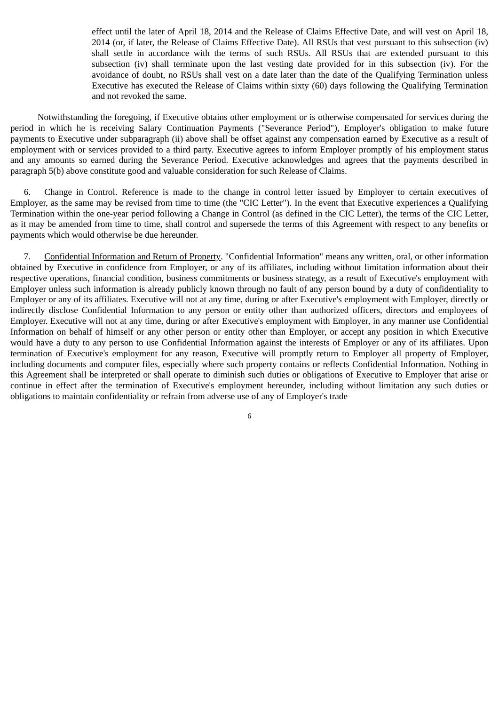effect until the later of April 18, 2014 and the Release of Claims Effective Date, and will vest on April 18, 2014 (or, if later, the Release of Claims Effective Date). All RSUs that vest pursuant to this subsection (iv) shall settle in accordance with the terms of such RSUs. All RSUs that are extended pursuant to this subsection (iv) shall terminate upon the last vesting date provided for in this subsection (iv). For the avoidance of doubt, no RSUs shall vest on a date later than the date of the Qualifying Termination unless Executive has executed the Release of Claims within sixty (60) days following the Qualifying Termination and not revoked the same.

Notwithstanding the foregoing, if Executive obtains other employment or is otherwise compensated for services during the period in which he is receiving Salary Continuation Payments ("Severance Period"), Employer's obligation to make future payments to Executive under subparagraph (ii) above shall be offset against any compensation earned by Executive as a result of employment with or services provided to a third party. Executive agrees to inform Employer promptly of his employment status and any amounts so earned during the Severance Period. Executive acknowledges and agrees that the payments described in paragraph 5(b) above constitute good and valuable consideration for such Release of Claims.

6. Change in Control. Reference is made to the change in control letter issued by Employer to certain executives of Employer, as the same may be revised from time to time (the "CIC Letter"). In the event that Executive experiences a Qualifying Termination within the one-year period following a Change in Control (as defined in the CIC Letter), the terms of the CIC Letter, as it may be amended from time to time, shall control and supersede the terms of this Agreement with respect to any benefits or payments which would otherwise be due hereunder.

7. Confidential Information and Return of Property. "Confidential Information" means any written, oral, or other information obtained by Executive in confidence from Employer, or any of its affiliates, including without limitation information about their respective operations, financial condition, business commitments or business strategy, as a result of Executive's employment with Employer unless such information is already publicly known through no fault of any person bound by a duty of confidentiality to Employer or any of its affiliates. Executive will not at any time, during or after Executive's employment with Employer, directly or indirectly disclose Confidential Information to any person or entity other than authorized officers, directors and employees of Employer. Executive will not at any time, during or after Executive's employment with Employer, in any manner use Confidential Information on behalf of himself or any other person or entity other than Employer, or accept any position in which Executive would have a duty to any person to use Confidential Information against the interests of Employer or any of its affiliates. Upon termination of Executive's employment for any reason, Executive will promptly return to Employer all property of Employer, including documents and computer files, especially where such property contains or reflects Confidential Information. Nothing in this Agreement shall be interpreted or shall operate to diminish such duties or obligations of Executive to Employer that arise or continue in effect after the termination of Executive's employment hereunder, including without limitation any such duties or obligations to maintain confidentiality or refrain from adverse use of any of Employer's trade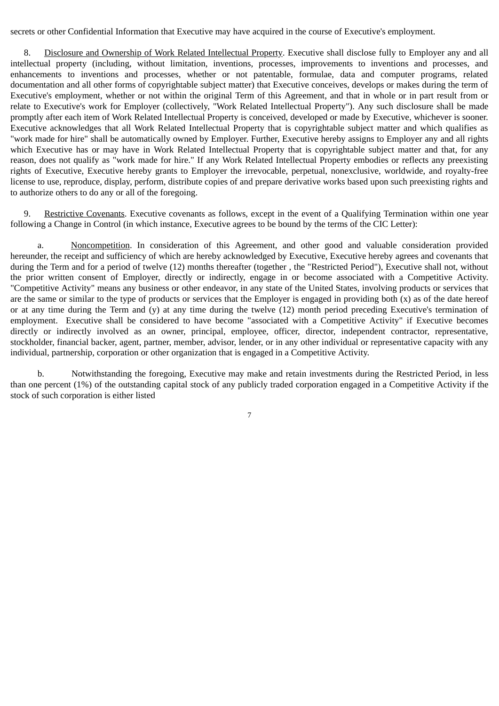secrets or other Confidential Information that Executive may have acquired in the course of Executive's employment.

8. Disclosure and Ownership of Work Related Intellectual Property. Executive shall disclose fully to Employer any and all intellectual property (including, without limitation, inventions, processes, improvements to inventions and processes, and enhancements to inventions and processes, whether or not patentable, formulae, data and computer programs, related documentation and all other forms of copyrightable subject matter) that Executive conceives, develops or makes during the term of Executive's employment, whether or not within the original Term of this Agreement, and that in whole or in part result from or relate to Executive's work for Employer (collectively, "Work Related Intellectual Property"). Any such disclosure shall be made promptly after each item of Work Related Intellectual Property is conceived, developed or made by Executive, whichever is sooner. Executive acknowledges that all Work Related Intellectual Property that is copyrightable subject matter and which qualifies as "work made for hire" shall be automatically owned by Employer. Further, Executive hereby assigns to Employer any and all rights which Executive has or may have in Work Related Intellectual Property that is copyrightable subject matter and that, for any reason, does not qualify as "work made for hire." If any Work Related Intellectual Property embodies or reflects any preexisting rights of Executive, Executive hereby grants to Employer the irrevocable, perpetual, nonexclusive, worldwide, and royalty-free license to use, reproduce, display, perform, distribute copies of and prepare derivative works based upon such preexisting rights and to authorize others to do any or all of the foregoing.

9. Restrictive Covenants. Executive covenants as follows, except in the event of a Qualifying Termination within one year following a Change in Control (in which instance, Executive agrees to be bound by the terms of the CIC Letter):

a. Moncompetition. In consideration of this Agreement, and other good and valuable consideration provided hereunder, the receipt and sufficiency of which are hereby acknowledged by Executive, Executive hereby agrees and covenants that during the Term and for a period of twelve (12) months thereafter (together , the "Restricted Period"), Executive shall not, without the prior written consent of Employer, directly or indirectly, engage in or become associated with a Competitive Activity. "Competitive Activity" means any business or other endeavor, in any state of the United States, involving products or services that are the same or similar to the type of products or services that the Employer is engaged in providing both  $(x)$  as of the date hereof or at any time during the Term and  $(y)$  at any time during the twelve  $(12)$  month period preceding Executive's termination of employment. Executive shall be considered to have become "associated with a Competitive Activity" if Executive becomes directly or indirectly involved as an owner, principal, employee, officer, director, independent contractor, representative, stockholder, financial backer, agent, partner, member, advisor, lender, or in any other individual or representative capacity with any individual, partnership, corporation or other organization that is engaged in a Competitive Activity.

b. Notwithstanding the foregoing, Executive may make and retain investments during the Restricted Period, in less than one percent (1%) of the outstanding capital stock of any publicly traded corporation engaged in a Competitive Activity if the stock of such corporation is either listed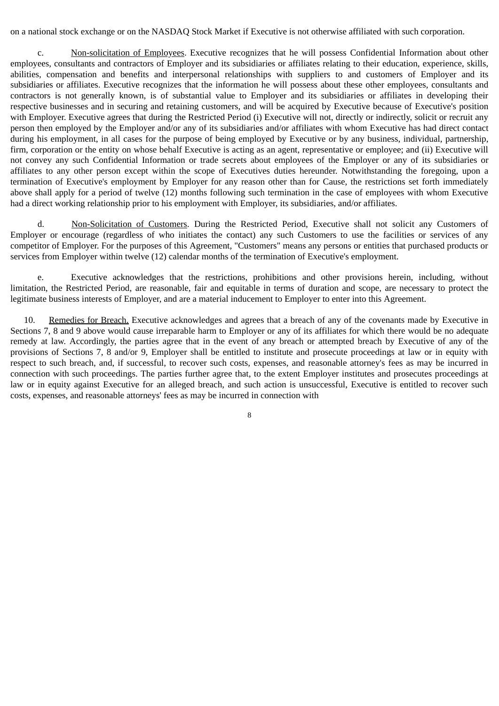on a national stock exchange or on the NASDAQ Stock Market if Executive is not otherwise affiliated with such corporation.

c. Non-solicitation of Employees. Executive recognizes that he will possess Confidential Information about other employees, consultants and contractors of Employer and its subsidiaries or affiliates relating to their education, experience, skills, abilities, compensation and benefits and interpersonal relationships with suppliers to and customers of Employer and its subsidiaries or affiliates. Executive recognizes that the information he will possess about these other employees, consultants and contractors is not generally known, is of substantial value to Employer and its subsidiaries or affiliates in developing their respective businesses and in securing and retaining customers, and will be acquired by Executive because of Executive's position with Employer. Executive agrees that during the Restricted Period (i) Executive will not, directly or indirectly, solicit or recruit any person then employed by the Employer and/or any of its subsidiaries and/or affiliates with whom Executive has had direct contact during his employment, in all cases for the purpose of being employed by Executive or by any business, individual, partnership, firm, corporation or the entity on whose behalf Executive is acting as an agent, representative or employee; and (ii) Executive will not convey any such Confidential Information or trade secrets about employees of the Employer or any of its subsidiaries or affiliates to any other person except within the scope of Executives duties hereunder. Notwithstanding the foregoing, upon a termination of Executive's employment by Employer for any reason other than for Cause, the restrictions set forth immediately above shall apply for a period of twelve (12) months following such termination in the case of employees with whom Executive had a direct working relationship prior to his employment with Employer, its subsidiaries, and/or affiliates.

d. Non-Solicitation of Customers. During the Restricted Period, Executive shall not solicit any Customers of Employer or encourage (regardless of who initiates the contact) any such Customers to use the facilities or services of any competitor of Employer. For the purposes of this Agreement, "Customers" means any persons or entities that purchased products or services from Employer within twelve (12) calendar months of the termination of Executive's employment.

e. Executive acknowledges that the restrictions, prohibitions and other provisions herein, including, without limitation, the Restricted Period, are reasonable, fair and equitable in terms of duration and scope, are necessary to protect the legitimate business interests of Employer, and are a material inducement to Employer to enter into this Agreement.

10. Remedies for Breach. Executive acknowledges and agrees that a breach of any of the covenants made by Executive in Sections 7, 8 and 9 above would cause irreparable harm to Employer or any of its affiliates for which there would be no adequate remedy at law. Accordingly, the parties agree that in the event of any breach or attempted breach by Executive of any of the provisions of Sections 7, 8 and/or 9, Employer shall be entitled to institute and prosecute proceedings at law or in equity with respect to such breach, and, if successful, to recover such costs, expenses, and reasonable attorney's fees as may be incurred in connection with such proceedings. The parties further agree that, to the extent Employer institutes and prosecutes proceedings at law or in equity against Executive for an alleged breach, and such action is unsuccessful, Executive is entitled to recover such costs, expenses, and reasonable attorneys' fees as may be incurred in connection with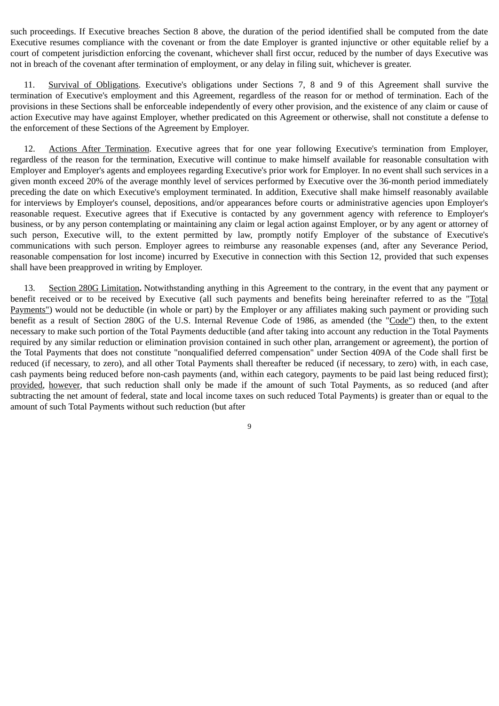such proceedings. If Executive breaches Section 8 above, the duration of the period identified shall be computed from the date Executive resumes compliance with the covenant or from the date Employer is granted injunctive or other equitable relief by a court of competent jurisdiction enforcing the covenant, whichever shall first occur, reduced by the number of days Executive was not in breach of the covenant after termination of employment, or any delay in filing suit, whichever is greater.

11. Survival of Obligations. Executive's obligations under Sections 7, 8 and 9 of this Agreement shall survive the termination of Executive's employment and this Agreement, regardless of the reason for or method of termination. Each of the provisions in these Sections shall be enforceable independently of every other provision, and the existence of any claim or cause of action Executive may have against Employer, whether predicated on this Agreement or otherwise, shall not constitute a defense to the enforcement of these Sections of the Agreement by Employer.

12. Actions After Termination. Executive agrees that for one year following Executive's termination from Employer, regardless of the reason for the termination, Executive will continue to make himself available for reasonable consultation with Employer and Employer's agents and employees regarding Executive's prior work for Employer. In no event shall such services in a given month exceed 20% of the average monthly level of services performed by Executive over the 36-month period immediately preceding the date on which Executive's employment terminated. In addition, Executive shall make himself reasonably available for interviews by Employer's counsel, depositions, and/or appearances before courts or administrative agencies upon Employer's reasonable request. Executive agrees that if Executive is contacted by any government agency with reference to Employer's business, or by any person contemplating or maintaining any claim or legal action against Employer, or by any agent or attorney of such person, Executive will, to the extent permitted by law, promptly notify Employer of the substance of Executive's communications with such person. Employer agrees to reimburse any reasonable expenses (and, after any Severance Period, reasonable compensation for lost income) incurred by Executive in connection with this Section 12, provided that such expenses shall have been preapproved in writing by Employer.

13. Section 280G Limitation**.** Notwithstanding anything in this Agreement to the contrary, in the event that any payment or benefit received or to be received by Executive (all such payments and benefits being hereinafter referred to as the "Total Payments") would not be deductible (in whole or part) by the Employer or any affiliates making such payment or providing such benefit as a result of Section 280G of the U.S. Internal Revenue Code of 1986, as amended (the "Code") then, to the extent necessary to make such portion of the Total Payments deductible (and after taking into account any reduction in the Total Payments required by any similar reduction or elimination provision contained in such other plan, arrangement or agreement), the portion of the Total Payments that does not constitute "nonqualified deferred compensation" under Section 409A of the Code shall first be reduced (if necessary, to zero), and all other Total Payments shall thereafter be reduced (if necessary, to zero) with, in each case, cash payments being reduced before non-cash payments (and, within each category, payments to be paid last being reduced first); provided, however, that such reduction shall only be made if the amount of such Total Payments, as so reduced (and after subtracting the net amount of federal, state and local income taxes on such reduced Total Payments) is greater than or equal to the amount of such Total Payments without such reduction (but after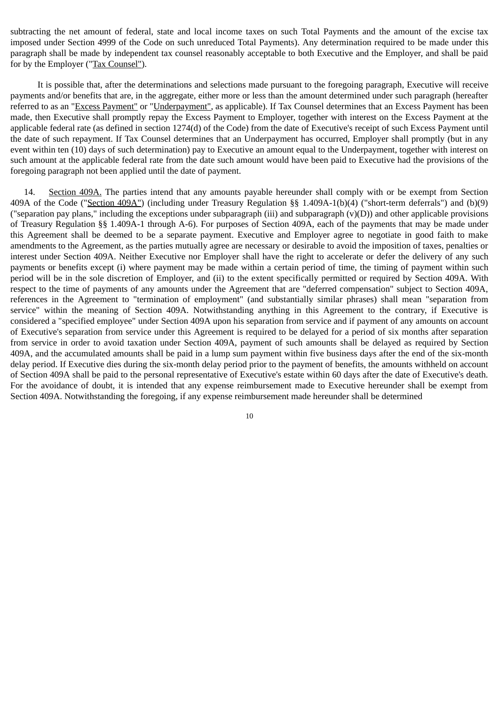subtracting the net amount of federal, state and local income taxes on such Total Payments and the amount of the excise tax imposed under Section 4999 of the Code on such unreduced Total Payments). Any determination required to be made under this paragraph shall be made by independent tax counsel reasonably acceptable to both Executive and the Employer, and shall be paid for by the Employer ("Tax Counsel").

It is possible that, after the determinations and selections made pursuant to the foregoing paragraph, Executive will receive payments and/or benefits that are, in the aggregate, either more or less than the amount determined under such paragraph (hereafter referred to as an "Excess Payment" or "Underpayment", as applicable). If Tax Counsel determines that an Excess Payment has been made, then Executive shall promptly repay the Excess Payment to Employer, together with interest on the Excess Payment at the applicable federal rate (as defined in section 1274(d) of the Code) from the date of Executive's receipt of such Excess Payment until the date of such repayment. If Tax Counsel determines that an Underpayment has occurred, Employer shall promptly (but in any event within ten (10) days of such determination) pay to Executive an amount equal to the Underpayment, together with interest on such amount at the applicable federal rate from the date such amount would have been paid to Executive had the provisions of the foregoing paragraph not been applied until the date of payment.

14. Section 409A. The parties intend that any amounts payable hereunder shall comply with or be exempt from Section 409A of the Code ("Section 409A") (including under Treasury Regulation §§ 1.409A-1(b)(4) ("short-term deferrals") and (b)(9) ("separation pay plans," including the exceptions under subparagraph (iii) and subparagraph  $(v)(D)$ ) and other applicable provisions of Treasury Regulation §§ 1.409A-1 through A-6). For purposes of Section 409A, each of the payments that may be made under this Agreement shall be deemed to be a separate payment. Executive and Employer agree to negotiate in good faith to make amendments to the Agreement, as the parties mutually agree are necessary or desirable to avoid the imposition of taxes, penalties or interest under Section 409A. Neither Executive nor Employer shall have the right to accelerate or defer the delivery of any such payments or benefits except (i) where payment may be made within a certain period of time, the timing of payment within such period will be in the sole discretion of Employer, and (ii) to the extent specifically permitted or required by Section 409A. With respect to the time of payments of any amounts under the Agreement that are "deferred compensation" subject to Section 409A, references in the Agreement to "termination of employment" (and substantially similar phrases) shall mean "separation from service" within the meaning of Section 409A. Notwithstanding anything in this Agreement to the contrary, if Executive is considered a "specified employee" under Section 409A upon his separation from service and if payment of any amounts on account of Executive's separation from service under this Agreement is required to be delayed for a period of six months after separation from service in order to avoid taxation under Section 409A, payment of such amounts shall be delayed as required by Section 409A, and the accumulated amounts shall be paid in a lump sum payment within five business days after the end of the six-month delay period. If Executive dies during the six-month delay period prior to the payment of benefits, the amounts withheld on account of Section 409A shall be paid to the personal representative of Executive's estate within 60 days after the date of Executive's death. For the avoidance of doubt, it is intended that any expense reimbursement made to Executive hereunder shall be exempt from Section 409A. Notwithstanding the foregoing, if any expense reimbursement made hereunder shall be determined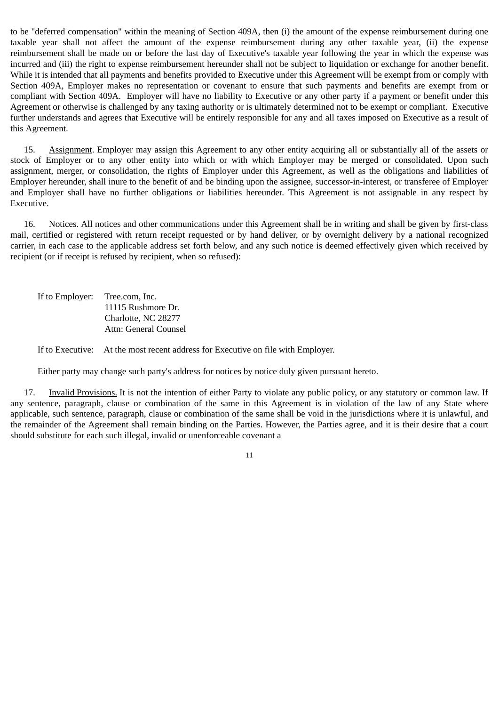to be "deferred compensation" within the meaning of Section 409A, then (i) the amount of the expense reimbursement during one taxable year shall not affect the amount of the expense reimbursement during any other taxable year, (ii) the expense reimbursement shall be made on or before the last day of Executive's taxable year following the year in which the expense was incurred and (iii) the right to expense reimbursement hereunder shall not be subject to liquidation or exchange for another benefit. While it is intended that all payments and benefits provided to Executive under this Agreement will be exempt from or comply with Section 409A, Employer makes no representation or covenant to ensure that such payments and benefits are exempt from or compliant with Section 409A. Employer will have no liability to Executive or any other party if a payment or benefit under this Agreement or otherwise is challenged by any taxing authority or is ultimately determined not to be exempt or compliant. Executive further understands and agrees that Executive will be entirely responsible for any and all taxes imposed on Executive as a result of this Agreement.

15. Assignment. Employer may assign this Agreement to any other entity acquiring all or substantially all of the assets or stock of Employer or to any other entity into which or with which Employer may be merged or consolidated. Upon such assignment, merger, or consolidation, the rights of Employer under this Agreement, as well as the obligations and liabilities of Employer hereunder, shall inure to the benefit of and be binding upon the assignee, successor-in-interest, or transferee of Employer and Employer shall have no further obligations or liabilities hereunder. This Agreement is not assignable in any respect by Executive.

16. Notices. All notices and other communications under this Agreement shall be in writing and shall be given by first-class mail, certified or registered with return receipt requested or by hand deliver, or by overnight delivery by a national recognized carrier, in each case to the applicable address set forth below, and any such notice is deemed effectively given which received by recipient (or if receipt is refused by recipient, when so refused):

If to Employer: Tree.com, Inc. 11115 Rushmore Dr. Charlotte, NC 28277 Attn: General Counsel

If to Executive: At the most recent address for Executive on file with Employer.

Either party may change such party's address for notices by notice duly given pursuant hereto.

17. Invalid Provisions. It is not the intention of either Party to violate any public policy, or any statutory or common law. If any sentence, paragraph, clause or combination of the same in this Agreement is in violation of the law of any State where applicable, such sentence, paragraph, clause or combination of the same shall be void in the jurisdictions where it is unlawful, and the remainder of the Agreement shall remain binding on the Parties. However, the Parties agree, and it is their desire that a court should substitute for each such illegal, invalid or unenforceable covenant a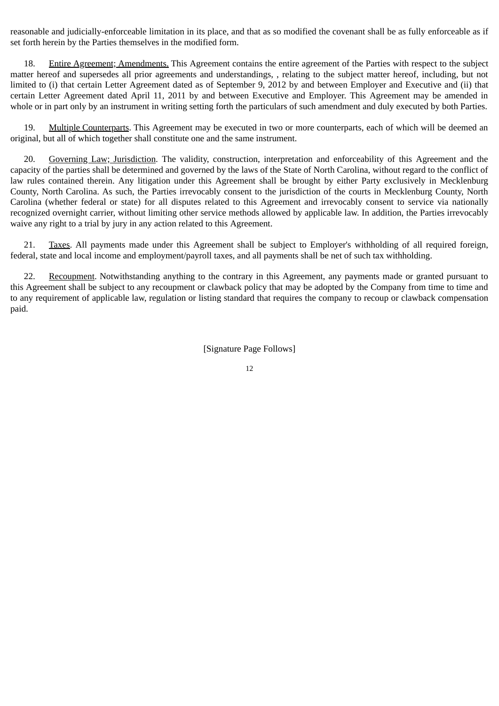reasonable and judicially-enforceable limitation in its place, and that as so modified the covenant shall be as fully enforceable as if set forth herein by the Parties themselves in the modified form.

18. Entire Agreement; Amendments. This Agreement contains the entire agreement of the Parties with respect to the subject matter hereof and supersedes all prior agreements and understandings, , relating to the subject matter hereof, including, but not limited to (i) that certain Letter Agreement dated as of September 9, 2012 by and between Employer and Executive and (ii) that certain Letter Agreement dated April 11, 2011 by and between Executive and Employer. This Agreement may be amended in whole or in part only by an instrument in writing setting forth the particulars of such amendment and duly executed by both Parties.

19. Multiple Counterparts. This Agreement may be executed in two or more counterparts, each of which will be deemed an original, but all of which together shall constitute one and the same instrument.

20. Governing Law; Jurisdiction. The validity, construction, interpretation and enforceability of this Agreement and the capacity of the parties shall be determined and governed by the laws of the State of North Carolina, without regard to the conflict of law rules contained therein. Any litigation under this Agreement shall be brought by either Party exclusively in Mecklenburg County, North Carolina. As such, the Parties irrevocably consent to the jurisdiction of the courts in Mecklenburg County, North Carolina (whether federal or state) for all disputes related to this Agreement and irrevocably consent to service via nationally recognized overnight carrier, without limiting other service methods allowed by applicable law. In addition, the Parties irrevocably waive any right to a trial by jury in any action related to this Agreement.

21. Taxes. All payments made under this Agreement shall be subject to Employer's withholding of all required foreign, federal, state and local income and employment/payroll taxes, and all payments shall be net of such tax withholding.

22. Recoupment. Notwithstanding anything to the contrary in this Agreement, any payments made or granted pursuant to this Agreement shall be subject to any recoupment or clawback policy that may be adopted by the Company from time to time and to any requirement of applicable law, regulation or listing standard that requires the company to recoup or clawback compensation paid.

[Signature Page Follows]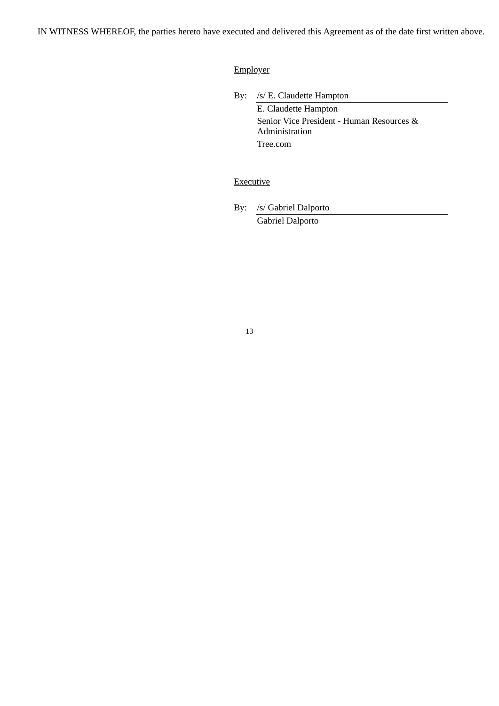IN WITNESS WHEREOF, the parties hereto have executed and delivered this Agreement as of the date first written above.

# **Employer**

By: /s/ E. Claudette Hampton E. Claudette Hampton Senior Vice President - Human Resources & Administration Tree.com

# **Executive**

By: /s/ Gabriel Dalporto

Gabriel Dalporto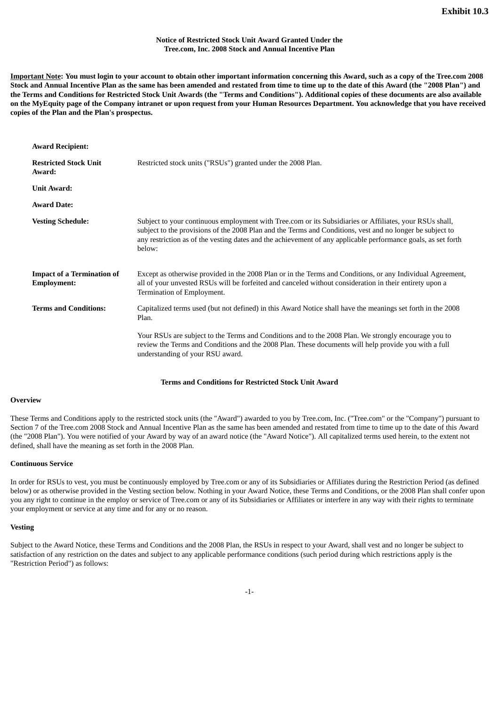## **Notice of Restricted Stock Unit Award Granted Under the Tree.com, Inc. 2008 Stock and Annual Incentive Plan**

Important Note: You must login to your account to obtain other important information concerning this Award, such as a copy of the Tree.com 2008 Stock and Annual Incentive Plan as the same has been amended and restated from time to time up to the date of this Award (the "2008 Plan") and the Terms and Conditions for Restricted Stock Unit Awards (the "Terms and Conditions"). Additional copies of these documents are also available on the MyEquity page of the Company intranet or upon request from your Human Resources Department. You acknowledge that you have received **copies of the Plan and the Plan's prospectus.**

| <b>Award Recipient:</b>                                 |                                                                                                                                                                                                                                                                                                                                                 |
|---------------------------------------------------------|-------------------------------------------------------------------------------------------------------------------------------------------------------------------------------------------------------------------------------------------------------------------------------------------------------------------------------------------------|
| <b>Restricted Stock Unit</b><br>Award:                  | Restricted stock units ("RSUs") granted under the 2008 Plan.                                                                                                                                                                                                                                                                                    |
| <b>Unit Award:</b>                                      |                                                                                                                                                                                                                                                                                                                                                 |
| <b>Award Date:</b>                                      |                                                                                                                                                                                                                                                                                                                                                 |
| <b>Vesting Schedule:</b>                                | Subject to your continuous employment with Tree.com or its Subsidiaries or Affiliates, your RSUs shall,<br>subject to the provisions of the 2008 Plan and the Terms and Conditions, vest and no longer be subject to<br>any restriction as of the vesting dates and the achievement of any applicable performance goals, as set forth<br>below: |
| <b>Impact of a Termination of</b><br><b>Employment:</b> | Except as otherwise provided in the 2008 Plan or in the Terms and Conditions, or any Individual Agreement,<br>all of your unvested RSUs will be forfeited and canceled without consideration in their entirety upon a<br>Termination of Employment.                                                                                             |
| <b>Terms and Conditions:</b>                            | Capitalized terms used (but not defined) in this Award Notice shall have the meanings set forth in the 2008<br>Plan.                                                                                                                                                                                                                            |
|                                                         | Your RSUs are subject to the Terms and Conditions and to the 2008 Plan. We strongly encourage you to<br>review the Terms and Conditions and the 2008 Plan. These documents will help provide you with a full<br>understanding of your RSU award.                                                                                                |

## **Terms and Conditions for Restricted Stock Unit Award**

#### **Overview**

These Terms and Conditions apply to the restricted stock units (the "Award") awarded to you by Tree.com, Inc. ("Tree.com" or the "Company") pursuant to Section 7 of the Tree.com 2008 Stock and Annual Incentive Plan as the same has been amended and restated from time to time up to the date of this Award (the "2008 Plan"). You were notified of your Award by way of an award notice (the "Award Notice"). All capitalized terms used herein, to the extent not defined, shall have the meaning as set forth in the 2008 Plan.

## **Continuous Service**

In order for RSUs to vest, you must be continuously employed by Tree.com or any of its Subsidiaries or Affiliates during the Restriction Period (as defined below) or as otherwise provided in the Vesting section below. Nothing in your Award Notice, these Terms and Conditions, or the 2008 Plan shall confer upon you any right to continue in the employ or service of Tree.com or any of its Subsidiaries or Affiliates or interfere in any way with their rights to terminate your employment or service at any time and for any or no reason.

## **Vesting**

Subject to the Award Notice, these Terms and Conditions and the 2008 Plan, the RSUs in respect to your Award, shall vest and no longer be subject to satisfaction of any restriction on the dates and subject to any applicable performance conditions (such period during which restrictions apply is the "Restriction Period") as follows: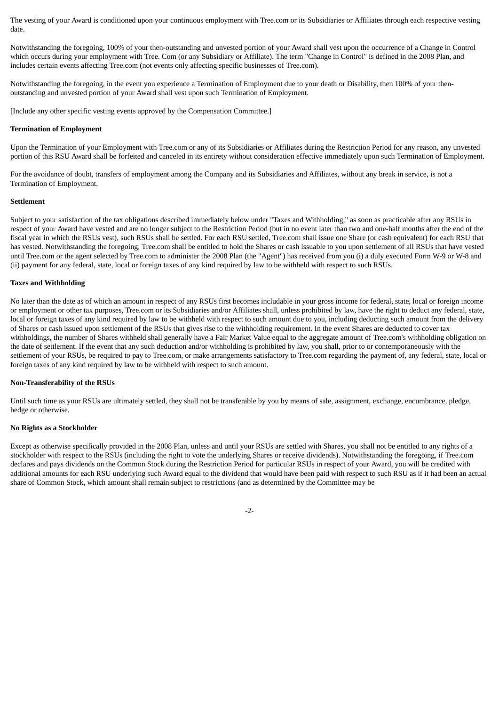The vesting of your Award is conditioned upon your continuous employment with Tree.com or its Subsidiaries or Affiliates through each respective vesting date.

Notwithstanding the foregoing, 100% of your then-outstanding and unvested portion of your Award shall vest upon the occurrence of a Change in Control which occurs during your employment with Tree. Com (or any Subsidiary or Affiliate). The term "Change in Control" is defined in the 2008 Plan, and includes certain events affecting Tree.com (not events only affecting specific businesses of Tree.com).

Notwithstanding the foregoing, in the event you experience a Termination of Employment due to your death or Disability, then 100% of your thenoutstanding and unvested portion of your Award shall vest upon such Termination of Employment.

[Include any other specific vesting events approved by the Compensation Committee.]

## **Termination of Employment**

Upon the Termination of your Employment with Tree.com or any of its Subsidiaries or Affiliates during the Restriction Period for any reason, any unvested portion of this RSU Award shall be forfeited and canceled in its entirety without consideration effective immediately upon such Termination of Employment.

For the avoidance of doubt, transfers of employment among the Company and its Subsidiaries and Affiliates, without any break in service, is not a Termination of Employment.

#### **Settlement**

Subject to your satisfaction of the tax obligations described immediately below under "Taxes and Withholding," as soon as practicable after any RSUs in respect of your Award have vested and are no longer subject to the Restriction Period (but in no event later than two and one-half months after the end of the fiscal year in which the RSUs vest), such RSUs shall be settled. For each RSU settled, Tree.com shall issue one Share (or cash equivalent) for each RSU that has vested. Notwithstanding the foregoing, Tree.com shall be entitled to hold the Shares or cash issuable to you upon settlement of all RSUs that have vested until Tree.com or the agent selected by Tree.com to administer the 2008 Plan (the "Agent") has received from you (i) a duly executed Form W-9 or W-8 and (ii) payment for any federal, state, local or foreign taxes of any kind required by law to be withheld with respect to such RSUs.

## **Taxes and Withholding**

No later than the date as of which an amount in respect of any RSUs first becomes includable in your gross income for federal, state, local or foreign income or employment or other tax purposes, Tree.com or its Subsidiaries and/or Affiliates shall, unless prohibited by law, have the right to deduct any federal, state, local or foreign taxes of any kind required by law to be withheld with respect to such amount due to you, including deducting such amount from the delivery of Shares or cash issued upon settlement of the RSUs that gives rise to the withholding requirement. In the event Shares are deducted to cover tax withholdings, the number of Shares withheld shall generally have a Fair Market Value equal to the aggregate amount of Tree.com's withholding obligation on the date of settlement. If the event that any such deduction and/or withholding is prohibited by law, you shall, prior to or contemporaneously with the settlement of your RSUs, be required to pay to Tree.com, or make arrangements satisfactory to Tree.com regarding the payment of, any federal, state, local or foreign taxes of any kind required by law to be withheld with respect to such amount.

#### **Non-Transferability of the RSUs**

Until such time as your RSUs are ultimately settled, they shall not be transferable by you by means of sale, assignment, exchange, encumbrance, pledge, hedge or otherwise.

## **No Rights as a Stockholder**

Except as otherwise specifically provided in the 2008 Plan, unless and until your RSUs are settled with Shares, you shall not be entitled to any rights of a stockholder with respect to the RSUs (including the right to vote the underlying Shares or receive dividends). Notwithstanding the foregoing, if Tree.com declares and pays dividends on the Common Stock during the Restriction Period for particular RSUs in respect of your Award, you will be credited with additional amounts for each RSU underlying such Award equal to the dividend that would have been paid with respect to such RSU as if it had been an actual share of Common Stock, which amount shall remain subject to restrictions (and as determined by the Committee may be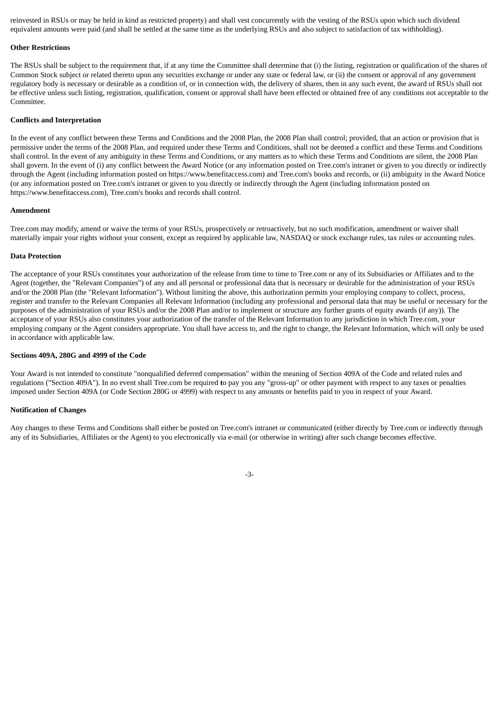reinvested in RSUs or may be held in kind as restricted property) and shall vest concurrently with the vesting of the RSUs upon which such dividend equivalent amounts were paid (and shall be settled at the same time as the underlying RSUs and also subject to satisfaction of tax withholding).

## **Other Restrictions**

The RSUs shall be subject to the requirement that, if at any time the Committee shall determine that (i) the listing, registration or qualification of the shares of Common Stock subject or related thereto upon any securities exchange or under any state or federal law, or (ii) the consent or approval of any government regulatory body is necessary or desirable as a condition of, or in connection with, the delivery of shares, then in any such event, the award of RSUs shall not be effective unless such listing, registration, qualification, consent or approval shall have been effected or obtained free of any conditions not acceptable to the Committee.

#### **Conflicts and Interpretation**

In the event of any conflict between these Terms and Conditions and the 2008 Plan, the 2008 Plan shall control; provided, that an action or provision that is permissive under the terms of the 2008 Plan, and required under these Terms and Conditions, shall not be deemed a conflict and these Terms and Conditions shall control. In the event of any ambiguity in these Terms and Conditions, or any matters as to which these Terms and Conditions are silent, the 2008 Plan shall govern. In the event of (i) any conflict between the Award Notice (or any information posted on Tree.com's intranet or given to you directly or indirectly through the Agent (including information posted on https://www.benefitaccess.com) and Tree.com's books and records, or (ii) ambiguity in the Award Notice (or any information posted on Tree.com's intranet or given to you directly or indirectly through the Agent (including information posted on https://www.benefitaccess.com), Tree.com's books and records shall control.

#### **Amendment**

Tree.com may modify, amend or waive the terms of your RSUs, prospectively or retroactively, but no such modification, amendment or waiver shall materially impair your rights without your consent, except as required by applicable law, NASDAQ or stock exchange rules, tax rules or accounting rules.

#### **Data Protection**

The acceptance of your RSUs constitutes your authorization of the release from time to time to Tree.com or any of its Subsidiaries or Affiliates and to the Agent (together, the "Relevant Companies") of any and all personal or professional data that is necessary or desirable for the administration of your RSUs and/or the 2008 Plan (the "Relevant Information"). Without limiting the above, this authorization permits your employing company to collect, process, register and transfer to the Relevant Companies all Relevant Information (including any professional and personal data that may be useful or necessary for the purposes of the administration of your RSUs and/or the 2008 Plan and/or to implement or structure any further grants of equity awards (if any)). The acceptance of your RSUs also constitutes your authorization of the transfer of the Relevant Information to any jurisdiction in which Tree.com, your employing company or the Agent considers appropriate. You shall have access to, and the right to change, the Relevant Information, which will only be used in accordance with applicable law.

## **Sections 409A, 280G and 4999 of the Code**

Your Award is not intended to constitute "nonqualified deferred compensation" within the meaning of Section 409A of the Code and related rules and regulations ("Section 409A"). In no event shall Tree.com be required **t**o pay you any "gross-up" or other payment with respect to any taxes or penalties imposed under Section 409A (or Code Section 280G or 4999) with respect to any amounts or benefits paid to you in respect of your Award.

## **Notification of Changes**

Any changes to these Terms and Conditions shall either be posted on Tree.com's intranet or communicated (either directly by Tree.com or indirectly through any of its Subsidiaries, Affiliates or the Agent) to you electronically via e-mail (or otherwise in writing) after such change becomes effective.

-3-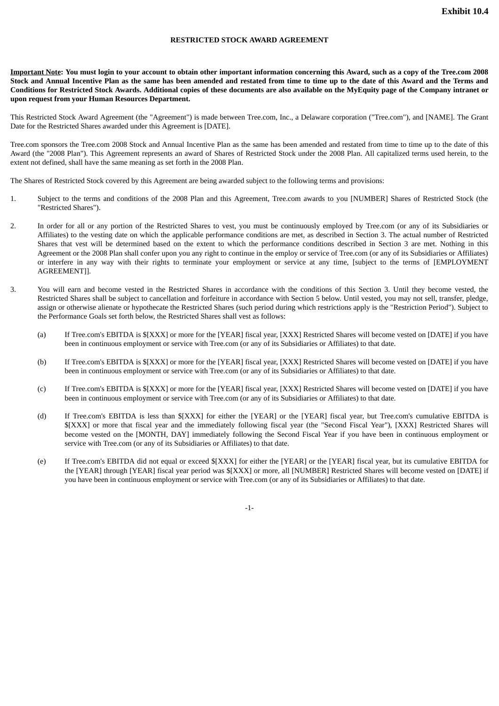## **RESTRICTED STOCK AWARD AGREEMENT**

Important Note: You must login to your account to obtain other important information concerning this Award, such as a copy of the Tree.com 2008 Stock and Annual Incentive Plan as the same has been amended and restated from time to time up to the date of this Award and the Terms and Conditions for Restricted Stock Awards. Additional copies of these documents are also available on the MyEquity page of the Company intranet or **upon request from your Human Resources Department.**

This Restricted Stock Award Agreement (the "Agreement") is made between Tree.com, Inc., a Delaware corporation ("Tree.com"), and [NAME]. The Grant Date for the Restricted Shares awarded under this Agreement is [DATE].

Tree.com sponsors the Tree.com 2008 Stock and Annual Incentive Plan as the same has been amended and restated from time to time up to the date of this Award (the "2008 Plan"). This Agreement represents an award of Shares of Restricted Stock under the 2008 Plan. All capitalized terms used herein, to the extent not defined, shall have the same meaning as set forth in the 2008 Plan.

The Shares of Restricted Stock covered by this Agreement are being awarded subject to the following terms and provisions:

- 1. Subject to the terms and conditions of the 2008 Plan and this Agreement, Tree.com awards to you [NUMBER] Shares of Restricted Stock (the "Restricted Shares").
- 2. In order for all or any portion of the Restricted Shares to vest, you must be continuously employed by Tree.com (or any of its Subsidiaries or Affiliates) to the vesting date on which the applicable performance conditions are met, as described in Section 3. The actual number of Restricted Shares that vest will be determined based on the extent to which the performance conditions described in Section 3 are met. Nothing in this Agreement or the 2008 Plan shall confer upon you any right to continue in the employ or service of Tree.com (or any of its Subsidiaries or Affiliates) or interfere in any way with their rights to terminate your employment or service at any time, [subject to the terms of [EMPLOYMENT AGREEMENT]].
- 3. You will earn and become vested in the Restricted Shares in accordance with the conditions of this Section 3. Until they become vested, the Restricted Shares shall be subject to cancellation and forfeiture in accordance with Section 5 below. Until vested, you may not sell, transfer, pledge, assign or otherwise alienate or hypothecate the Restricted Shares (such period during which restrictions apply is the "Restriction Period"). Subject to the Performance Goals set forth below, the Restricted Shares shall vest as follows:
	- (a) If Tree.com's EBITDA is \$[XXX] or more for the [YEAR] fiscal year, [XXX] Restricted Shares will become vested on [DATE] if you have been in continuous employment or service with Tree.com (or any of its Subsidiaries or Affiliates) to that date.
	- (b) If Tree.com's EBITDA is \$[XXX] or more for the [YEAR] fiscal year, [XXX] Restricted Shares will become vested on [DATE] if you have been in continuous employment or service with Tree.com (or any of its Subsidiaries or Affiliates) to that date.
	- (c) If Tree.com's EBITDA is \$[XXX] or more for the [YEAR] fiscal year, [XXX] Restricted Shares will become vested on [DATE] if you have been in continuous employment or service with Tree.com (or any of its Subsidiaries or Affiliates) to that date.
	- (d) If Tree.com's EBITDA is less than \$[XXX] for either the [YEAR] or the [YEAR] fiscal year, but Tree.com's cumulative EBITDA is \$[XXX] or more that fiscal year and the immediately following fiscal year (the "Second Fiscal Year"), [XXX] Restricted Shares will become vested on the [MONTH, DAY] immediately following the Second Fiscal Year if you have been in continuous employment or service with Tree.com (or any of its Subsidiaries or Affiliates) to that date.
	- (e) If Tree.com's EBITDA did not equal or exceed \$[XXX] for either the [YEAR] or the [YEAR] fiscal year, but its cumulative EBITDA for the [YEAR] through [YEAR] fiscal year period was \$[XXX] or more, all [NUMBER] Restricted Shares will become vested on [DATE] if you have been in continuous employment or service with Tree.com (or any of its Subsidiaries or Affiliates) to that date.

-1-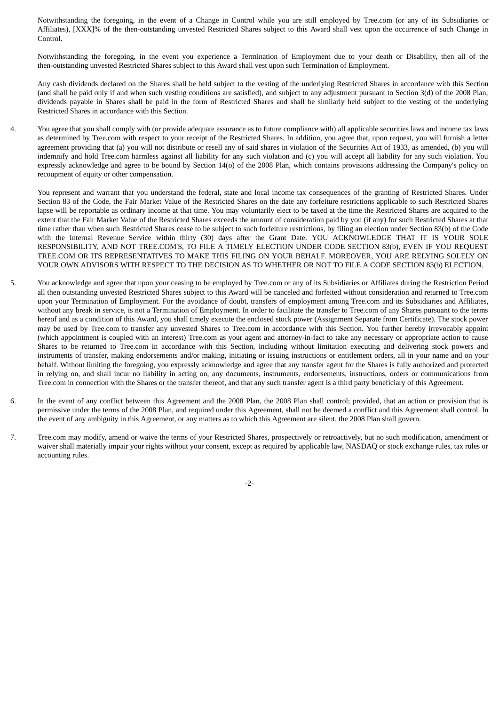Notwithstanding the foregoing, in the event of a Change in Control while you are still employed by Tree.com (or any of its Subsidiaries or Affiliates), [XXX]% of the then-outstanding unvested Restricted Shares subject to this Award shall vest upon the occurrence of such Change in Control.

Notwithstanding the foregoing, in the event you experience a Termination of Employment due to your death or Disability, then all of the then-outstanding unvested Restricted Shares subject to this Award shall vest upon such Termination of Employment.

Any cash dividends declared on the Shares shall be held subject to the vesting of the underlying Restricted Shares in accordance with this Section (and shall be paid only if and when such vesting conditions are satisfied), and subject to any adjustment pursuant to Section 3(d) of the 2008 Plan, dividends payable in Shares shall be paid in the form of Restricted Shares and shall be similarly held subject to the vesting of the underlying Restricted Shares in accordance with this Section.

4. You agree that you shall comply with (or provide adequate assurance as to future compliance with) all applicable securities laws and income tax laws as determined by Tree.com with respect to your receipt of the Restricted Shares. In addition, you agree that, upon request, you will furnish a letter agreement providing that (a) you will not distribute or resell any of said shares in violation of the Securities Act of 1933, as amended, (b) you will indemnify and hold Tree.com harmless against all liability for any such violation and (c) you will accept all liability for any such violation. You expressly acknowledge and agree to be bound by Section 14(o) of the 2008 Plan, which contains provisions addressing the Company's policy on recoupment of equity or other compensation.

You represent and warrant that you understand the federal, state and local income tax consequences of the granting of Restricted Shares. Under Section 83 of the Code, the Fair Market Value of the Restricted Shares on the date any forfeiture restrictions applicable to such Restricted Shares lapse will be reportable as ordinary income at that time. You may voluntarily elect to be taxed at the time the Restricted Shares are acquired to the extent that the Fair Market Value of the Restricted Shares exceeds the amount of consideration paid by you (if any) for such Restricted Shares at that time rather than when such Restricted Shares cease to be subject to such forfeiture restrictions, by filing an election under Section 83(b) of the Code with the Internal Revenue Service within thirty (30) days after the Grant Date. YOU ACKNOWLEDGE THAT IT IS YOUR SOLE RESPONSIBILITY, AND NOT TREE.COM'S, TO FILE A TIMELY ELECTION UNDER CODE SECTION 83(b), EVEN IF YOU REQUEST TREE.COM OR ITS REPRESENTATIVES TO MAKE THIS FILING ON YOUR BEHALF. MOREOVER, YOU ARE RELYING SOLELY ON YOUR OWN ADVISORS WITH RESPECT TO THE DECISION AS TO WHETHER OR NOT TO FILE A CODE SECTION 83(b) ELECTION.

- 5. You acknowledge and agree that upon your ceasing to be employed by Tree.com or any of its Subsidiaries or Affiliates during the Restriction Period all then outstanding unvested Restricted Shares subject to this Award will be canceled and forfeited without consideration and returned to Tree.com upon your Termination of Employment. For the avoidance of doubt, transfers of employment among Tree.com and its Subsidiaries and Affiliates, without any break in service, is not a Termination of Employment. In order to facilitate the transfer to Tree.com of any Shares pursuant to the terms hereof and as a condition of this Award, you shall timely execute the enclosed stock power (Assignment Separate from Certificate). The stock power may be used by Tree.com to transfer any unvested Shares to Tree.com in accordance with this Section. You further hereby irrevocably appoint (which appointment is coupled with an interest) Tree.com as your agent and attorney‑in‑fact to take any necessary or appropriate action to cause Shares to be returned to Tree.com in accordance with this Section, including without limitation executing and delivering stock powers and instruments of transfer, making endorsements and/or making, initiating or issuing instructions or entitlement orders, all in your name and on your behalf. Without limiting the foregoing, you expressly acknowledge and agree that any transfer agent for the Shares is fully authorized and protected in relying on, and shall incur no liability in acting on, any documents, instruments, endorsements, instructions, orders or communications from Tree.com in connection with the Shares or the transfer thereof, and that any such transfer agent is a third party beneficiary of this Agreement.
- 6. In the event of any conflict between this Agreement and the 2008 Plan, the 2008 Plan shall control; provided, that an action or provision that is permissive under the terms of the 2008 Plan, and required under this Agreement, shall not be deemed a conflict and this Agreement shall control. In the event of any ambiguity in this Agreement, or any matters as to which this Agreement are silent, the 2008 Plan shall govern.
- 7. Tree.com may modify, amend or waive the terms of your Restricted Shares, prospectively or retroactively, but no such modification, amendment or waiver shall materially impair your rights without your consent, except as required by applicable law, NASDAQ or stock exchange rules, tax rules or accounting rules.

-2-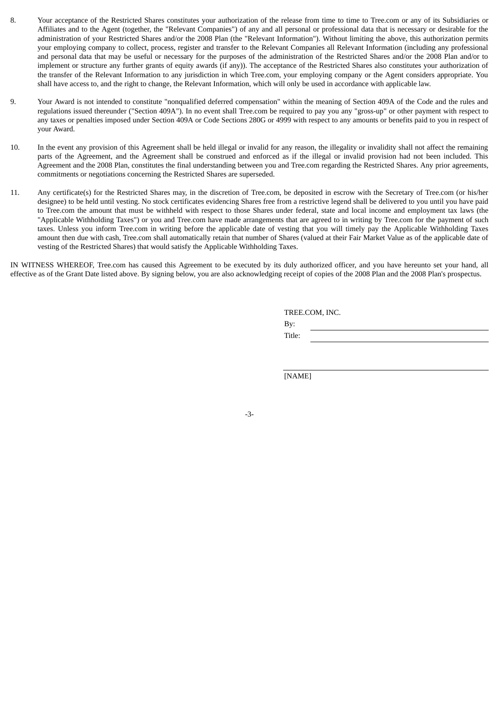- 8. Your acceptance of the Restricted Shares constitutes your authorization of the release from time to time to Tree.com or any of its Subsidiaries or Affiliates and to the Agent (together, the "Relevant Companies") of any and all personal or professional data that is necessary or desirable for the administration of your Restricted Shares and/or the 2008 Plan (the "Relevant Information"). Without limiting the above, this authorization permits your employing company to collect, process, register and transfer to the Relevant Companies all Relevant Information (including any professional and personal data that may be useful or necessary for the purposes of the administration of the Restricted Shares and/or the 2008 Plan and/or to implement or structure any further grants of equity awards (if any)). The acceptance of the Restricted Shares also constitutes your authorization of the transfer of the Relevant Information to any jurisdiction in which Tree.com, your employing company or the Agent considers appropriate. You shall have access to, and the right to change, the Relevant Information, which will only be used in accordance with applicable law.
- 9. Your Award is not intended to constitute "nonqualified deferred compensation" within the meaning of Section 409A of the Code and the rules and regulations issued thereunder ("Section 409A"). In no event shall Tree.com be required to pay you any "gross‑up" or other payment with respect to any taxes or penalties imposed under Section 409A or Code Sections 280G or 4999 with respect to any amounts or benefits paid to you in respect of your Award.
- 10. In the event any provision of this Agreement shall be held illegal or invalid for any reason, the illegality or invalidity shall not affect the remaining parts of the Agreement, and the Agreement shall be construed and enforced as if the illegal or invalid provision had not been included. This Agreement and the 2008 Plan, constitutes the final understanding between you and Tree.com regarding the Restricted Shares. Any prior agreements, commitments or negotiations concerning the Restricted Shares are superseded.
- 11. Any certificate(s) for the Restricted Shares may, in the discretion of Tree.com, be deposited in escrow with the Secretary of Tree.com (or his/her designee) to be held until vesting. No stock certificates evidencing Shares free from a restrictive legend shall be delivered to you until you have paid to Tree.com the amount that must be withheld with respect to those Shares under federal, state and local income and employment tax laws (the "Applicable Withholding Taxes") or you and Tree.com have made arrangements that are agreed to in writing by Tree.com for the payment of such taxes. Unless you inform Tree.com in writing before the applicable date of vesting that you will timely pay the Applicable Withholding Taxes amount then due with cash, Tree.com shall automatically retain that number of Shares (valued at their Fair Market Value as of the applicable date of vesting of the Restricted Shares) that would satisfy the Applicable Withholding Taxes.

IN WITNESS WHEREOF, Tree.com has caused this Agreement to be executed by its duly authorized officer, and you have hereunto set your hand, all effective as of the Grant Date listed above. By signing below, you are also acknowledging receipt of copies of the 2008 Plan and the 2008 Plan's prospectus.

| TREE.COM, INC. |  |  |
|----------------|--|--|
| By:            |  |  |
| Title:         |  |  |
|                |  |  |

[NAME]

-3-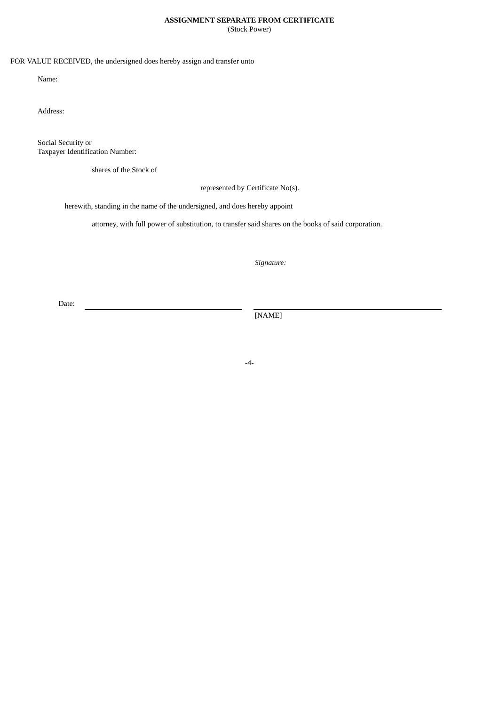# **ASSIGNMENT SEPARATE FROM CERTIFICATE** (Stock Power)

FOR VALUE RECEIVED, the undersigned does hereby assign and transfer unto

Name:

Address:

Social Security or Taxpayer Identification Number:

shares of the Stock of

represented by Certificate No(s).

herewith, standing in the name of the undersigned, and does hereby appoint

attorney, with full power of substitution, to transfer said shares on the books of said corporation.

*Signature:*

Date:

[NAME]

-4-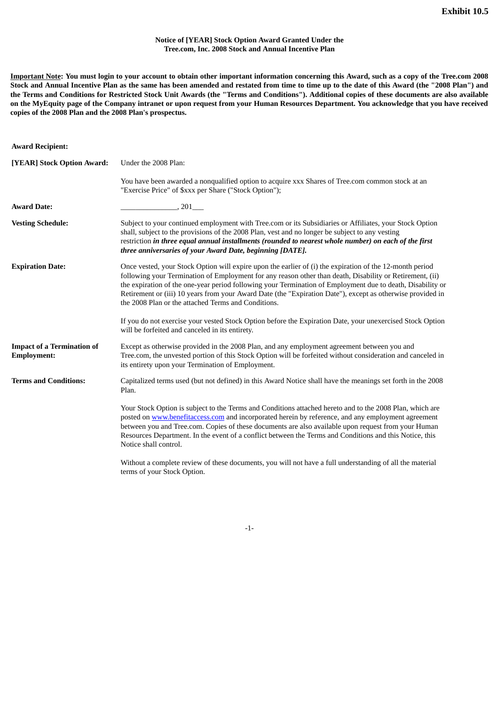## **Notice of [YEAR] Stock Option Award Granted Under the Tree.com, Inc. 2008 Stock and Annual Incentive Plan**

Important Note: You must login to your account to obtain other important information concerning this Award, such as a copy of the Tree.com 2008 Stock and Annual Incentive Plan as the same has been amended and restated from time to time up to the date of this Award (the "2008 Plan") and the Terms and Conditions for Restricted Stock Unit Awards (the "Terms and Conditions"). Additional copies of these documents are also available on the MyEquity page of the Company intranet or upon request from your Human Resources Department. You acknowledge that you have received **copies of the 2008 Plan and the 2008 Plan's prospectus.**

| <b>Award Recipient:</b>                                 |                                                                                                                                                                                                                                                                                                                                                                                                                                                                                                         |
|---------------------------------------------------------|---------------------------------------------------------------------------------------------------------------------------------------------------------------------------------------------------------------------------------------------------------------------------------------------------------------------------------------------------------------------------------------------------------------------------------------------------------------------------------------------------------|
| [YEAR] Stock Option Award:                              | Under the 2008 Plan:                                                                                                                                                                                                                                                                                                                                                                                                                                                                                    |
|                                                         | You have been awarded a nonqualified option to acquire xxx Shares of Tree.com common stock at an<br>"Exercise Price" of \$xxx per Share ("Stock Option");                                                                                                                                                                                                                                                                                                                                               |
| <b>Award Date:</b>                                      | $\sim$ 201 $\sim$                                                                                                                                                                                                                                                                                                                                                                                                                                                                                       |
| <b>Vesting Schedule:</b>                                | Subject to your continued employment with Tree.com or its Subsidiaries or Affiliates, your Stock Option<br>shall, subject to the provisions of the 2008 Plan, vest and no longer be subject to any vesting<br>restriction in three equal annual installments (rounded to nearest whole number) on each of the first<br>three anniversaries of your Award Date, beginning [DATE].                                                                                                                        |
| <b>Expiration Date:</b>                                 | Once vested, your Stock Option will expire upon the earlier of (i) the expiration of the 12-month period<br>following your Termination of Employment for any reason other than death, Disability or Retirement, (ii)<br>the expiration of the one-year period following your Termination of Employment due to death, Disability or<br>Retirement or (iii) 10 years from your Award Date (the "Expiration Date"), except as otherwise provided in<br>the 2008 Plan or the attached Terms and Conditions. |
|                                                         | If you do not exercise your vested Stock Option before the Expiration Date, your unexercised Stock Option<br>will be forfeited and canceled in its entirety.                                                                                                                                                                                                                                                                                                                                            |
| <b>Impact of a Termination of</b><br><b>Employment:</b> | Except as otherwise provided in the 2008 Plan, and any employment agreement between you and<br>Tree.com, the unvested portion of this Stock Option will be forfeited without consideration and canceled in<br>its entirety upon your Termination of Employment.                                                                                                                                                                                                                                         |
| <b>Terms and Conditions:</b>                            | Capitalized terms used (but not defined) in this Award Notice shall have the meanings set forth in the 2008<br>Plan.                                                                                                                                                                                                                                                                                                                                                                                    |
|                                                         | Your Stock Option is subject to the Terms and Conditions attached hereto and to the 2008 Plan, which are<br>posted on www.benefitaccess.com and incorporated herein by reference, and any employment agreement<br>between you and Tree.com. Copies of these documents are also available upon request from your Human<br>Resources Department. In the event of a conflict between the Terms and Conditions and this Notice, this<br>Notice shall control.                                               |
|                                                         | Without a complete review of these documents, you will not have a full understanding of all the material<br>terms of your Stock Option.                                                                                                                                                                                                                                                                                                                                                                 |

-1-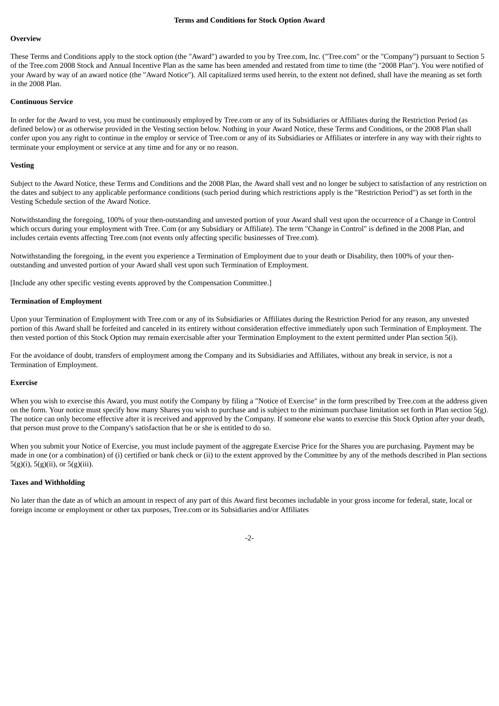#### **Terms and Conditions for Stock Option Award**

#### **Overview**

These Terms and Conditions apply to the stock option (the "Award") awarded to you by Tree.com, Inc. ("Tree.com" or the "Company") pursuant to Section 5 of the Tree.com 2008 Stock and Annual Incentive Plan as the same has been amended and restated from time to time (the "2008 Plan"). You were notified of your Award by way of an award notice (the "Award Notice"). All capitalized terms used herein, to the extent not defined, shall have the meaning as set forth in the 2008 Plan.

#### **Continuous Service**

In order for the Award to vest, you must be continuously employed by Tree.com or any of its Subsidiaries or Affiliates during the Restriction Period (as defined below) or as otherwise provided in the Vesting section below. Nothing in your Award Notice, these Terms and Conditions, or the 2008 Plan shall confer upon you any right to continue in the employ or service of Tree.com or any of its Subsidiaries or Affiliates or interfere in any way with their rights to terminate your employment or service at any time and for any or no reason.

#### **Vesting**

Subject to the Award Notice, these Terms and Conditions and the 2008 Plan, the Award shall vest and no longer be subject to satisfaction of any restriction on the dates and subject to any applicable performance conditions (such period during which restrictions apply is the "Restriction Period") as set forth in the Vesting Schedule section of the Award Notice.

Notwithstanding the foregoing, 100% of your then-outstanding and unvested portion of your Award shall vest upon the occurrence of a Change in Control which occurs during your employment with Tree. Com (or any Subsidiary or Affiliate). The term "Change in Control" is defined in the 2008 Plan, and includes certain events affecting Tree.com (not events only affecting specific businesses of Tree.com).

Notwithstanding the foregoing, in the event you experience a Termination of Employment due to your death or Disability, then 100% of your thenoutstanding and unvested portion of your Award shall vest upon such Termination of Employment.

[Include any other specific vesting events approved by the Compensation Committee.]

## **Termination of Employment**

Upon your Termination of Employment with Tree.com or any of its Subsidiaries or Affiliates during the Restriction Period for any reason, any unvested portion of this Award shall be forfeited and canceled in its entirety without consideration effective immediately upon such Termination of Employment. The then vested portion of this Stock Option may remain exercisable after your Termination Employment to the extent permitted under Plan section 5(i).

For the avoidance of doubt, transfers of employment among the Company and its Subsidiaries and Affiliates, without any break in service, is not a Termination of Employment.

#### **Exercise**

When you wish to exercise this Award, you must notify the Company by filing a "Notice of Exercise" in the form prescribed by Tree.com at the address given on the form. Your notice must specify how many Shares you wish to purchase and is subject to the minimum purchase limitation set forth in Plan section 5(g). The notice can only become effective after it is received and approved by the Company. If someone else wants to exercise this Stock Option after your death, that person must prove to the Company's satisfaction that he or she is entitled to do so.

When you submit your Notice of Exercise, you must include payment of the aggregate Exercise Price for the Shares you are purchasing. Payment may be made in one (or a combination) of (i) certified or bank check or (ii) to the extent approved by the Committee by any of the methods described in Plan sections  $5(g)(i)$ ,  $5(g)(ii)$ , or  $5(g)(iii)$ .

## **Taxes and Withholding**

No later than the date as of which an amount in respect of any part of this Award first becomes includable in your gross income for federal, state, local or foreign income or employment or other tax purposes, Tree.com or its Subsidiaries and/or Affiliates

-2-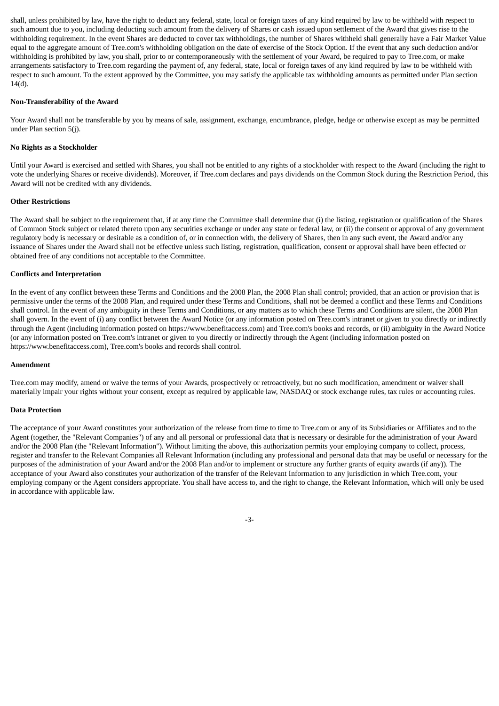shall, unless prohibited by law, have the right to deduct any federal, state, local or foreign taxes of any kind required by law to be withheld with respect to such amount due to you, including deducting such amount from the delivery of Shares or cash issued upon settlement of the Award that gives rise to the withholding requirement. In the event Shares are deducted to cover tax withholdings, the number of Shares withheld shall generally have a Fair Market Value equal to the aggregate amount of Tree.com's withholding obligation on the date of exercise of the Stock Option. If the event that any such deduction and/or withholding is prohibited by law, you shall, prior to or contemporaneously with the settlement of your Award, be required to pay to Tree.com, or make arrangements satisfactory to Tree.com regarding the payment of, any federal, state, local or foreign taxes of any kind required by law to be withheld with respect to such amount. To the extent approved by the Committee, you may satisfy the applicable tax withholding amounts as permitted under Plan section 14(d).

## **Non-Transferability of the Award**

Your Award shall not be transferable by you by means of sale, assignment, exchange, encumbrance, pledge, hedge or otherwise except as may be permitted under Plan section 5(j).

## **No Rights as a Stockholder**

Until your Award is exercised and settled with Shares, you shall not be entitled to any rights of a stockholder with respect to the Award (including the right to vote the underlying Shares or receive dividends). Moreover, if Tree.com declares and pays dividends on the Common Stock during the Restriction Period, this Award will not be credited with any dividends.

## **Other Restrictions**

The Award shall be subject to the requirement that, if at any time the Committee shall determine that (i) the listing, registration or qualification of the Shares of Common Stock subject or related thereto upon any securities exchange or under any state or federal law, or (ii) the consent or approval of any government regulatory body is necessary or desirable as a condition of, or in connection with, the delivery of Shares, then in any such event, the Award and/or any issuance of Shares under the Award shall not be effective unless such listing, registration, qualification, consent or approval shall have been effected or obtained free of any conditions not acceptable to the Committee.

## **Conflicts and Interpretation**

In the event of any conflict between these Terms and Conditions and the 2008 Plan, the 2008 Plan shall control; provided, that an action or provision that is permissive under the terms of the 2008 Plan, and required under these Terms and Conditions, shall not be deemed a conflict and these Terms and Conditions shall control. In the event of any ambiguity in these Terms and Conditions, or any matters as to which these Terms and Conditions are silent, the 2008 Plan shall govern. In the event of (i) any conflict between the Award Notice (or any information posted on Tree.com's intranet or given to you directly or indirectly through the Agent (including information posted on https://www.benefitaccess.com) and Tree.com's books and records, or (ii) ambiguity in the Award Notice (or any information posted on Tree.com's intranet or given to you directly or indirectly through the Agent (including information posted on https://www.benefitaccess.com), Tree.com's books and records shall control.

#### **Amendment**

Tree.com may modify, amend or waive the terms of your Awards, prospectively or retroactively, but no such modification, amendment or waiver shall materially impair your rights without your consent, except as required by applicable law, NASDAQ or stock exchange rules, tax rules or accounting rules.

## **Data Protection**

The acceptance of your Award constitutes your authorization of the release from time to time to Tree.com or any of its Subsidiaries or Affiliates and to the Agent (together, the "Relevant Companies") of any and all personal or professional data that is necessary or desirable for the administration of your Award and/or the 2008 Plan (the "Relevant Information"). Without limiting the above, this authorization permits your employing company to collect, process, register and transfer to the Relevant Companies all Relevant Information (including any professional and personal data that may be useful or necessary for the purposes of the administration of your Award and/or the 2008 Plan and/or to implement or structure any further grants of equity awards (if any)). The acceptance of your Award also constitutes your authorization of the transfer of the Relevant Information to any jurisdiction in which Tree.com, your employing company or the Agent considers appropriate. You shall have access to, and the right to change, the Relevant Information, which will only be used in accordance with applicable law.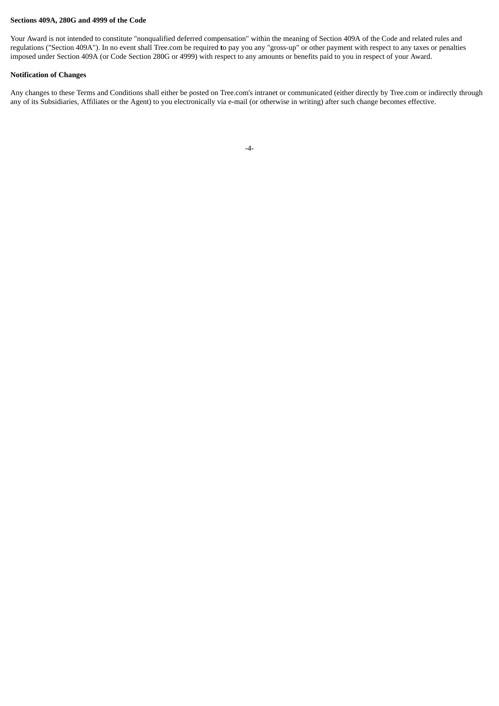# **Sections 409A, 280G and 4999 of the Code**

Your Award is not intended to constitute "nonqualified deferred compensation" within the meaning of Section 409A of the Code and related rules and regulations ("Section 409A"). In no event shall Tree.com be required **t**o pay you any "gross-up" or other payment with respect to any taxes or penalties imposed under Section 409A (or Code Section 280G or 4999) with respect to any amounts or benefits paid to you in respect of your Award.

## **Notification of Changes**

Any changes to these Terms and Conditions shall either be posted on Tree.com's intranet or communicated (either directly by Tree.com or indirectly through any of its Subsidiaries, Affiliates or the Agent) to you electronically via e-mail (or otherwise in writing) after such change becomes effective.

-4-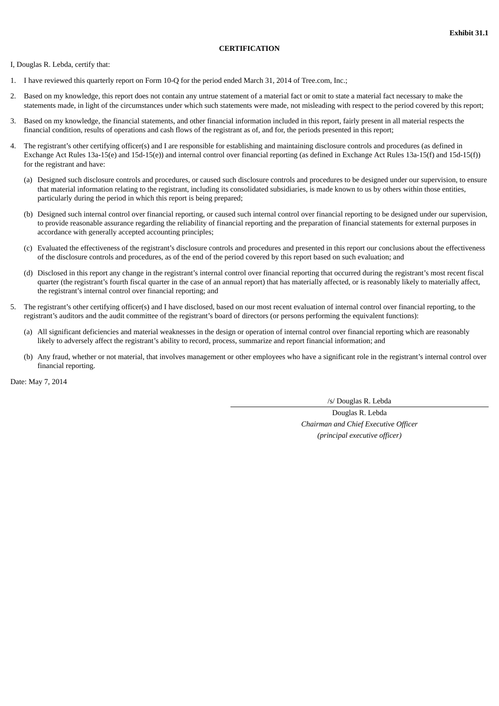#### **CERTIFICATION**

I, Douglas R. Lebda, certify that:

- 1. I have reviewed this quarterly report on Form 10-Q for the period ended March 31, 2014 of Tree.com, Inc.;
- 2. Based on my knowledge, this report does not contain any untrue statement of a material fact or omit to state a material fact necessary to make the statements made, in light of the circumstances under which such statements were made, not misleading with respect to the period covered by this report;
- 3. Based on my knowledge, the financial statements, and other financial information included in this report, fairly present in all material respects the financial condition, results of operations and cash flows of the registrant as of, and for, the periods presented in this report;
- 4. The registrant's other certifying officer(s) and I are responsible for establishing and maintaining disclosure controls and procedures (as defined in Exchange Act Rules 13a-15(e) and 15d-15(e)) and internal control over financial reporting (as defined in Exchange Act Rules 13a-15(f) and 15d-15(f)) for the registrant and have:
	- (a) Designed such disclosure controls and procedures, or caused such disclosure controls and procedures to be designed under our supervision, to ensure that material information relating to the registrant, including its consolidated subsidiaries, is made known to us by others within those entities, particularly during the period in which this report is being prepared;
	- (b) Designed such internal control over financial reporting, or caused such internal control over financial reporting to be designed under our supervision, to provide reasonable assurance regarding the reliability of financial reporting and the preparation of financial statements for external purposes in accordance with generally accepted accounting principles;
	- (c) Evaluated the effectiveness of the registrant's disclosure controls and procedures and presented in this report our conclusions about the effectiveness of the disclosure controls and procedures, as of the end of the period covered by this report based on such evaluation; and
	- (d) Disclosed in this report any change in the registrant's internal control over financial reporting that occurred during the registrant's most recent fiscal quarter (the registrant's fourth fiscal quarter in the case of an annual report) that has materially affected, or is reasonably likely to materially affect, the registrant's internal control over financial reporting; and
- 5. The registrant's other certifying officer(s) and I have disclosed, based on our most recent evaluation of internal control over financial reporting, to the registrant's auditors and the audit committee of the registrant's board of directors (or persons performing the equivalent functions):
	- (a) All significant deficiencies and material weaknesses in the design or operation of internal control over financial reporting which are reasonably likely to adversely affect the registrant's ability to record, process, summarize and report financial information; and
	- (b) Any fraud, whether or not material, that involves management or other employees who have a significant role in the registrant's internal control over financial reporting.

Date: May 7, 2014

/s/ Douglas R. Lebda

Douglas R. Lebda *Chairman and Chief Executive Officer (principal executive officer)*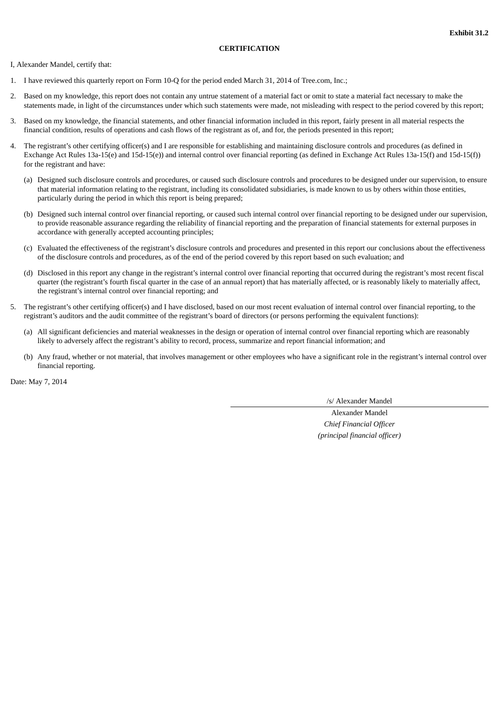#### **CERTIFICATION**

I, Alexander Mandel, certify that:

- 1. I have reviewed this quarterly report on Form 10-Q for the period ended March 31, 2014 of Tree.com, Inc.;
- 2. Based on my knowledge, this report does not contain any untrue statement of a material fact or omit to state a material fact necessary to make the statements made, in light of the circumstances under which such statements were made, not misleading with respect to the period covered by this report;
- 3. Based on my knowledge, the financial statements, and other financial information included in this report, fairly present in all material respects the financial condition, results of operations and cash flows of the registrant as of, and for, the periods presented in this report;
- 4. The registrant's other certifying officer(s) and I are responsible for establishing and maintaining disclosure controls and procedures (as defined in Exchange Act Rules 13a-15(e) and 15d-15(e)) and internal control over financial reporting (as defined in Exchange Act Rules 13a-15(f) and 15d-15(f)) for the registrant and have:
	- (a) Designed such disclosure controls and procedures, or caused such disclosure controls and procedures to be designed under our supervision, to ensure that material information relating to the registrant, including its consolidated subsidiaries, is made known to us by others within those entities, particularly during the period in which this report is being prepared;
	- (b) Designed such internal control over financial reporting, or caused such internal control over financial reporting to be designed under our supervision, to provide reasonable assurance regarding the reliability of financial reporting and the preparation of financial statements for external purposes in accordance with generally accepted accounting principles;
	- (c) Evaluated the effectiveness of the registrant's disclosure controls and procedures and presented in this report our conclusions about the effectiveness of the disclosure controls and procedures, as of the end of the period covered by this report based on such evaluation; and
	- (d) Disclosed in this report any change in the registrant's internal control over financial reporting that occurred during the registrant's most recent fiscal quarter (the registrant's fourth fiscal quarter in the case of an annual report) that has materially affected, or is reasonably likely to materially affect, the registrant's internal control over financial reporting; and
- 5. The registrant's other certifying officer(s) and I have disclosed, based on our most recent evaluation of internal control over financial reporting, to the registrant's auditors and the audit committee of the registrant's board of directors (or persons performing the equivalent functions):
	- (a) All significant deficiencies and material weaknesses in the design or operation of internal control over financial reporting which are reasonably likely to adversely affect the registrant's ability to record, process, summarize and report financial information; and
	- (b) Any fraud, whether or not material, that involves management or other employees who have a significant role in the registrant's internal control over financial reporting.

Date: May 7, 2014

/s/ Alexander Mandel

Alexander Mandel *Chief Financial Officer (principal financial officer)*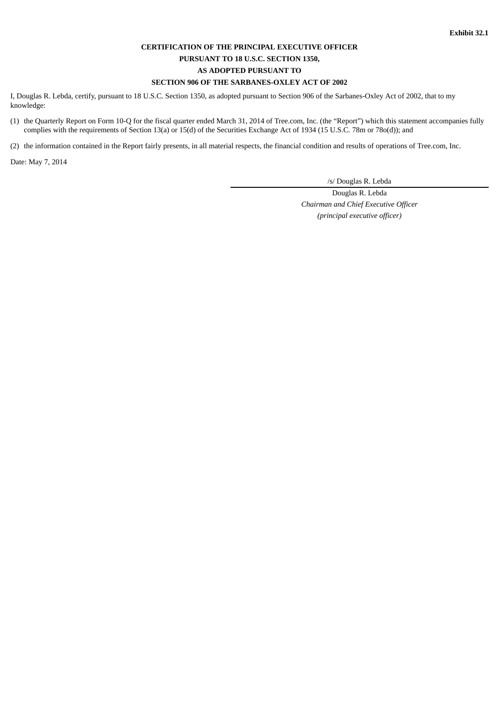## **CERTIFICATION OF THE PRINCIPAL EXECUTIVE OFFICER**

# **PURSUANT TO 18 U.S.C. SECTION 1350,**

**AS ADOPTED PURSUANT TO**

### **SECTION 906 OF THE SARBANES-OXLEY ACT OF 2002**

I, Douglas R. Lebda, certify, pursuant to 18 U.S.C. Section 1350, as adopted pursuant to Section 906 of the Sarbanes-Oxley Act of 2002, that to my knowledge:

(1) the Quarterly Report on Form 10-Q for the fiscal quarter ended March 31, 2014 of Tree.com, Inc. (the "Report") which this statement accompanies fully complies with the requirements of Section 13(a) or 15(d) of the Securities Exchange Act of 1934 (15 U.S.C. 78m or 78o(d)); and

(2) the information contained in the Report fairly presents, in all material respects, the financial condition and results of operations of Tree.com, Inc.

Date: May 7, 2014

/s/ Douglas R. Lebda

Douglas R. Lebda *Chairman and Chief Executive Officer (principal executive officer)*